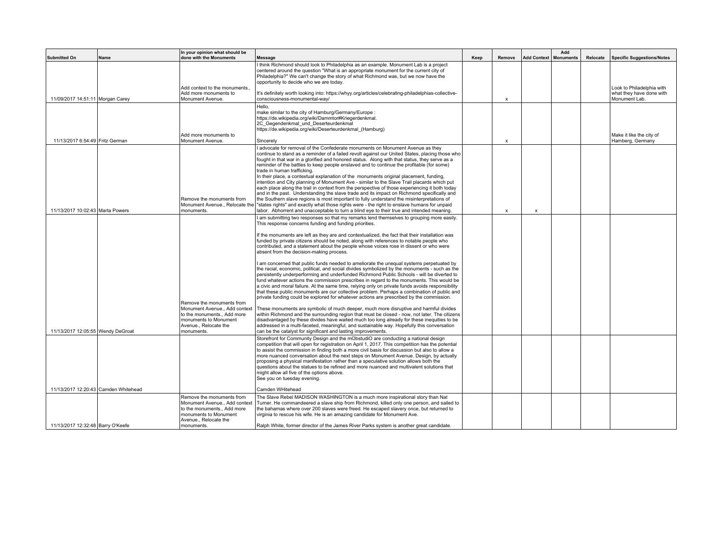|                                      |      | In your opinion what should be                                                                                                                          |                                                                                                                                                                                                                                                                                                                                                                                                                                                                                                                                                                                                                                                                                                                                                                                                                                                                                                                                                                                                                                                                                                                                                                                                                                                                                                                                                                                                                                                                                                                                                                                                                                                                                                                             |      |                           |                    | Add              |          |                                                                        |
|--------------------------------------|------|---------------------------------------------------------------------------------------------------------------------------------------------------------|-----------------------------------------------------------------------------------------------------------------------------------------------------------------------------------------------------------------------------------------------------------------------------------------------------------------------------------------------------------------------------------------------------------------------------------------------------------------------------------------------------------------------------------------------------------------------------------------------------------------------------------------------------------------------------------------------------------------------------------------------------------------------------------------------------------------------------------------------------------------------------------------------------------------------------------------------------------------------------------------------------------------------------------------------------------------------------------------------------------------------------------------------------------------------------------------------------------------------------------------------------------------------------------------------------------------------------------------------------------------------------------------------------------------------------------------------------------------------------------------------------------------------------------------------------------------------------------------------------------------------------------------------------------------------------------------------------------------------------|------|---------------------------|--------------------|------------------|----------|------------------------------------------------------------------------|
| <b>Submitted On</b>                  | Name | done with the Monuments                                                                                                                                 | <b>Message</b>                                                                                                                                                                                                                                                                                                                                                                                                                                                                                                                                                                                                                                                                                                                                                                                                                                                                                                                                                                                                                                                                                                                                                                                                                                                                                                                                                                                                                                                                                                                                                                                                                                                                                                              | Keep | Remove                    | <b>Add Context</b> | <b>Monuments</b> | Relocate | <b>Specific Suggestions/Notes</b>                                      |
|                                      |      |                                                                                                                                                         | I think Richmond should look to Philadelphia as an example. Monument Lab is a project<br>centered around the question "What is an appropriate monument for the current city of<br>Philadelphia?" We can't change the story of what Richmond was, but we now have the<br>opportunity to decide who we are today.                                                                                                                                                                                                                                                                                                                                                                                                                                                                                                                                                                                                                                                                                                                                                                                                                                                                                                                                                                                                                                                                                                                                                                                                                                                                                                                                                                                                             |      |                           |                    |                  |          |                                                                        |
| 11/09/2017 14:51:11 Morgan Carey     |      | Add context to the monuments.<br>Add more monuments to<br>Monument Avenue.                                                                              | It's definitely worth looking into: https://whyy.org/articles/celebrating-philadelphias-collective-<br>consciousness-monumental-way/                                                                                                                                                                                                                                                                                                                                                                                                                                                                                                                                                                                                                                                                                                                                                                                                                                                                                                                                                                                                                                                                                                                                                                                                                                                                                                                                                                                                                                                                                                                                                                                        |      | $\boldsymbol{\mathsf{x}}$ |                    |                  |          | Look to Philadelphia with<br>what they have done with<br>Monument Lab. |
|                                      |      | Add more monuments to                                                                                                                                   | Hello.<br>make similar to the city of Hamburg/Germany/Europe :<br>https://de.wikipedia.org/wiki/Dammtor#Kriegerdenkmal.<br>2C Gegendenkmal und Deserteurdenkmal<br>https://de.wikipedia.org/wiki/Deserteurdenkmal (Hamburg)                                                                                                                                                                                                                                                                                                                                                                                                                                                                                                                                                                                                                                                                                                                                                                                                                                                                                                                                                                                                                                                                                                                                                                                                                                                                                                                                                                                                                                                                                                 |      |                           |                    |                  |          | Make it like the city of                                               |
| 11/13/2017 6:54:49 Fritz German      |      | Monument Avenue.                                                                                                                                        | Sincerely                                                                                                                                                                                                                                                                                                                                                                                                                                                                                                                                                                                                                                                                                                                                                                                                                                                                                                                                                                                                                                                                                                                                                                                                                                                                                                                                                                                                                                                                                                                                                                                                                                                                                                                   |      | $\boldsymbol{\mathsf{x}}$ |                    |                  |          | Hamberg, Germany                                                       |
|                                      |      | Remove the monuments from<br>Monument Avenue Relocate the                                                                                               | I advocate for removal of the Confederate monuments on Monument Avenue as they<br>continue to stand as a reminder of a failed revolt against our United States, placing those who<br>fought in that war in a glorified and honored status. Along with that status, they serve as a<br>reminder of the battles to keep people enslaved and to continue the profitable (for some)<br>trade in human trafficking.<br>In their place, a contextual explanation of the monuments original placement, funding,<br>intention and City planning of Monument Ave - similar to the Slave Trail placards which put<br>each place along the trail in context from the perspective of those experiencing it both today<br>and in the past. Understanding the slave trade and its impact on Richmond specifically and<br>the Southern slave regions is most important to fully understand the misinterpretations of<br>"states rights" and exactly what those rights were - the right to enslave humans for unpaid                                                                                                                                                                                                                                                                                                                                                                                                                                                                                                                                                                                                                                                                                                                        |      |                           |                    |                  |          |                                                                        |
| 11/13/2017 10:02:43 Marta Powers     |      | monuments.                                                                                                                                              | labor. Abhorrent and unacceptable to turn a blind eye to their true and intended meaning.                                                                                                                                                                                                                                                                                                                                                                                                                                                                                                                                                                                                                                                                                                                                                                                                                                                                                                                                                                                                                                                                                                                                                                                                                                                                                                                                                                                                                                                                                                                                                                                                                                   |      | X                         | X                  |                  |          |                                                                        |
| 11/13/2017 12:05:55 Wendy DeGroat    |      | Remove the monuments from<br>Monument Avenue., Add context<br>to the monuments., Add more<br>monuments to Monument<br>Avenue Relocate the<br>monuments. | I am submitting two responses so that my remarks lend themselves to grouping more easily.<br>This response concerns funding and funding priorities.<br>If the monuments are left as they are and contextualized, the fact that their installation was<br>funded by private citizens should be noted, along with references to notable people who<br>contributed, and a statement about the people whose voices rose in dissent or who were<br>absent from the decision-making process.<br>I am concerned that public funds needed to ameliorate the unequal systems perpetuated by<br>the racial, economic, political, and social divides symbolized by the monuments - such as the<br>persistently underperforming and underfunded Richmond Public Schools - will be diverted to<br>fund whatever actions the commission prescribes in regard to the monuments. This would be<br>a civic and moral failure. At the same time, relying only on private funds avoids responsibility<br>that these public monuments are our collective problem. Perhaps a combination of public and<br>private funding could be explored for whatever actions are prescribed by the commission.<br>These monuments are symbolic of much deeper, much more disruptive and harmful divides<br>within Richmond and the surrounding region that must be closed - now, not later. The citizens<br>disadvantaged by these divides have waited much too long already for these inequities to be<br>addressed in a multi-faceted, meaningful, and sustainable way. Hopefully this conversation<br>can be the catalyst for significant and lasting improvements.<br>Storefront for Community Design and the mObstudiO are conducting a national design |      |                           |                    |                  |          |                                                                        |
|                                      |      |                                                                                                                                                         | competition that will open for registration on April 1, 2017. This competition has the potential<br>to assist the commission in finding both a more civil basis for discussion but also to allow a<br>more nuanced conversation about the next steps on Monument Avenue. Design, by actually<br>proposing a physical manifestation rather than a speculative solution allows both the<br>questions about the statues to be refined and more nuanced and multivalent solutions that<br>might allow all five of the options above.<br>See you on tuesday evening.                                                                                                                                                                                                                                                                                                                                                                                                                                                                                                                                                                                                                                                                                                                                                                                                                                                                                                                                                                                                                                                                                                                                                             |      |                           |                    |                  |          |                                                                        |
| 11/13/2017 12:20:43 Camden Whitehead |      | Remove the monuments from                                                                                                                               | Camden WHitehead<br>The Slave Rebel MADISON WASHINGTON is a much more inspirational story than Nat                                                                                                                                                                                                                                                                                                                                                                                                                                                                                                                                                                                                                                                                                                                                                                                                                                                                                                                                                                                                                                                                                                                                                                                                                                                                                                                                                                                                                                                                                                                                                                                                                          |      |                           |                    |                  |          |                                                                        |
|                                      |      | Monument Avenue Add context<br>to the monuments., Add more<br>monuments to Monument<br>Avenue., Relocate the                                            | Turner. He commandeered a slave ship from Richmond, killed only one person, and sailed to<br>the bahamas where over 200 slaves were freed. He escaped slavery once, but returned to<br>virginia to rescue his wife. He is an amazing candidate for Monument Ave.                                                                                                                                                                                                                                                                                                                                                                                                                                                                                                                                                                                                                                                                                                                                                                                                                                                                                                                                                                                                                                                                                                                                                                                                                                                                                                                                                                                                                                                            |      |                           |                    |                  |          |                                                                        |
| 11/13/2017 12:32:48 Barry O'Keefe    |      | monuments.                                                                                                                                              | Ralph White, former director of the James River Parks system is another great candidate.                                                                                                                                                                                                                                                                                                                                                                                                                                                                                                                                                                                                                                                                                                                                                                                                                                                                                                                                                                                                                                                                                                                                                                                                                                                                                                                                                                                                                                                                                                                                                                                                                                    |      |                           |                    |                  |          |                                                                        |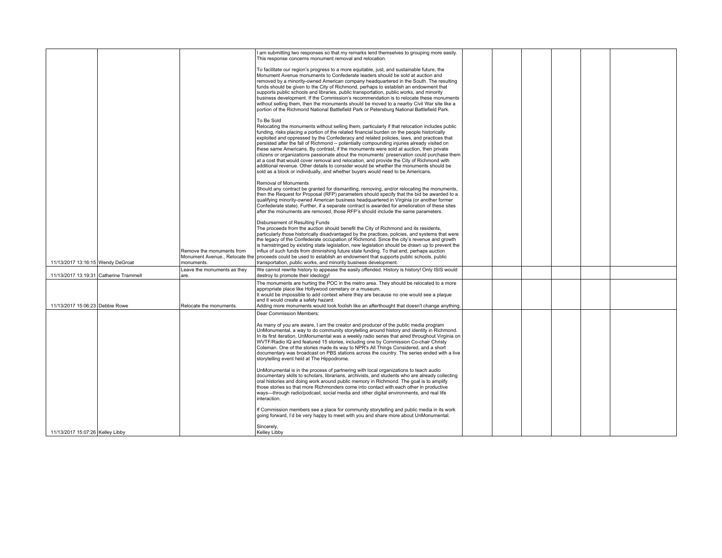|                                        |                                           | I am submitting two responses so that my remarks lend themselves to grouping more easily.<br>This response concerns monument removal and relocation.                                                                                                                                                                                                                                                                                                                                                                                                                                                                                                                                                                                                                                                                                                                     |  |  |  |
|----------------------------------------|-------------------------------------------|--------------------------------------------------------------------------------------------------------------------------------------------------------------------------------------------------------------------------------------------------------------------------------------------------------------------------------------------------------------------------------------------------------------------------------------------------------------------------------------------------------------------------------------------------------------------------------------------------------------------------------------------------------------------------------------------------------------------------------------------------------------------------------------------------------------------------------------------------------------------------|--|--|--|
|                                        |                                           | To facilitate our region's progress to a more equitable, just, and sustainable future, the<br>Monument Avenue monuments to Confederate leaders should be sold at auction and<br>removed by a minority-owned American company headquartered in the South. The resulting<br>funds should be given to the City of Richmond, perhaps to establish an endowment that<br>supports public schools and libraries, public transportation, public works, and minority<br>business development. If the Commission's recommendation is to relocate these monuments<br>without selling them, then the monuments should be moved to a nearby Civil War site like a<br>portion of the Richmond National Battlefield Park or Petersburg National Battlefield Park.                                                                                                                       |  |  |  |
|                                        |                                           | To Be Sold<br>Relocating the monuments without selling them, particularly if that relocation includes public<br>funding, risks placing a portion of the related financial burden on the people historically<br>exploited and oppressed by the Confederacy and related policies, laws, and practices that<br>persisted after the fall of Richmond -- potentially compounding injuries already visited on<br>these same Americans. By contrast, if the monuments were sold at auction, then private<br>citizens or organizations passionate about the monuments' preservation could purchase them<br>at a cost that would cover removal and relocation, and provide the City of Richmond with<br>additional revenue. Other details to consider would be whether the monuments should be<br>sold as a block or individually, and whether buyers would need to be Americans. |  |  |  |
|                                        |                                           | Removal of Monuments<br>Should any contract be granted for dismantling, removing, and/or relocating the monuments,<br>then the Request for Proposal (RFP) parameters should specify that the bid be awarded to a<br>qualifying minority-owned American business headquartered in Virginia (or another former<br>Confederate state). Further, if a separate contract is awarded for amelioration of these sites<br>after the monuments are removed, those RFP's should include the same parameters.                                                                                                                                                                                                                                                                                                                                                                       |  |  |  |
|                                        | Remove the monuments from                 | Disbursement of Resulting Funds<br>The proceeds from the auction should benefit the City of Richmond and its residents,<br>particularly those historically disadvantaged by the practices, policies, and systems that were<br>the legacy of the Confederate occupation of Richmond. Since the city's revenue and growth<br>is hamstringed by existing state legislation, new legislation should be drawn up to prevent the<br>influx of such funds from diminishing future state funding. To that end, perhaps auction<br>Monument Avenue., Relocate the proceeds could be used to establish an endowment that supports public schools, public                                                                                                                                                                                                                           |  |  |  |
| 11/13/2017 13:16:15 Wendy DeGroat      | monuments.<br>Leave the monuments as they | transportation, public works, and minority business development.<br>We cannot rewrite history to appease the easily offended. History is history! Only ISIS would                                                                                                                                                                                                                                                                                                                                                                                                                                                                                                                                                                                                                                                                                                        |  |  |  |
| 11/13/2017 13:19:31 Catherine Trammell | are.                                      | destroy to promote their ideology!                                                                                                                                                                                                                                                                                                                                                                                                                                                                                                                                                                                                                                                                                                                                                                                                                                       |  |  |  |
| 11/13/2017 15:06:23 Debbie Rowe        | Relocate the monuments.                   | The monuments are hurting the POC in the metro area. They should be relocated to a more<br>appropriate place like Hollywood cemetary or a museum.<br>It would be impossible to add context where they are because no one would see a plaque<br>and it would create a safety hazard.<br>Adding more monuments would look foolish like an afterthought that doesn't change anything.                                                                                                                                                                                                                                                                                                                                                                                                                                                                                       |  |  |  |
|                                        |                                           | Dear Commission Members:                                                                                                                                                                                                                                                                                                                                                                                                                                                                                                                                                                                                                                                                                                                                                                                                                                                 |  |  |  |
|                                        |                                           | As many of you are aware, I am the creator and producer of the public media program<br>UnMonumental, a way to do community storytelling around history and identity in Richmond.<br>In its first iteration, UnMonumental was a weekly radio series that aired throughout Virginia on<br>WVTF/Radio IQ and featured 15 stories, including one by Commission Co-chair Christy<br>Coleman. One of the stories made its way to NPR's All Things Considered, and a short<br>documentary was broadcast on PBS stations across the country. The series ended with a live<br>storytelling event held at The Hippodrome.                                                                                                                                                                                                                                                          |  |  |  |
|                                        |                                           | UnMonumental is in the process of partnering with local organizations to teach audio<br>documentary skills to scholars, librarians, archivists, and students who are already collecting<br>oral histories and doing work around public memory in Richmond. The goal is to amplify<br>those stories so that more Richmonders come into contact with each other in productive<br>ways-through radio/podcast, social media and other digital environments, and real life<br>interaction.                                                                                                                                                                                                                                                                                                                                                                                    |  |  |  |
|                                        |                                           | If Commission members see a place for community storytelling and public media in its work<br>going forward, I'd be very happy to meet with you and share more about UnMonumental.                                                                                                                                                                                                                                                                                                                                                                                                                                                                                                                                                                                                                                                                                        |  |  |  |
| 11/13/2017 15:07:26 Kelley Libby       |                                           | Sincerely,<br>Kelley Libby                                                                                                                                                                                                                                                                                                                                                                                                                                                                                                                                                                                                                                                                                                                                                                                                                                               |  |  |  |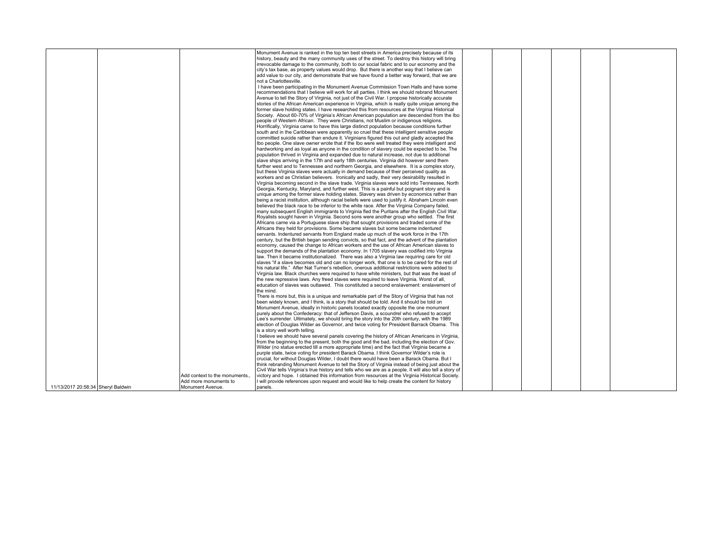|                                    |                               | Monument Avenue is ranked in the top ten best streets in America precisely because of its              |  |  |  |
|------------------------------------|-------------------------------|--------------------------------------------------------------------------------------------------------|--|--|--|
|                                    |                               | history, beauty and the many community uses of the street. To destroy this history will bring          |  |  |  |
|                                    |                               | irrevocable damage to the community, both to our social fabric and to our economy and the              |  |  |  |
|                                    |                               | city's tax base, as property values would drop. But there is another way that I believe can            |  |  |  |
|                                    |                               | add value to our city, and demonstrate that we have found a better way forward, that we are            |  |  |  |
|                                    |                               | not a Charlottesville.                                                                                 |  |  |  |
|                                    |                               | I have been participating in the Monument Avenue Commission Town Halls and have some                   |  |  |  |
|                                    |                               | recommendations that I believe will work for all parties. I think we should rebrand Monument           |  |  |  |
|                                    |                               | Avenue to tell the Story of Virginia, not just of the Civil War. I propose historically accurate       |  |  |  |
|                                    |                               | stories of the African American experience in Virginia, which is really quite unique among the         |  |  |  |
|                                    |                               | former slave holding states. I have researched this from resources at the Virginia Historical          |  |  |  |
|                                    |                               | Society. About 60-70% of Virginia's African American population are descended from the Ibo             |  |  |  |
|                                    |                               | people of Western African. They were Christians, not Muslim or indigenous religions.                   |  |  |  |
|                                    |                               | Horrifically, Virginia came to have this large distinct population because conditions further          |  |  |  |
|                                    |                               | south and in the Caribbean were apparently so cruel that these intelligent sensitive people            |  |  |  |
|                                    |                               | committed suicide rather than endure it. Virginians figured this out and gladly accepted the           |  |  |  |
|                                    |                               | Ibo people. One slave owner wrote that if the Ibo were well treated they were intelligent and          |  |  |  |
|                                    |                               | hardworking and as loval as anvone in the condition of slavery could be expected to be. The            |  |  |  |
|                                    |                               | population thrived in Virginia and expanded due to natural increase, not due to additional             |  |  |  |
|                                    |                               | slave ships arriving in the 17th and early 18th centuries. Virginia did however send them              |  |  |  |
|                                    |                               | further west and to Tennessee and northern Georgia, and elsewhere. It is a complex story,              |  |  |  |
|                                    |                               | but these Virginia slaves were actually in demand because of their perceived quality as                |  |  |  |
|                                    |                               | workers and as Christian believers. Ironically and sadly, their very desirability resulted in          |  |  |  |
|                                    |                               | Virginia becoming second in the slave trade. Virginia slaves were sold into Tennessee, North           |  |  |  |
|                                    |                               | Georgia, Kentucky, Maryland, and further west. This is a painful but poignant story and is             |  |  |  |
|                                    |                               | unique among the former slave holding states. Slavery was driven by economics rather than              |  |  |  |
|                                    |                               | being a racist institution, although racial beliefs were used to justify it. Abraham Lincoln even      |  |  |  |
|                                    |                               | believed the black race to be inferior to the white race. After the Virginia Company failed,           |  |  |  |
|                                    |                               | many subsequent English immigrants to Virginia fled the Puritans after the English Civil War.          |  |  |  |
|                                    |                               | Royalists sought haven in Virginia. Second sons were another group who settled. The first              |  |  |  |
|                                    |                               | Africans came via a Portuguese slave ship that sought provisions and traded some of the                |  |  |  |
|                                    |                               | Africans they held for provisions. Some became slaves but some became indentured                       |  |  |  |
|                                    |                               | servants. Indentured servants from England made up much of the work force in the 17th                  |  |  |  |
|                                    |                               | century, but the British began sending convicts, so that fact, and the advent of the plantation        |  |  |  |
|                                    |                               | economy, caused the change to African workers and the use of African American slaves to                |  |  |  |
|                                    |                               | support the demands of the plantation economy. In 1705 slavery was codified into Virginia              |  |  |  |
|                                    |                               | law. Then it became institutionalized. There was also a Virginia law requiring care for old            |  |  |  |
|                                    |                               | slaves "if a slave becomes old and can no longer work, that one is to be cared for the rest of         |  |  |  |
|                                    |                               | his natural life." After Nat Turner's rebellion, onerous additional restrictions were added to         |  |  |  |
|                                    |                               | Virginia law. Black churches were required to have white ministers, but that was the least of          |  |  |  |
|                                    |                               | the new repressive laws. Any freed slaves were required to leave Virginia. Worst of all,               |  |  |  |
|                                    |                               | education of slaves was outlawed. This constituted a second enslavement: enslavement of                |  |  |  |
|                                    |                               | the mind.                                                                                              |  |  |  |
|                                    |                               | There is more but, this is a unique and remarkable part of the Story of Virginia that has not          |  |  |  |
|                                    |                               | been widely known, and I think, is a story that should be told. And it should be told on               |  |  |  |
|                                    |                               | Monument Avenue, ideally in historic panels located exactly opposite the one monument                  |  |  |  |
|                                    |                               | purely about the Confederacy: that of Jefferson Davis, a scoundrel who refused to accept               |  |  |  |
|                                    |                               | Lee's surrender. Ultimately, we should bring the story into the 20th century, with the 1989            |  |  |  |
|                                    |                               | election of Douglas Wilder as Governor, and twice voting for President Barrack Obama. This             |  |  |  |
|                                    |                               | is a story well worth telling.                                                                         |  |  |  |
|                                    |                               | I believe we should have several panels covering the history of African Americans in Virginia,         |  |  |  |
|                                    |                               | from the beginning to the present, both the good and the bad, including the election of Gov.           |  |  |  |
|                                    |                               | Wilder (no statue erected till a more appropriate time) and the fact that Virginia became a            |  |  |  |
|                                    |                               | purple state, twice voting for president Barack Obama. I think Governor Wilder's role is               |  |  |  |
|                                    |                               | crucial, for without Douglas Wilder, I doubt there would have been a Barack Obama. But I               |  |  |  |
|                                    |                               | think rebranding Monument Avenue to tell the Story of Virginia instead of being just about the         |  |  |  |
|                                    |                               | Civil War tells Virginia's true history and tells who we are as a people. It will also tell a story of |  |  |  |
|                                    | Add context to the monuments. | victory and hope. I obtained this information from resources at the Virginia Historical Society.       |  |  |  |
|                                    | Add more monuments to         | I will provide references upon request and would like to help create the content for history           |  |  |  |
| 11/13/2017 20:58:34 Sheryl Baldwin | Monument Avenue.              | panels.                                                                                                |  |  |  |
|                                    |                               |                                                                                                        |  |  |  |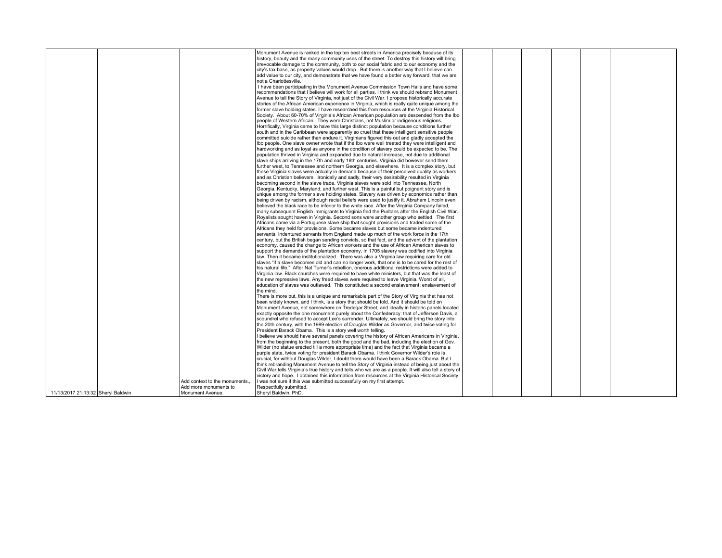|                                    |                               | Monument Avenue is ranked in the top ten best streets in America precisely because of its              |  |  |  |
|------------------------------------|-------------------------------|--------------------------------------------------------------------------------------------------------|--|--|--|
|                                    |                               | history, beauty and the many community uses of the street. To destroy this history will bring          |  |  |  |
|                                    |                               | irrevocable damage to the community, both to our social fabric and to our economy and the              |  |  |  |
|                                    |                               | city's tax base, as property values would drop. But there is another way that I believe can            |  |  |  |
|                                    |                               | add value to our city, and demonstrate that we have found a better way forward, that we are            |  |  |  |
|                                    |                               |                                                                                                        |  |  |  |
|                                    |                               | not a Charlottesville.                                                                                 |  |  |  |
|                                    |                               | I have been participating in the Monument Avenue Commission Town Halls and have some                   |  |  |  |
|                                    |                               | recommendations that I believe will work for all parties. I think we should rebrand Monument           |  |  |  |
|                                    |                               | Avenue to tell the Story of Virginia, not just of the Civil War. I propose historically accurate       |  |  |  |
|                                    |                               | stories of the African American experience in Virginia, which is really quite unique among the         |  |  |  |
|                                    |                               | former slave holding states. I have researched this from resources at the Virginia Historical          |  |  |  |
|                                    |                               | Society. About 60-70% of Virginia's African American population are descended from the Ibo             |  |  |  |
|                                    |                               |                                                                                                        |  |  |  |
|                                    |                               | people of Western African. They were Christians, not Muslim or indigenous religions.                   |  |  |  |
|                                    |                               | Horrifically, Virginia came to have this large distinct population because conditions further          |  |  |  |
|                                    |                               | south and in the Caribbean were apparently so cruel that these intelligent sensitive people            |  |  |  |
|                                    |                               | committed suicide rather than endure it. Virginians figured this out and gladly accepted the           |  |  |  |
|                                    |                               | Ibo people. One slave owner wrote that if the Ibo were well treated they were intelligent and          |  |  |  |
|                                    |                               | hardworking and as loyal as anyone in the condition of slavery could be expected to be. The            |  |  |  |
|                                    |                               | population thrived in Virginia and expanded due to natural increase, not due to additional             |  |  |  |
|                                    |                               |                                                                                                        |  |  |  |
|                                    |                               | slave ships arriving in the 17th and early 18th centuries. Virginia did however send them              |  |  |  |
|                                    |                               | further west, to Tennessee and northern Georgia, and elsewhere. It is a complex story, but             |  |  |  |
|                                    |                               | these Virginia slaves were actually in demand because of their perceived quality as workers            |  |  |  |
|                                    |                               | and as Christian believers. Ironically and sadly, their very desirability resulted in Virginia         |  |  |  |
|                                    |                               | becoming second in the slave trade. Virginia slaves were sold into Tennessee, North                    |  |  |  |
|                                    |                               | Georgia, Kentucky, Maryland, and further west. This is a painful but poignant story and is             |  |  |  |
|                                    |                               | unique among the former slave holding states. Slavery was driven by economics rather than              |  |  |  |
|                                    |                               |                                                                                                        |  |  |  |
|                                    |                               | being driven by racism, although racial beliefs were used to justify it. Abraham Lincoln even          |  |  |  |
|                                    |                               | believed the black race to be inferior to the white race. After the Virginia Company failed,           |  |  |  |
|                                    |                               | many subsequent English immigrants to Virginia fled the Puritans after the English Civil War.          |  |  |  |
|                                    |                               | Royalists sought haven in Virginia. Second sons were another group who settled. The first              |  |  |  |
|                                    |                               | Africans came via a Portuguese slave ship that sought provisions and traded some of the                |  |  |  |
|                                    |                               | Africans they held for provisions. Some became slaves but some became indentured                       |  |  |  |
|                                    |                               | servants. Indentured servants from England made up much of the work force in the 17th                  |  |  |  |
|                                    |                               |                                                                                                        |  |  |  |
|                                    |                               | century, but the British began sending convicts, so that fact, and the advent of the plantation        |  |  |  |
|                                    |                               | economy, caused the change to African workers and the use of African American slaves to                |  |  |  |
|                                    |                               | support the demands of the plantation economy. In 1705 slavery was codified into Virginia              |  |  |  |
|                                    |                               | law. Then it became institutionalized. There was also a Virginia law requiring care for old            |  |  |  |
|                                    |                               | slaves "if a slave becomes old and can no longer work, that one is to be cared for the rest of         |  |  |  |
|                                    |                               | his natural life." After Nat Turner's rebellion, onerous additional restrictions were added to         |  |  |  |
|                                    |                               | Virginia law. Black churches were required to have white ministers, but that was the least of          |  |  |  |
|                                    |                               |                                                                                                        |  |  |  |
|                                    |                               | the new repressive laws. Any freed slaves were required to leave Virginia. Worst of all,               |  |  |  |
|                                    |                               | education of slaves was outlawed. This constituted a second enslavement: enslavement of                |  |  |  |
|                                    |                               | the mind.                                                                                              |  |  |  |
|                                    |                               | There is more but, this is a unique and remarkable part of the Story of Virginia that has not          |  |  |  |
|                                    |                               | been widely known, and I think, is a story that should be told. And it should be told on               |  |  |  |
|                                    |                               | Monument Avenue, not somewhere on Tredegar Street, and ideally in historic panels located              |  |  |  |
|                                    |                               | exactly opposite the one monument purely about the Confederacy: that of Jefferson Davis, a             |  |  |  |
|                                    |                               | scoundrel who refused to accept Lee's surrender. Ultimately, we should bring the story into            |  |  |  |
|                                    |                               |                                                                                                        |  |  |  |
|                                    |                               | the 20th century, with the 1989 election of Douglas Wilder as Governor, and twice voting for           |  |  |  |
|                                    |                               | President Barack Obama. This is a story well worth telling.                                            |  |  |  |
|                                    |                               | I believe we should have several panels covering the history of African Americans in Virginia.         |  |  |  |
|                                    |                               | from the beginning to the present, both the good and the bad, including the election of Gov.           |  |  |  |
|                                    |                               | Wilder (no statue erected till a more appropriate time) and the fact that Virginia became a            |  |  |  |
|                                    |                               | purple state, twice voting for president Barack Obama, I think Governor Wilder's role is               |  |  |  |
|                                    |                               | crucial, for without Douglas Wilder, I doubt there would have been a Barack Obama. But I               |  |  |  |
|                                    |                               |                                                                                                        |  |  |  |
|                                    |                               | think rebranding Monument Avenue to tell the Story of Virginia instead of being just about the         |  |  |  |
|                                    |                               | Civil War tells Virginia's true history and tells who we are as a people. It will also tell a story of |  |  |  |
|                                    |                               | victory and hope. I obtained this information from resources at the Virginia Historical Society.       |  |  |  |
|                                    | Add context to the monuments. | I was not sure if this was submitted successfully on my first attempt.                                 |  |  |  |
|                                    | Add more monuments to         | Respectfully submitted.                                                                                |  |  |  |
| 11/13/2017 21:13:32 Sheryl Baldwin | Monument Avenue.              | Sheryl Baldwin, PhD.                                                                                   |  |  |  |
|                                    |                               |                                                                                                        |  |  |  |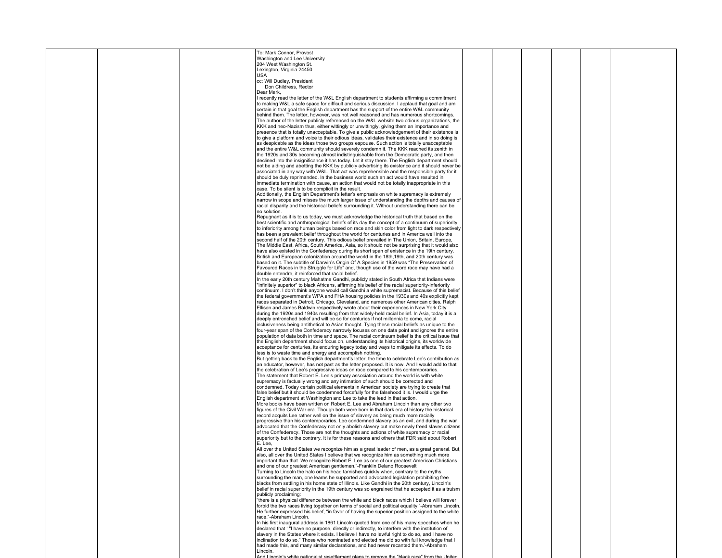|  | To: Mark Connor, Provost                                                                            |  |  |  |
|--|-----------------------------------------------------------------------------------------------------|--|--|--|
|  | Washington and Lee University                                                                       |  |  |  |
|  | 204 West Washington St.                                                                             |  |  |  |
|  | Lexington, Virginia 24450                                                                           |  |  |  |
|  |                                                                                                     |  |  |  |
|  | USA                                                                                                 |  |  |  |
|  | cc: Will Dudley, President                                                                          |  |  |  |
|  | Don Childress, Rector                                                                               |  |  |  |
|  | Dear Mark,                                                                                          |  |  |  |
|  | I recently read the letter of the W&L English department to students affirming a commitment         |  |  |  |
|  | to making W&L a safe space for difficult and serious discussion. I applaud that goal and am         |  |  |  |
|  | certain in that goal the English department has the support of the entire W&L community             |  |  |  |
|  | behind them. The letter, however, was not well reasoned and has numerous shortcomings.              |  |  |  |
|  | The author of the letter publicly referenced on the W&L website two odious organizations, the       |  |  |  |
|  | KKK and neo-Nazism thus, either wittingly or unwittingly, giving them an importance and             |  |  |  |
|  | presence that is totally unacceptable. To give a public acknowledgement of their existence is       |  |  |  |
|  |                                                                                                     |  |  |  |
|  | to give a platform and voice to their odious ideas, validates their existence and in so doing is    |  |  |  |
|  | as despicable as the ideas those two groups espouse. Such action is totally unacceptable            |  |  |  |
|  | and the entire W&L community should severely condemn it. The KKK reached its zenith in              |  |  |  |
|  | the 1920s and 30s becoming almost indistinguishable from the Democratic party, and then             |  |  |  |
|  | declined into the insignificance it has today. Let it stay there. The English department should     |  |  |  |
|  | not be aiding and abetting the KKK by publicly advertising its existence and it should never be     |  |  |  |
|  | associated in any way with W&L. That act was reprehensible and the responsible party for it         |  |  |  |
|  | should be duly reprimanded. In the business world such an act would have resulted in                |  |  |  |
|  | immediate termination with cause, an action that would not be totally inappropriate in this         |  |  |  |
|  | case. To be silent is to be complicit in the result.                                                |  |  |  |
|  | Additionally, the English Department's letter's emphasis on white supremacy is extremely            |  |  |  |
|  | narrow in scope and misses the much larger issue of understanding the depths and causes of          |  |  |  |
|  | racial disparity and the historical beliefs surrounding it. Without understanding there can be      |  |  |  |
|  | no solution.                                                                                        |  |  |  |
|  |                                                                                                     |  |  |  |
|  | Repugnant as it is to us today, we must acknowledge the historical truth that based on the          |  |  |  |
|  | best scientific and anthropological beliefs of its day the concept of a continuum of superiority    |  |  |  |
|  | to inferiority among human beings based on race and skin color from light to dark respectively      |  |  |  |
|  | has been a prevalent belief throughout the world for centuries and in America well into the         |  |  |  |
|  | second half of the 20th century. This odious belief prevailed in The Union, Britain, Europe,        |  |  |  |
|  | The Middle East, Africa, South America, Asia, so it should not be surprising that it would also     |  |  |  |
|  | have also existed in the Confederacy during its short span of existence in the 19th century.        |  |  |  |
|  | British and European colonization around the world in the 18th, 19th, and 20th century was          |  |  |  |
|  | based on it. The subtitle of Darwin's Origin Of A Species in 1859 was "The Preservation of          |  |  |  |
|  | Favoured Races in the Struggle for Life" and, though use of the word race may have had a            |  |  |  |
|  | double entendre, it reinforced that racial belief.                                                  |  |  |  |
|  | In the early 20th century Mahatma Gandhi, publicly stated in South Africa that Indians were         |  |  |  |
|  | "infinitely superior" to black Africans, affirming his belief of the racial superiority-inferiority |  |  |  |
|  |                                                                                                     |  |  |  |
|  | continuum. I don't think anyone would call Gandhi a white supremacist. Because of this belief       |  |  |  |
|  | the federal government's WPA and FHA housing policies in the 1930s and 40s explicitly kept          |  |  |  |
|  | races separated in Detroit, Chicago, Cleveland, and numerous other American cities. Ralph           |  |  |  |
|  | Ellison and James Baldwin respectively wrote about their experiences in New York City               |  |  |  |
|  | during the 1920s and 1940s resulting from that widely-held racial belief. In Asia, today it is a    |  |  |  |
|  | deeply entrenched belief and will be so for centuries if not millennia to come, racial              |  |  |  |
|  | inclusiveness being antithetical to Asian thought. Tying these racial beliefs as unique to the      |  |  |  |
|  | four-year span of the Confederacy narrowly focuses on one data point and ignores the entire         |  |  |  |
|  | population of data both in time and space. The racial continuum belief is the critical issue that   |  |  |  |
|  | the English department should focus on, understanding its historical origins, its worldwide         |  |  |  |
|  | acceptance for centuries, its enduring legacy today and ways to mitigate its effects. To do         |  |  |  |
|  | less is to waste time and energy and accomplish nothing.                                            |  |  |  |
|  | But getting back to the English department's letter, the time to celebrate Lee's contribution as    |  |  |  |
|  | an educator, however, has not past as the letter proposed. It is now. And I would add to that       |  |  |  |
|  |                                                                                                     |  |  |  |
|  | the celebration of Lee's progressive ideas on race compared to his contemporaries.                  |  |  |  |
|  | The statement that Robert E. Lee's primary association around the world is with white               |  |  |  |
|  | supremacy is factually wrong and any intimation of such should be corrected and                     |  |  |  |
|  | condemned. Today certain political elements in American society are trying to create that           |  |  |  |
|  | false belief but it should be condemned forcefully for the falsehood it is. I would urge the        |  |  |  |
|  | English department at Washington and Lee to take the lead in that action.                           |  |  |  |
|  | More books have been written on Robert E. Lee and Abraham Lincoln than any other two                |  |  |  |
|  | figures of the Civil War era. Though both were born in that dark era of history the historical      |  |  |  |
|  | record acquits Lee rather well on the issue of slavery as being much more racially                  |  |  |  |
|  | progressive than his contemporaries. Lee condemned slavery as an evil, and during the war           |  |  |  |
|  | advocated that the Confederacy not only abolish slavery but make newly freed slaves citizens        |  |  |  |
|  | of the Confederacy. Those are not the thoughts and actions of white supremacy or racial             |  |  |  |
|  | superiority but to the contrary. It is for these reasons and others that FDR said about Robert      |  |  |  |
|  | E. Lee,                                                                                             |  |  |  |
|  | All over the United States we recognize him as a great leader of men, as a great general. But,      |  |  |  |
|  | also, all over the United States I believe that we recognize him as something much more             |  |  |  |
|  | important than that. We recognize Robert E. Lee as one of our greatest American Christians          |  |  |  |
|  | and one of our greatest American gentlemen."-Franklin Delano Roosevelt                              |  |  |  |
|  | Turning to Lincoln the halo on his head tarnishes quickly when, contrary to the myths               |  |  |  |
|  | surrounding the man, one learns he supported and advocated legislation prohibiting free             |  |  |  |
|  | blacks from settling in his home state of Illinois. Like Gandhi in the 20th century, Lincoln's      |  |  |  |
|  |                                                                                                     |  |  |  |
|  | belief in racial superiority in the 19th century was so engrained that he accepted it as a truism   |  |  |  |
|  | publicly proclaiming:                                                                               |  |  |  |
|  | "there is a physical difference between the white and black races which I believe will forever      |  |  |  |
|  | forbid the two races living together on terms of social and political equality."-Abraham Lincoln.   |  |  |  |
|  | He further expressed his belief, "in favor of having the superior position assigned to the white    |  |  |  |
|  | race."-Abraham Lincoln.                                                                             |  |  |  |
|  | In his first inaugural address in 1861 Lincoln quoted from one of his many speeches when he         |  |  |  |
|  | declared that '"I have no purpose, directly or indirectly, to interfere with the institution of     |  |  |  |
|  | slavery in the States where it exists. I believe I have no lawful right to do so, and I have no     |  |  |  |
|  | inclination to do so." Those who nominated and elected me did so with full knowledge that I         |  |  |  |
|  | had made this, and many similar declarations, and had never recanted them.'-Abraham                 |  |  |  |
|  | Lincoln.                                                                                            |  |  |  |
|  |                                                                                                     |  |  |  |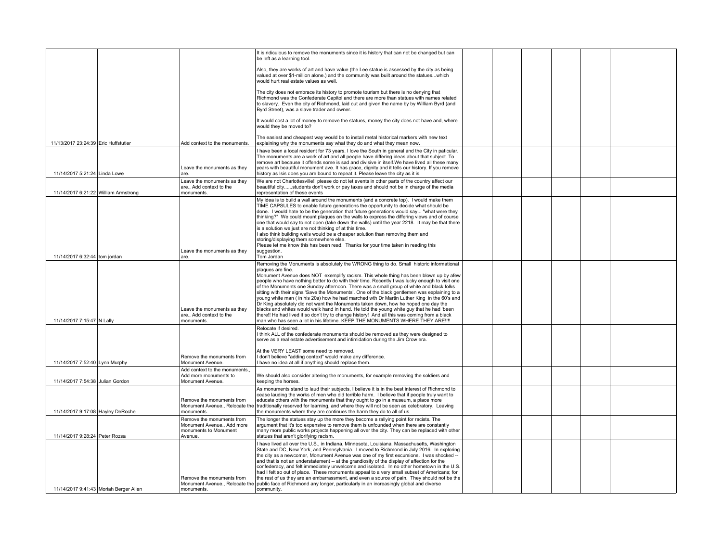|                                        |                                                                                             | It is ridiculous to remove the monuments since it is history that can not be changed but can<br>be left as a learning tool.                                                                                                                                                                                                                                                                                                                                                                                                                                                                                                                                                             |  |  |  |
|----------------------------------------|---------------------------------------------------------------------------------------------|-----------------------------------------------------------------------------------------------------------------------------------------------------------------------------------------------------------------------------------------------------------------------------------------------------------------------------------------------------------------------------------------------------------------------------------------------------------------------------------------------------------------------------------------------------------------------------------------------------------------------------------------------------------------------------------------|--|--|--|
|                                        |                                                                                             | Also, they are works of art and have value (the Lee statue is assessed by the city as being<br>valued at over \$1-million alone.) and the community was built around the statueswhich<br>would hurt real estate values as well.                                                                                                                                                                                                                                                                                                                                                                                                                                                         |  |  |  |
|                                        |                                                                                             | The city does not embrace its history to promote tourism but there is no denying that<br>Richmond was the Confederate Capitol and there are more than statues with names related<br>to slavery. Even the city of Richmond, laid out and given the name by by William Byrd (and<br>Byrd Street), was a slave trader and owner.                                                                                                                                                                                                                                                                                                                                                           |  |  |  |
|                                        |                                                                                             | It would cost a lot of money to remove the statues, money the city does not have and, where<br>would they be moved to?                                                                                                                                                                                                                                                                                                                                                                                                                                                                                                                                                                  |  |  |  |
| 11/13/2017 23:24:39 Eric Huffstutler   | Add context to the monuments.                                                               | The easiest and cheapest way would be to install metal historical markers with new text<br>explaining why the monuments say what they do and what they mean now.                                                                                                                                                                                                                                                                                                                                                                                                                                                                                                                        |  |  |  |
|                                        | Leave the monuments as they                                                                 | I have been a local resident for 73 years. I love the South in general and the City in paticular.<br>The monuments are a work of art and all people have differing ideas about that subject. To<br>remove art because it offends some is sad and divisive in itself. We have lived all these many<br>years with beautiful monument ave. It has grace, dignity and it tells our history. If you remove                                                                                                                                                                                                                                                                                   |  |  |  |
| 11/14/2017 5:21:24 Linda Lowe          | are.                                                                                        | history as Isis does you are bound to repeat it. Please leave the city as it is.                                                                                                                                                                                                                                                                                                                                                                                                                                                                                                                                                                                                        |  |  |  |
| 11/14/2017 6:21:22 William Armstrong   | Leave the monuments as they<br>are., Add context to the<br>monuments.                       | We are not Charlottesville! please do not let events in other parts of the country affect our<br>beautiful citystudents don't work or pay taxes and should not be in charge of the media<br>representation of these events                                                                                                                                                                                                                                                                                                                                                                                                                                                              |  |  |  |
|                                        |                                                                                             | My idea is to build a wall around the monuments (and a concrete top). I would make them<br>TIME CAPSULES to enable future generations the opportunity to decide what should be<br>done. I would hate to be the generation that future generations would say "what were they<br>thinking?" We could mount plaques on the walls to express the differing views and of course                                                                                                                                                                                                                                                                                                              |  |  |  |
|                                        |                                                                                             | one that would say to not open (take down the walls) until the year 2218. It may be that there<br>is a solution we just are not thinking of at this time.<br>I also think building walls would be a cheaper solution than removing them and                                                                                                                                                                                                                                                                                                                                                                                                                                             |  |  |  |
| 11/14/2017 6:32:44 tom jordan          | Leave the monuments as they                                                                 | storing/displaving them somewhere else.<br>Please let me know this has been read. Thanks for your time taken in reading this<br>suggestion.                                                                                                                                                                                                                                                                                                                                                                                                                                                                                                                                             |  |  |  |
|                                        | are.                                                                                        | Tom Jordan<br>Removing the Monuments is absolutely the WRONG thing to do. Small historic informational                                                                                                                                                                                                                                                                                                                                                                                                                                                                                                                                                                                  |  |  |  |
|                                        | Leave the monuments as they                                                                 | plaques are fine.<br>Monument Avenue does NOT exemplify racism. This whole thing has been blown up by afew<br>people who have nothing better to do with their time. Recently I was lucky enough to visit one<br>of the Monuments one Sunday afternoon. There was a small group of white and black folks<br>sitting with their signs 'Save the Monuments'. One of the black gentlemen was explaining to a<br>voung white man (in his 20s) how he had marched wth Dr Martin Luther King in the 60's and<br>Dr King absolutely did not want the Monuments taken down, how he hoped one day the<br>blacks and whites would walk hand in hand. He told the young white guy that he had 'been |  |  |  |
| 11/14/2017 7:15:47 N Lally             | are., Add context to the<br>monuments.                                                      | there!! He had lived it so don't try to change history! And all this was coming from a black<br>man who has seen a lot in his lifetime. KEEP THE MONUMENTS WHERE THEY ARE !!!!                                                                                                                                                                                                                                                                                                                                                                                                                                                                                                          |  |  |  |
|                                        |                                                                                             | Relocate if desired.<br>I think ALL of the confederate monuments should be removed as they were designed to<br>serve as a real estate advertisement and intimidation during the Jim Crow era.                                                                                                                                                                                                                                                                                                                                                                                                                                                                                           |  |  |  |
| 11/14/2017 7:52:40 Lynn Murphy         | Remove the monuments from<br>Monument Avenue.                                               | At the VERY LEAST some need to removed.<br>I don't believe "adding context" would make any difference.<br>I have no idea at all if anything should replace them.                                                                                                                                                                                                                                                                                                                                                                                                                                                                                                                        |  |  |  |
| 11/14/2017 7:54:38 Julian Gordon       | Add context to the monuments.<br>Add more monuments to<br>Monument Avenue.                  | We should also consider altering the monuments, for example removing the soldiers and<br>keeping the horses.                                                                                                                                                                                                                                                                                                                                                                                                                                                                                                                                                                            |  |  |  |
| 11/14/2017 9:17:08 Hayley DeRoche      | Remove the monuments from<br>monuments.                                                     | As monuments stand to laud their subjects, I believe it is in the best interest of Richmond to<br>cease lauding the works of men who did terrible harm. I believe that if people truly want to<br>educate others with the monuments that they ought to go in a museum, a place more<br>Monument Avenue., Relocate the traditionally reserved for learning, and where they will not be seen as celebratory. Leaving<br>the monuments where they are continues the harm they do to all of us.                                                                                                                                                                                             |  |  |  |
| 11/14/2017 9:28:24 Peter Rozsa         | Remove the monuments from<br>Monument Avenue., Add more<br>monuments to Monument<br>Avenue. | The longer the statues stay up the more they become a rallying point for racists. The<br>argument that it's too expensive to remove them is unfounded when there are constantly<br>many more public works projects happening all over the city. They can be replaced with other<br>statues that aren't glorifying racism.                                                                                                                                                                                                                                                                                                                                                               |  |  |  |
|                                        | Remove the monuments from                                                                   | I have lived all over the U.S., in Indiana, Minnesota, Louisiana, Massachusetts, Washington<br>State and DC, New York, and Pennsylvania. I moved to Richmond in July 2016. In exploring<br>the city as a newcomer, Monument Avenue was one of my first excursions. I was shocked --<br>and that is not an understatement -- at the grandiosity of the display of affection for the<br>confederacy, and felt immediately unwelcome and isolated. In no other hometown in the U.S.<br>had I felt so out of place. These monuments appeal to a very small subset of Americans; for<br>the rest of us they are an embarrassment, and even a source of pain. They should not be the          |  |  |  |
| 11/14/2017 9:41:43 Moriah Berger Allen | monuments.                                                                                  | Monument Avenue., Relocate the Dublic face of Richmond any longer, particularly in an increasingly global and diverse<br>community.                                                                                                                                                                                                                                                                                                                                                                                                                                                                                                                                                     |  |  |  |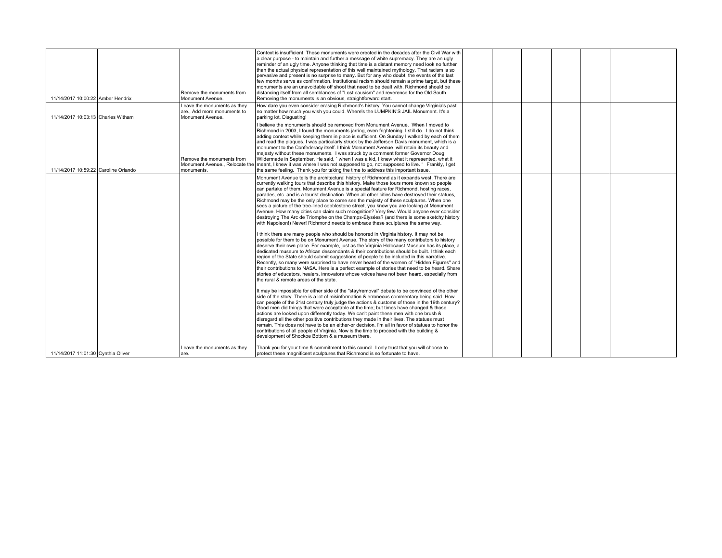|  | 11/14/2017 10:00:22 Amber Hendrix    | Remove the monuments from<br>Monument Avenue.                                | Context is insufficient. These monuments were erected in the decades after the Civil War with<br>a clear purpose - to maintain and further a message of white supremacy. They are an ugly<br>reminder of an ugly time. Anyone thinking that time is a distant memory need look no further<br>than the actual physical representation of this well maintained mythology. That racism is so<br>pervasive and present is no surprise to many. But for any who doubt, the events of the last<br>few months serve as confirmation. Institutional racism should remain a prime target, but these<br>monuments are an unavoidable off shoot that need to be dealt with. Richmond should be<br>distancing itself from all semblances of "Lost causism" and reverence for the Old South.<br>Removing the monuments is an obvious, straightforward start.                                                                                                                                                                                                                                                                                                                                                                                           |  |  |  |
|--|--------------------------------------|------------------------------------------------------------------------------|-------------------------------------------------------------------------------------------------------------------------------------------------------------------------------------------------------------------------------------------------------------------------------------------------------------------------------------------------------------------------------------------------------------------------------------------------------------------------------------------------------------------------------------------------------------------------------------------------------------------------------------------------------------------------------------------------------------------------------------------------------------------------------------------------------------------------------------------------------------------------------------------------------------------------------------------------------------------------------------------------------------------------------------------------------------------------------------------------------------------------------------------------------------------------------------------------------------------------------------------|--|--|--|
|  | 11/14/2017 10:03:13 Charles Witham   | Leave the monuments as they<br>are Add more monuments to<br>Monument Avenue. | How dare you even consider erasing Richmond's history. You cannot change Virginia's past<br>no matter how much you wish you could. Where's the LUMPKIN'S JAIL Monument. It's a<br>parking lot, Disgusting!                                                                                                                                                                                                                                                                                                                                                                                                                                                                                                                                                                                                                                                                                                                                                                                                                                                                                                                                                                                                                                |  |  |  |
|  | 11/14/2017 10:59:22 Caroline Orlando | Remove the monuments from<br>monuments.                                      | believe the monuments should be removed from Monument Avenue. When I moved to<br>Richmond in 2003. I found the monuments jarring, even frightening, I still do. I do not think<br>adding context while keeping them in place is sufficient. On Sunday I walked by each of them<br>and read the plaques. I was particularly struck by the Jefferson Davis monument, which is a<br>monument to the Confederacy itself. I think Monument Avenue will retain its beauty and<br>majesty without these monuments. I was struck by a comment former Governor Doug<br>Wildermade in September. He said, "when I was a kid, I knew what it represented, what it<br>Monument Avenue., Relocate the meant, I knew it was where I was not supposed to go, not supposed to live. ' Frankly, I get<br>the same feeling. Thank you for taking the time to address this important issue.                                                                                                                                                                                                                                                                                                                                                                  |  |  |  |
|  |                                      |                                                                              | Monument Avenue tells the architectural history of Richmond as it expands west. There are<br>currently walking tours that describe this history. Make those tours more known so people<br>can partake of them. Monument Avenue is a special feature for Richmond, hosting races,<br>parades, etc. and is a tourist destination. When all other cities have destroyed their statues,<br>Richmond may be the only place to come see the majesty of these sculptures. When one<br>sees a picture of the tree-lined cobblestone street, you know you are looking at Monument<br>Avenue. How many cities can claim such recognition? Very few. Would anyone ever consider<br>destroying The Arc de Triomphe on the Champs-Élysées? (and there is some sketchy history<br>with Napoleon!) Never! Richmond needs to embrace these sculptures the same way.<br>I think there are many people who should be honored in Virginia history. It may not be<br>possible for them to be on Monument Avenue. The story of the many contributors to history<br>deserve their own place. For example, just as the Virginia Holocaust Museum has its place, a<br>dedicated museum to African descendants & their contributions should be built. I think each |  |  |  |
|  |                                      |                                                                              | region of the State should submit suggestions of people to be included in this narrative.<br>Recently, so many were surprised to have never heard of the women of "Hidden Figures" and<br>their contributions to NASA. Here is a perfect example of stories that need to be heard. Share<br>stories of educators, healers, innovators whose voices have not been heard, especially from<br>the rural & remote areas of the state.                                                                                                                                                                                                                                                                                                                                                                                                                                                                                                                                                                                                                                                                                                                                                                                                         |  |  |  |
|  |                                      |                                                                              | It may be impossible for either side of the "stay/removal" debate to be convinced of the other<br>side of the story. There is a lot of misinformation & erroneous commentary being said. How<br>can people of the 21st century truly judge the actions & customs of those in the 19th century?<br>Good men did things that were acceptable at the time: but times have changed & those<br>actions are looked upon differently today. We can't paint these men with one brush &<br>disregard all the other positive contributions they made in their lives. The statues must<br>remain. This does not have to be an either-or decision. I'm all in favor of statues to honor the<br>contributions of all people of Virginia. Now is the time to proceed with the building &<br>development of Shockoe Bottom & a museum there.                                                                                                                                                                                                                                                                                                                                                                                                             |  |  |  |
|  | 11/14/2017 11:01:30 Cynthia Oliver   | Leave the monuments as they<br>are.                                          | Thank you for your time & commitment to this council. I only trust that you will choose to<br>protect these magnificent sculptures that Richmond is so fortunate to have.                                                                                                                                                                                                                                                                                                                                                                                                                                                                                                                                                                                                                                                                                                                                                                                                                                                                                                                                                                                                                                                                 |  |  |  |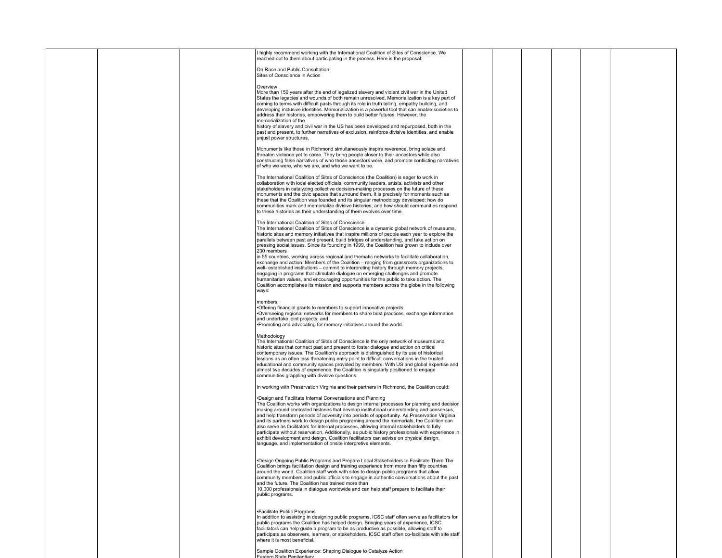|  |  | highly recommend working with the International Coalition of Sites of Conscience. We<br>reached out to them about participating in the process. Here is the proposal:                                                                                                                                                                                                                                                                                                                                                                                                                                                                                                                                                                                                                                                                                                                                                                                                                                                               |  |  |  |
|--|--|-------------------------------------------------------------------------------------------------------------------------------------------------------------------------------------------------------------------------------------------------------------------------------------------------------------------------------------------------------------------------------------------------------------------------------------------------------------------------------------------------------------------------------------------------------------------------------------------------------------------------------------------------------------------------------------------------------------------------------------------------------------------------------------------------------------------------------------------------------------------------------------------------------------------------------------------------------------------------------------------------------------------------------------|--|--|--|
|  |  | On Race and Public Consultation:<br>Sites of Conscience in Action                                                                                                                                                                                                                                                                                                                                                                                                                                                                                                                                                                                                                                                                                                                                                                                                                                                                                                                                                                   |  |  |  |
|  |  | Overview<br>More than 150 years after the end of legalized slavery and violent civil war in the United<br>States the legacies and wounds of both remain unresolved. Memorialization is a key part of<br>coming to terms with difficult pasts through its role in truth telling, empathy building, and<br>developing inclusive identities. Memorialization is a powerful tool that can enable societies to<br>address their histories, empowering them to build better futures. However, the<br>memorialization of the<br>history of slavery and civil war in the US has been developed and repurposed, both in the<br>past and present, to further narratives of exclusion, reinforce divisive identities, and enable<br>unjust power structures.                                                                                                                                                                                                                                                                                   |  |  |  |
|  |  | Monuments like those in Richmond simultaneously inspire reverence, bring solace and<br>threaten violence yet to come. They bring people closer to their ancestors while also<br>constructing false narratives of who those ancestors were, and promote conflicting narratives<br>of who we were, who we are, and who we want to be.                                                                                                                                                                                                                                                                                                                                                                                                                                                                                                                                                                                                                                                                                                 |  |  |  |
|  |  | The International Coalition of Sites of Conscience (the Coalition) is eager to work in<br>collaboration with local elected officials, community leaders, artists, activists and other<br>stakeholders in catalyzing collective decision-making processes on the future of these<br>monuments and the civic spaces that surround them. It is precisely for moments such as<br>these that the Coalition was founded and its singular methodology developed: how do<br>communities mark and memorialize divisive histories, and how should communities respond<br>to these histories as their understanding of them evolves over time.                                                                                                                                                                                                                                                                                                                                                                                                 |  |  |  |
|  |  | The International Coalition of Sites of Conscience<br>The International Coalition of Sites of Conscience is a dynamic global network of museums,<br>historic sites and memory initiatives that inspire millions of people each year to explore the<br>parallels between past and present, build bridges of understanding, and take action on<br>pressing social issues. Since its founding in 1999, the Coalition has grown to include over<br>230 members<br>in 55 countries, working across regional and thematic networks to facilitate collaboration,<br>exchange and action. Members of the Coalition - ranging from grassroots organizations to<br>well- established institutions - commit to interpreting history through memory projects,<br>engaging in programs that stimulate dialogue on emerging challenges and promote<br>humanitarian values, and encouraging opportunities for the public to take action. The<br>Coalition accomplishes its mission and supports members across the globe in the following<br>ways: |  |  |  |
|  |  | members<br>*Offering financial grants to members to support innovative projects;<br>•Overseeing regional networks for members to share best practices, exchange information<br>and undertake joint projects; and<br>•Promoting and advocating for memory initiatives around the world.                                                                                                                                                                                                                                                                                                                                                                                                                                                                                                                                                                                                                                                                                                                                              |  |  |  |
|  |  | Methodology<br>The International Coalition of Sites of Conscience is the only network of museums and<br>historic sites that connect past and present to foster dialogue and action on critical<br>contemporary issues. The Coalition's approach is distinguished by its use of historical<br>lessons as an often less threatening entry point to difficult conversations in the trusted<br>educational and community spaces provided by members. With US and global expertise and<br>almost two decades of experience, the Coalition is singularly positioned to engage<br>communities grappling with divisive questions.                                                                                                                                                                                                                                                                                                                                                                                                           |  |  |  |
|  |  | In working with Preservation Virginia and their partners in Richmond, the Coalition could:<br>*Design and Facilitate Internal Conversations and Planning<br>The Coalition works with organizations to design internal processes for planning and decision<br>making around contested histories that develop institutional understanding and consensus,<br>and help transform periods of adversity into periods of opportunity. As Preservation Virginia<br>and its partners work to design public programing around the memorials, the Coalition can<br>also serve as facilitators for internal processes, allowing internal stakeholders to fully<br>participate without reservation. Additionally, as public history professionals with experience in<br>exhibit development and design, Coalition facilitators can advise on physical design,<br>language, and implementation of onsite interpretive elements.                                                                                                                   |  |  |  |
|  |  | •Design Ongoing Public Programs and Prepare Local Stakeholders to Facilitate Them The<br>Coalition brings facilitation design and training experience from more than fifty countries<br>around the world. Coalition staff work with sites to design public programs that allow<br>community members and public officials to engage in authentic conversations about the past<br>and the future. The Coalition has trained more than<br>10,000 professionals in dialogue worldwide and can help staff prepare to facilitate their<br>public programs.                                                                                                                                                                                                                                                                                                                                                                                                                                                                                |  |  |  |
|  |  | •Facilitate Public Programs<br>In addition to assisting in designing public programs, ICSC staff often serve as facilitators for<br>public programs the Coalition has helped design. Bringing years of experience, ICSC<br>facilitators can help quide a program to be as productive as possible, allowing staff to<br>participate as observers, learners, or stakeholders. ICSC staff often co-facilitate with site staff<br>where it is most beneficial.                                                                                                                                                                                                                                                                                                                                                                                                                                                                                                                                                                          |  |  |  |
|  |  | Sample Coalition Experience: Shaping Dialogue to Catalyze Action                                                                                                                                                                                                                                                                                                                                                                                                                                                                                                                                                                                                                                                                                                                                                                                                                                                                                                                                                                    |  |  |  |

Eastern State Penitentiary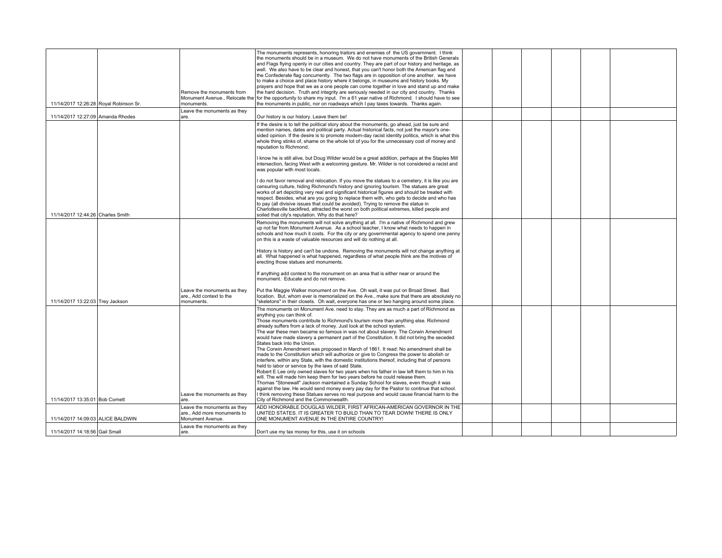| 11/14/2017 12:26:28 Royal Robinson Sr. | Remove the monuments from<br>monuments.                             | The monuments represents, honoring traitors and enemies of the US government. I think<br>the monuments should be in a museum. We do not have monuments of the British Generals<br>and Flags flying openly in our cities and country. They are part of our history and heritage, as<br>well. We also have to be clear and honest, that you can't honor both the American flag and<br>the Confederate flag concurrently. The two flags are in opposition of one another. we have<br>to make a choice and place history where it belongs, in museums and history books. My<br>prayers and hope that we as a one people can come together in love and stand up and make<br>the hard decision. Truth and integrity are seriously needed in our city and country. Thanks<br>Monument Avenue., Relocate the for the opportunity to share my input. I'm a 61 year native of Richmond. I should have to see<br>the monuments in public, nor on roadways which I pay taxes towards. Thanks again. |  |  |  |
|----------------------------------------|---------------------------------------------------------------------|-----------------------------------------------------------------------------------------------------------------------------------------------------------------------------------------------------------------------------------------------------------------------------------------------------------------------------------------------------------------------------------------------------------------------------------------------------------------------------------------------------------------------------------------------------------------------------------------------------------------------------------------------------------------------------------------------------------------------------------------------------------------------------------------------------------------------------------------------------------------------------------------------------------------------------------------------------------------------------------------|--|--|--|
| 11/14/2017 12:27:09 Amanda Rhodes      | Leave the monuments as they<br>are.                                 | Our history is our history. Leave them be!                                                                                                                                                                                                                                                                                                                                                                                                                                                                                                                                                                                                                                                                                                                                                                                                                                                                                                                                              |  |  |  |
|                                        |                                                                     | If the desire is to tell the political story about the monuments, go ahead, just be sure and                                                                                                                                                                                                                                                                                                                                                                                                                                                                                                                                                                                                                                                                                                                                                                                                                                                                                            |  |  |  |
|                                        |                                                                     | mention names, dates and political party. Actual historical facts, not just the mayor's one-<br>sided opinion. If the desire is to promote modern-day racist identity politics, which is what this<br>whole thing stinks of, shame on the whole lot of you for the unnecessary cost of money and<br>reputation to Richmond.                                                                                                                                                                                                                                                                                                                                                                                                                                                                                                                                                                                                                                                             |  |  |  |
|                                        |                                                                     | I know he is still alive, but Doug Wilder would be a great addition, perhaps at the Staples Mill<br>intersection, facing West with a welcoming gesture. Mr. Wilder is not considered a racist and<br>was popular with most locals.                                                                                                                                                                                                                                                                                                                                                                                                                                                                                                                                                                                                                                                                                                                                                      |  |  |  |
|                                        |                                                                     | do not favor removal and relocation. If you move the statues to a cemetery, it is like you are<br>censuring culture, hiding Richmond's history and ignoring tourism. The statues are great<br>works of art depicting very real and significant historical figures and should be treated with<br>respect. Besides, what are you going to replace them with, who gets to decide and who has<br>to pay (all divisive issues that could be avoided). Trying to remove the statue in                                                                                                                                                                                                                                                                                                                                                                                                                                                                                                         |  |  |  |
| 11/14/2017 12:44:26 Charles Smith      |                                                                     | Charlottesville backfired, attracted the worst on both political extremes, killed people and<br>soiled that city's reputation. Why do that here?                                                                                                                                                                                                                                                                                                                                                                                                                                                                                                                                                                                                                                                                                                                                                                                                                                        |  |  |  |
|                                        |                                                                     | Removing the monuments will not solve anything at all. I'm a native of Richmond and grew<br>up not far from Monument Avenue. As a school teacher, I know what needs to happen in<br>schools and how much it costs. For the city or any governmental agency to spend one penny<br>on this is a waste of valuable resources and will do nothing at all.                                                                                                                                                                                                                                                                                                                                                                                                                                                                                                                                                                                                                                   |  |  |  |
|                                        |                                                                     | History is history and can't be undone. Removing the monuments will not change anything at<br>all. What happened is what happened, regardless of what people think are the motives of<br>erecting those statues and monuments.                                                                                                                                                                                                                                                                                                                                                                                                                                                                                                                                                                                                                                                                                                                                                          |  |  |  |
|                                        |                                                                     | If anything add context to the monument on an area that is either near or around the<br>monument. Educate and do not remove.                                                                                                                                                                                                                                                                                                                                                                                                                                                                                                                                                                                                                                                                                                                                                                                                                                                            |  |  |  |
| 11/14/2017 13:22:03 Trey Jackson       | Leave the monuments as they<br>are Add context to the<br>monuments. | Put the Maggie Walker monument on the Ave. Oh wait, it was put on Broad Street. Bad<br>location. But, whom ever is memorialized on the Ave., make sure that there are absolutely no<br>"skeletons" in their closets. Oh wait, everyone has one or two hanging around some place.                                                                                                                                                                                                                                                                                                                                                                                                                                                                                                                                                                                                                                                                                                        |  |  |  |
|                                        |                                                                     | The monuments on Monument Ave. need to stay. They are as much a part of Richmond as<br>anything you can think of.                                                                                                                                                                                                                                                                                                                                                                                                                                                                                                                                                                                                                                                                                                                                                                                                                                                                       |  |  |  |
|                                        |                                                                     | Those monuments contribute to Richmond's tourism more than anything else. Richmond<br>already suffers from a lack of money. Just look at the school system.                                                                                                                                                                                                                                                                                                                                                                                                                                                                                                                                                                                                                                                                                                                                                                                                                             |  |  |  |
|                                        |                                                                     | The war these men became so famous in was not about slavery. The Corwin Amendment<br>would have made slavery a permanent part of the Constitution. It did not bring the seceded<br>States back into the Union.                                                                                                                                                                                                                                                                                                                                                                                                                                                                                                                                                                                                                                                                                                                                                                          |  |  |  |
|                                        |                                                                     | The Corwin Amendment was proposed in March of 1861. It read: No amendment shall be<br>made to the Constitution which will authorize or give to Congress the power to abolish or                                                                                                                                                                                                                                                                                                                                                                                                                                                                                                                                                                                                                                                                                                                                                                                                         |  |  |  |
|                                        |                                                                     | interfere, within any State, with the domestic institutions thereof, including that of persons<br>held to labor or service by the laws of said State.                                                                                                                                                                                                                                                                                                                                                                                                                                                                                                                                                                                                                                                                                                                                                                                                                                   |  |  |  |
|                                        |                                                                     | Robert E Lee only owned slaves for two years when his father in law left them to him in his<br>will. The will made him keep them for two years before he could release them.                                                                                                                                                                                                                                                                                                                                                                                                                                                                                                                                                                                                                                                                                                                                                                                                            |  |  |  |
|                                        |                                                                     | Thomas "Stonewall" Jackson maintained a Sunday School for slaves, even though it was<br>against the law. He would send money every pay day for the Pastor to continue that school.                                                                                                                                                                                                                                                                                                                                                                                                                                                                                                                                                                                                                                                                                                                                                                                                      |  |  |  |
| 11/14/2017 13:35:01 Bob Cornett        | Leave the monuments as they<br>are.                                 | I think removing these Statues serves no real purpose and would cause financial harm to the<br>City of Richmond and the Commonwealth.                                                                                                                                                                                                                                                                                                                                                                                                                                                                                                                                                                                                                                                                                                                                                                                                                                                   |  |  |  |
|                                        | Leave the monuments as they                                         | ADD HONORABLE DOUGLAS WILDER, FIRST AFRICAN-AMERICAN GOVERNOR IN THE                                                                                                                                                                                                                                                                                                                                                                                                                                                                                                                                                                                                                                                                                                                                                                                                                                                                                                                    |  |  |  |
| 11/14/2017 14:09:03 ALICE BALDWIN      | are., Add more monuments to<br>Monument Avenue.                     | UNITED STATES. IT IS GREATER TO BUILD THAN TO TEAR DOWN! THERE IS ONLY<br>ONE MONUMENT AVENUE IN THE ENTIRE COUNTRY!                                                                                                                                                                                                                                                                                                                                                                                                                                                                                                                                                                                                                                                                                                                                                                                                                                                                    |  |  |  |
| 11/14/2017 14:18:56 Gail Small         | Leave the monuments as they<br>are.                                 | Don't use my tax money for this, use it on schools                                                                                                                                                                                                                                                                                                                                                                                                                                                                                                                                                                                                                                                                                                                                                                                                                                                                                                                                      |  |  |  |
|                                        |                                                                     |                                                                                                                                                                                                                                                                                                                                                                                                                                                                                                                                                                                                                                                                                                                                                                                                                                                                                                                                                                                         |  |  |  |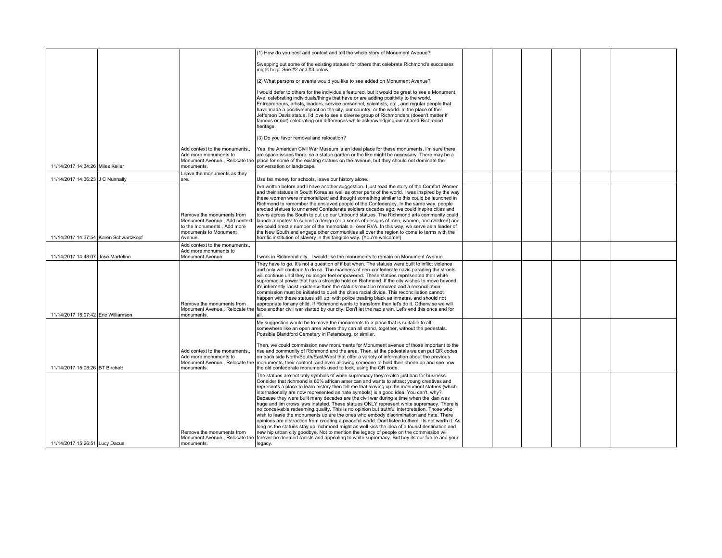|                                        |                                                                                                                           | (1) How do you best add context and tell the whole story of Monument Avenue?                                                                                                                                                                                                                                                                                                                                                                                                                                                                                                                                                                                                                                                                                                                                                                                                                                                                                                                                                                                                                                                                                                                        |  |  |  |
|----------------------------------------|---------------------------------------------------------------------------------------------------------------------------|-----------------------------------------------------------------------------------------------------------------------------------------------------------------------------------------------------------------------------------------------------------------------------------------------------------------------------------------------------------------------------------------------------------------------------------------------------------------------------------------------------------------------------------------------------------------------------------------------------------------------------------------------------------------------------------------------------------------------------------------------------------------------------------------------------------------------------------------------------------------------------------------------------------------------------------------------------------------------------------------------------------------------------------------------------------------------------------------------------------------------------------------------------------------------------------------------------|--|--|--|
|                                        |                                                                                                                           | Swapping out some of the existing statues for others that celebrate Richmond's successes<br>might help. See #2 and #3 below.                                                                                                                                                                                                                                                                                                                                                                                                                                                                                                                                                                                                                                                                                                                                                                                                                                                                                                                                                                                                                                                                        |  |  |  |
|                                        |                                                                                                                           | (2) What persons or events would you like to see added on Monument Avenue?                                                                                                                                                                                                                                                                                                                                                                                                                                                                                                                                                                                                                                                                                                                                                                                                                                                                                                                                                                                                                                                                                                                          |  |  |  |
|                                        |                                                                                                                           | I would defer to others for the individuals featured, but it would be great to see a Monument<br>Ave. celebrating individuals/things that have or are adding positivity to the world.<br>Entrepreneurs, artists, leaders, service personnel, scientists, etc., and regular people that<br>have made a positive impact on the city, our country, or the world. In the place of the<br>Jefferson Davis statue, I'd love to see a diverse group of Richmonders (doesn't matter if<br>famous or not) celebrating our differences while acknowledging our shared Richmond<br>heritage.                                                                                                                                                                                                                                                                                                                                                                                                                                                                                                                                                                                                                   |  |  |  |
|                                        |                                                                                                                           | (3) Do you favor removal and relocation?                                                                                                                                                                                                                                                                                                                                                                                                                                                                                                                                                                                                                                                                                                                                                                                                                                                                                                                                                                                                                                                                                                                                                            |  |  |  |
| 11/14/2017 14:34:26 Miles Keller       | Add context to the monuments.<br>Add more monuments to<br>monuments.                                                      | Yes, the American Civil War Museum is an ideal place for these monuments. I'm sure there<br>are space issues there, so a statue garden or the like might be necessary. There may be a<br>Monument Avenue., Relocate the place for some of the existing statues on the avenue, but they should not dominate the<br>conversation or landscape.                                                                                                                                                                                                                                                                                                                                                                                                                                                                                                                                                                                                                                                                                                                                                                                                                                                        |  |  |  |
| 11/14/2017 14:36:23 J C Nunnally       | Leave the monuments as they<br>are.                                                                                       | Use tax money for schools, leave our history alone.                                                                                                                                                                                                                                                                                                                                                                                                                                                                                                                                                                                                                                                                                                                                                                                                                                                                                                                                                                                                                                                                                                                                                 |  |  |  |
| 11/14/2017 14:37:54 Karen Schwartzkopf | Remove the monuments from<br>Monument Avenue Add context<br>to the monuments Add more<br>monuments to Monument<br>Avenue. | I've written before and I have another suggestion. I just read the story of the Comfort Women<br>and their statues in South Korea as well as other parts of the world. I was inspired by the way<br>these women were memorialized and thought something similar to this could be launched in<br>Richmond to remember the enslaved people of the Confederacy. In the same way, people<br>erected statues to unnamed Confederate soldiers decades ago, we could inspire cities and<br>towns across the South to put up our Unbound statues. The Richmond arts community could<br>launch a contest to submit a design (or a series of designs of men, women, and children) and<br>we could erect a number of the memorials all over RVA. In this way, we serve as a leader of<br>the New South and engage other communities all over the region to come to terms with the<br>horrific institution of slavery in this tangible way. (You're welcome!)                                                                                                                                                                                                                                                   |  |  |  |
| 11/14/2017 14:48:07 Jose Martelino     | Add context to the monuments.<br>Add more monuments to<br>Monument Avenue.                                                | I work in Richmond city. I would like the monuments to remain on Monument Avenue.                                                                                                                                                                                                                                                                                                                                                                                                                                                                                                                                                                                                                                                                                                                                                                                                                                                                                                                                                                                                                                                                                                                   |  |  |  |
| 11/14/2017 15:07:42 Eric Williamson    | Remove the monuments from<br>monuments.                                                                                   | They have to go. It's not a question of if but when. The statues were built to inflict violence<br>and only will continue to do so. The madness of neo-confederate nazis parading the streets<br>will continue until they no longer feel empowered. These statues represented their white<br>supremacist power that has a strangle hold on Richmond. If the city wishes to move beyond<br>it's inherently racist existence then the statues must be removed and a reconciliation<br>commission must be initiated to quell the cities racial divide. This reconciliation cannot<br>happen with these statues still up, with police treating black as inmates, and should not<br>appropriate for any child. If Richmond wants to transform then let's do it. Otherwise we will<br>Monument Avenue., Relocate the face another civil war started by our city. Don't let the nazis win. Let's end this once and for<br>211                                                                                                                                                                                                                                                                              |  |  |  |
|                                        |                                                                                                                           | My suggestion would be to move the monuments to a place that is suitable to all -<br>somewhere like an open area where they can all stand, together, without the pedestals.<br>Possible Blandford Cemetery in Petersburg, or similar.                                                                                                                                                                                                                                                                                                                                                                                                                                                                                                                                                                                                                                                                                                                                                                                                                                                                                                                                                               |  |  |  |
| 11/14/2017 15:08:26 BT Birchett        | Add context to the monuments.<br>Add more monuments to<br>monuments.                                                      | Then, we could commission new monuments for Monument avenue of those important to the<br>rise and community of Richmond and the area. Then, at the pedestals we can put QR codes<br>on each side North/South/East/West that offer a variety of information about the previous<br>Monument Avenue., Relocate the monuments, their content, and even allowing someone to hold their phone up and see how<br>the old confederate monuments used to look, using the QR code.                                                                                                                                                                                                                                                                                                                                                                                                                                                                                                                                                                                                                                                                                                                            |  |  |  |
| 11/14/2017 15:26:51 Lucy Dacus         | Remove the monuments from<br>monuments.                                                                                   | The statues are not only symbols of white supremacy they're also just bad for business.<br>Consider that richmond is 60% african american and wants to attract young creatives and<br>represents a place to learn history then tell me that leaving up the monument statues (which<br>internationally are now represented as hate symbols) is a good idea. You can't, why?<br>Because they were built many decades are the civil war during a time when the klan was<br>huge and jim crows laws instated. These statues ONLY represent white supremacy. There is<br>no conceivable redeeming quality. This is no opinion but truthful interpretation. Those who<br>wish to leave the monuments up are the ones who embody discrimination and hate. There<br>opinions are distraction from creating a peaceful world. Dont listen to them, Its not worth it. As<br>long as the statues stay up, richmond might as well kiss the idea of a tourist destination and<br>new hip urban city goodbye. Not to mention the legacy of people on the commission will<br>Monument Avenue., Relocate the forever be deemed racists and appealing to white supremacy. But hey its our future and your<br>legacy. |  |  |  |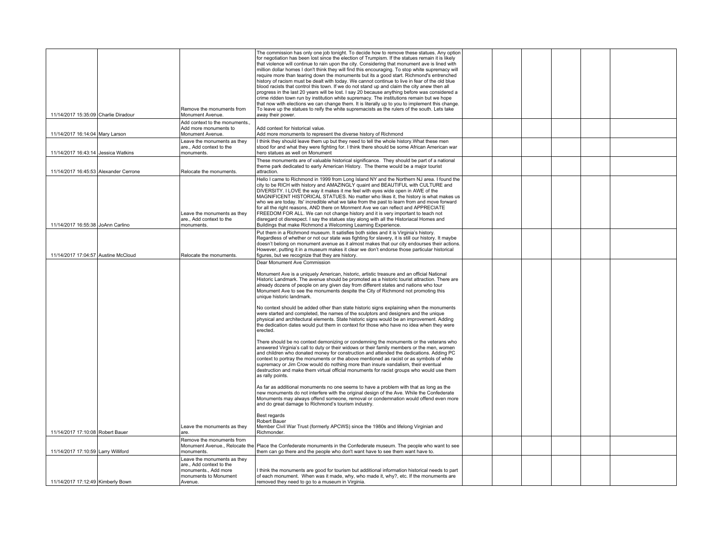|                                       |                                                         | The commission has only one job tonight. To decide how to remove these statues. Any option                                                                                                         |  |  |  |
|---------------------------------------|---------------------------------------------------------|----------------------------------------------------------------------------------------------------------------------------------------------------------------------------------------------------|--|--|--|
|                                       |                                                         | for negotiation has been lost since the election of Trumpism. If the statues remain it is likely<br>that violence will continue to rain upon the city. Considering that monument ave is lined with |  |  |  |
|                                       |                                                         | million dollar homes I don't think they will find this encouraging. To stop white supremacy will                                                                                                   |  |  |  |
|                                       |                                                         | require more than tearing down the monuments but its a good start. Richmond's entrenched<br>history of racism must be dealt with today. We cannot continue to live in fear of the old blue         |  |  |  |
|                                       |                                                         | blood racists that control this town. If we do not stand up and claim the city anew then all                                                                                                       |  |  |  |
|                                       |                                                         | progress in the last 20 years will be lost. I say 20 because anything before was considered a<br>crime ridden town run by institution white supremacy. The institutions remain but we hope         |  |  |  |
|                                       |                                                         | that now with elections we can change them. It is literally up to you to implement this change.                                                                                                    |  |  |  |
| 11/14/2017 15:35:09 Charlie Diradour  | Remove the monuments from<br>Monument Avenue.           | To leave up the statues to reify the white supremacists as the rulers of the south. Lets take<br>away their power.                                                                                 |  |  |  |
|                                       | Add context to the monuments                            |                                                                                                                                                                                                    |  |  |  |
|                                       | Add more monuments to                                   | Add context for historical value.                                                                                                                                                                  |  |  |  |
| 11/14/2017 16:14:04 Mary Larson       | Monument Avenue.                                        | Add more monuments to represent the diverse history of Richmond                                                                                                                                    |  |  |  |
|                                       | Leave the monuments as they<br>are., Add context to the | I think they should leave them up but they need to tell the whole history. What these men<br>stood for and what they were fighting for. I think there should be some African American war          |  |  |  |
| 11/14/2017 16:43:14 Jessica Watkins   | monuments.                                              | hero statues as well on Monument                                                                                                                                                                   |  |  |  |
|                                       |                                                         | These monuments are of valuable historical significance. They should be part of a national<br>theme park dedicated to early American History. The theme would be a major tourist                   |  |  |  |
| 11/14/2017 16:45:53 Alexander Cerrone | Relocate the monuments.                                 | attraction.                                                                                                                                                                                        |  |  |  |
|                                       |                                                         | Hello I came to Richmond in 1999 from Long Island NY and the Northern NJ area. I found the                                                                                                         |  |  |  |
|                                       |                                                         | city to be RICH with history and AMAZINGLY quaint and BEAUTIFUL with CULTURE and<br>DIVERSITY. I LOVE the way it makes it me feel with eyes wide open in AWE of the                                |  |  |  |
|                                       |                                                         | MAGNIFICENT HISTORICAL STATUES. No matter who likes it, the history is what makes us                                                                                                               |  |  |  |
|                                       |                                                         | who we are today. Its' incredible what we take from the past to learn from and move forward<br>for all the right reasons, AND there on Monment Ave we can reflect and APPRECIATE                   |  |  |  |
|                                       | Leave the monuments as they                             | FREEDOM FOR ALL. We can not change history and it is very important to teach not                                                                                                                   |  |  |  |
| 11/14/2017 16:55:38 JoAnn Carlino     | are., Add context to the<br>monuments.                  | disregard ot disrespect. I say the statues stay along with all the Historiacal Homes and<br>Buildings that make Richmond a Welcoming Learning Experience.                                          |  |  |  |
|                                       |                                                         | Put them in a Richmond museum. It satisfies both sides and it is Virginia's history.                                                                                                               |  |  |  |
|                                       |                                                         | Regardless of whether or not our state was fighting for slavery, it is still our history. It maybe                                                                                                 |  |  |  |
|                                       |                                                         | doesn't belong on monument avenue as it almost makes that our city endourses their actions.<br>However, putting it in a museum makes it clear we don't endorse those particular historical         |  |  |  |
| 11/14/2017 17:04:57 Austine McCloud   | Relocate the monuments.                                 | figures, but we recognize that they are history.                                                                                                                                                   |  |  |  |
|                                       |                                                         | Dear Monument Ave Commission                                                                                                                                                                       |  |  |  |
|                                       |                                                         | Monument Ave is a uniquely American, historic, artistic treasure and an official National                                                                                                          |  |  |  |
|                                       |                                                         | Historic Landmark. The avenue should be promoted as a historic tourist attraction. There are                                                                                                       |  |  |  |
|                                       |                                                         | already dozens of people on any given day from different states and nations who tour<br>Monument Ave to see the monuments despite the City of Richmond not promoting this                          |  |  |  |
|                                       |                                                         | unique historic landmark.                                                                                                                                                                          |  |  |  |
|                                       |                                                         | No context should be added other than state historic signs explaining when the monuments                                                                                                           |  |  |  |
|                                       |                                                         | were started and completed, the names of the sculptors and designers and the unique<br>physical and architectural elements. State historic signs would be an improvement. Adding                   |  |  |  |
|                                       |                                                         | the dedication dates would put them in context for those who have no idea when they were                                                                                                           |  |  |  |
|                                       |                                                         | erected.                                                                                                                                                                                           |  |  |  |
|                                       |                                                         | There should be no context demonizing or condemning the monuments or the veterans who                                                                                                              |  |  |  |
|                                       |                                                         | answered Virginia's call to duty or their widows or their family members or the men, women                                                                                                         |  |  |  |
|                                       |                                                         | and children who donated money for construction and attended the dedications. Adding PC<br>context to portray the monuments or the above mentioned as racist or as symbols of white                |  |  |  |
|                                       |                                                         | supremacy or Jim Crow would do nothing more than insure vandalism, their eventual                                                                                                                  |  |  |  |
|                                       |                                                         | destruction and make them virtual official monuments for racist groups who would use them<br>as rally points.                                                                                      |  |  |  |
|                                       |                                                         | As far as additional monuments no one seems to have a problem with that as long as the                                                                                                             |  |  |  |
|                                       |                                                         | new monuments do not interfere with the original design of the Ave. While the Confederate                                                                                                          |  |  |  |
|                                       |                                                         | Monuments may always offend someone, removal or condemnation would offend even more<br>and do great damage to Richmond's tourism industry.                                                         |  |  |  |
|                                       |                                                         |                                                                                                                                                                                                    |  |  |  |
|                                       |                                                         | Best regards<br>Robert Bauer                                                                                                                                                                       |  |  |  |
|                                       | Leave the monuments as they                             | Member Civil War Trust (formerly APCWS) since the 1980s and lifelong Virginian and                                                                                                                 |  |  |  |
| 11/14/2017 17:10:08 Robert Bauer      | lare.                                                   | Richmonder.                                                                                                                                                                                        |  |  |  |
|                                       | Remove the monuments from                               | Monument Avenue., Relocate the Place the Confederate monuments in the Confederate museum. The people who want to see                                                                               |  |  |  |
| 11/14/2017 17:10:59 Larry Williford   | monuments.                                              | them can go there and the people who don't want have to see them want have to.                                                                                                                     |  |  |  |
|                                       | Leave the monuments as they<br>are Add context to the   |                                                                                                                                                                                                    |  |  |  |
|                                       | monuments., Add more                                    | I think the monuments are good for tourism but additional information historical needs to part                                                                                                     |  |  |  |
|                                       | monuments to Monument                                   | of each monument. When was it made, why, who made it, why?, etc. If the monuments are                                                                                                              |  |  |  |
| 11/14/2017 17:12:49 Kimberly Bown     | Avenue.                                                 | removed they need to go to a museum in Virginia.                                                                                                                                                   |  |  |  |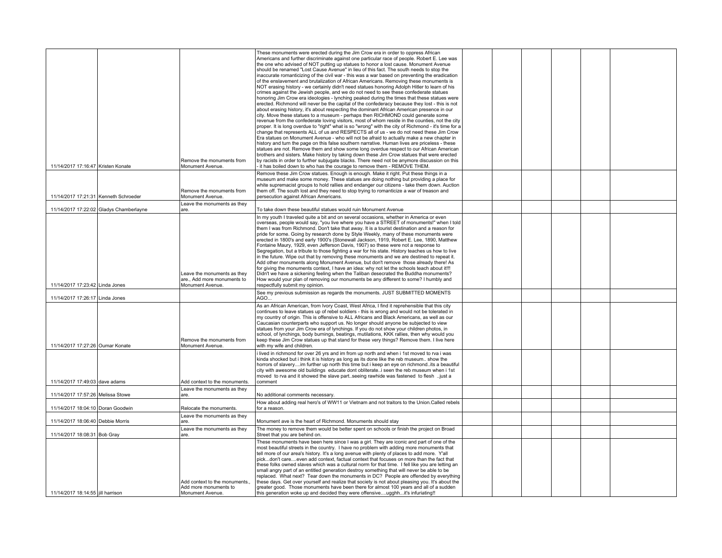| 11/14/2017 17:16:47 Kristen Konate      | Remove the monuments from<br>Monument Avenue.                                  | These monuments were erected during the Jim Crow era in order to oppress African<br>Americans and further discriminate against one particular race of people. Robert E. Lee was<br>the one who advised of NOT putting up statues to honor a lost cause. Monument Avenue<br>should be renamed "Lost Cause Avenue" in lieu of this fact. The south needs to stop the<br>inaccurate romanticizing of the civil war - this was a war based on preventing the eradication<br>of the enslavement and brutalization of African Americans. Removing these monuments is<br>NOT erasing history - we certainly didn't need statues honoring Adolph Hitler to learn of his<br>crimes against the Jewish people, and we do not need to see these confederate statues<br>honoring Jim Crow era ideologies - lynching peaked during the times that these statues were<br>erected. Richmond will never be the capital of the confederacy because they lost - this is not<br>about erasing history, it's about respecting the dominant African American presence in our<br>city. Move these statues to a museum - perhaps then RICHMOND could generate some<br>revenue from the confederate loving visitors, most of whom reside in the counties, not the city<br>proper. It is long overdue to "right" what is so "wrong" with the city of Richmond - it's time for a<br>change that represents ALL of us and RESPECTS all of us - we do not need these Jim Crow<br>Era statues on Monument Avenue - who will not be afraid to actually make a new chapter in<br>history and turn the page on this false southern narrative. Human lives are priceless - these<br>statues are not. Remove them and show some long overdue respect to our African American<br>brothers and sisters. Make history by taking down these Jim Crow statues that were erected<br>by racists in order to further subjugate blacks. There need not be anymore discussion on this<br>it has boiled down to who has the courage to remove them - REMOVE THEM. |  |  |  |
|-----------------------------------------|--------------------------------------------------------------------------------|----------------------------------------------------------------------------------------------------------------------------------------------------------------------------------------------------------------------------------------------------------------------------------------------------------------------------------------------------------------------------------------------------------------------------------------------------------------------------------------------------------------------------------------------------------------------------------------------------------------------------------------------------------------------------------------------------------------------------------------------------------------------------------------------------------------------------------------------------------------------------------------------------------------------------------------------------------------------------------------------------------------------------------------------------------------------------------------------------------------------------------------------------------------------------------------------------------------------------------------------------------------------------------------------------------------------------------------------------------------------------------------------------------------------------------------------------------------------------------------------------------------------------------------------------------------------------------------------------------------------------------------------------------------------------------------------------------------------------------------------------------------------------------------------------------------------------------------------------------------------------------------------------------------------------------------------------------------------------------------------------------------------|--|--|--|
| 11/14/2017 17:21:31 Kenneth Schroeder   | Remove the monuments from<br>Monument Avenue.                                  | Remove these Jim Crow statues. Enough is enough. Make it right. Put these things in a<br>museum and make some money. These statues are doing nothing but providing a place for<br>white supremacist groups to hold rallies and endanger our citizens - take them down. Auction<br>them off. The south lost and they need to stop trying to romanticize a war of treason and<br>persecution against African Americans.                                                                                                                                                                                                                                                                                                                                                                                                                                                                                                                                                                                                                                                                                                                                                                                                                                                                                                                                                                                                                                                                                                                                                                                                                                                                                                                                                                                                                                                                                                                                                                                                |  |  |  |
| 11/14/2017 17:22:02 Gladys Chamberlayne | Leave the monuments as they<br>are.                                            | To take down these beautiful statues would ruin Monument Avenue                                                                                                                                                                                                                                                                                                                                                                                                                                                                                                                                                                                                                                                                                                                                                                                                                                                                                                                                                                                                                                                                                                                                                                                                                                                                                                                                                                                                                                                                                                                                                                                                                                                                                                                                                                                                                                                                                                                                                      |  |  |  |
| 11/14/2017 17:23:42 Linda Jones         | Leave the monuments as they<br>are., Add more monuments to<br>Monument Avenue. | In my youth I traveled quite a bit and on several occasions, whether in America or even<br>overseas, people would say, "you live where you have a STREET of monuments!" when I told<br>them I was from Richmond. Don't take that away. It is a tourist destination and a reason for<br>pride for some. Going by research done by Style Weekly, many of these monuments were<br>erected in 1800's and early 1900's (Stonewall Jackson, 1919, Robert E. Lee, 1890, Matthew<br>Fontaine Maury, 1929, even Jefferson Davis, 1907) so these were not a response to<br>Segregation, but a tribute to those fighting a war for his state. History teaches us how to live<br>in the future. Wipe out that by removing these monuments and we are destined to repeat it.<br>Add other monuments along Monument Avenue, but don't remove those already there! As<br>for giving the monuments context, I have an idea: why not let the schools teach about it!!!<br>Didn't we have a sickening feeling when the Taliban desecrated the Buddha monuments?<br>How would your plan of removing our monuments be any different to some? I humbly and<br>respectfully submit my opinion.                                                                                                                                                                                                                                                                                                                                                                                                                                                                                                                                                                                                                                                                                                                                                                                                                                             |  |  |  |
| 11/14/2017 17:26:17 Linda Jones         |                                                                                | See my previous submission as regards the monuments. JUST SUBMITTED MOMENTS<br>AGO                                                                                                                                                                                                                                                                                                                                                                                                                                                                                                                                                                                                                                                                                                                                                                                                                                                                                                                                                                                                                                                                                                                                                                                                                                                                                                                                                                                                                                                                                                                                                                                                                                                                                                                                                                                                                                                                                                                                   |  |  |  |
| 11/14/2017 17:27:26 Oumar Konate        | Remove the monuments from<br>Monument Avenue.                                  | As an African American, from Ivory Coast, West Africa, I find it reprehensible that this city<br>continues to leave statues up of rebel soldiers - this is wrong and would not be tolerated in<br>my country of origin. This is offensive to ALL Africans and Black Americans, as well as our<br>Caucasian counterparts who support us. No longer should anyone be subjected to view<br>statues from your Jim Crow era of lynchings. If you do not show your children photos, in<br>school, of lynchings, body burnings, beatings, mutilations, KKK rallies, then why would you<br>keep these Jim Crow statues up that stand for these very things? Remove them. I live here<br>with my wife and children.                                                                                                                                                                                                                                                                                                                                                                                                                                                                                                                                                                                                                                                                                                                                                                                                                                                                                                                                                                                                                                                                                                                                                                                                                                                                                                           |  |  |  |
| 11/14/2017 17:49:03 dave adams          | Add context to the monuments.                                                  | i lived in richmond for over 26 yrs and im from up north and when i 1st moved to rva i was<br>kinda shocked but i think it is history as long as its done like the reb museum show the<br>horrors of slaveryim further up north this time but i keep an eye on richmondits a beautiful<br>city with awesome old buildings educate dont obliterate. i seen the reb museum when i 1st<br>moved to rva and it showed the slave partseeing rawhide was fastened to flesh just a<br>comment                                                                                                                                                                                                                                                                                                                                                                                                                                                                                                                                                                                                                                                                                                                                                                                                                                                                                                                                                                                                                                                                                                                                                                                                                                                                                                                                                                                                                                                                                                                               |  |  |  |
| 11/14/2017 17:57:26 Melissa Stowe       | Leave the monuments as they<br>are.                                            | No additional comments necessary.                                                                                                                                                                                                                                                                                                                                                                                                                                                                                                                                                                                                                                                                                                                                                                                                                                                                                                                                                                                                                                                                                                                                                                                                                                                                                                                                                                                                                                                                                                                                                                                                                                                                                                                                                                                                                                                                                                                                                                                    |  |  |  |
|                                         |                                                                                | How about adding real hero's of WW11 or Vietnam and not traitors to the Union.Called rebels                                                                                                                                                                                                                                                                                                                                                                                                                                                                                                                                                                                                                                                                                                                                                                                                                                                                                                                                                                                                                                                                                                                                                                                                                                                                                                                                                                                                                                                                                                                                                                                                                                                                                                                                                                                                                                                                                                                          |  |  |  |
| 11/14/2017 18:04:10 Doran Goodwin       | Relocate the monuments.<br>Leave the monuments as they                         | for a reason.                                                                                                                                                                                                                                                                                                                                                                                                                                                                                                                                                                                                                                                                                                                                                                                                                                                                                                                                                                                                                                                                                                                                                                                                                                                                                                                                                                                                                                                                                                                                                                                                                                                                                                                                                                                                                                                                                                                                                                                                        |  |  |  |
| 11/14/2017 18:06:40 Debbie Morris       | are.<br>Leave the monuments as they                                            | Monument ave is the heart of Richmond. Monuments should stay<br>The money to remove them would be better spent on schools or finish the project on Broad                                                                                                                                                                                                                                                                                                                                                                                                                                                                                                                                                                                                                                                                                                                                                                                                                                                                                                                                                                                                                                                                                                                                                                                                                                                                                                                                                                                                                                                                                                                                                                                                                                                                                                                                                                                                                                                             |  |  |  |
| 11/14/2017 18:08:31 Bob Gray            | are.                                                                           | Street that you are behind on.                                                                                                                                                                                                                                                                                                                                                                                                                                                                                                                                                                                                                                                                                                                                                                                                                                                                                                                                                                                                                                                                                                                                                                                                                                                                                                                                                                                                                                                                                                                                                                                                                                                                                                                                                                                                                                                                                                                                                                                       |  |  |  |
| 11/14/2017 18:14:55 iill harrison       | Add context to the monuments.,<br>Add more monuments to<br>Monument Avenue.    | These monuments have been here since I was a girl. They are iconic and part of one of the<br>most beautiful streets in the country. I have no problem with adding more monuments that<br>tell more of our area's history. It's a long avenue with plenty of places to add more. Y'all<br>pickdon't careeven add context, factual context that focuses on more than the fact that<br>these folks owned slaves which was a cultural norm for that time. I fell like you are letting an<br>small angry part of an entitled generation destroy something that will never be able to be<br>replaced. What next? Tear down the monuments in DC? People are offended by everything<br>these days. Get over yourself and realize that society is not about pleasing you. It's about the<br>greater good. Those monuments have been there for almost 100 years and all of a sudden<br>this generation woke up and decided they were offensiveugghhit's infuriating!!                                                                                                                                                                                                                                                                                                                                                                                                                                                                                                                                                                                                                                                                                                                                                                                                                                                                                                                                                                                                                                                          |  |  |  |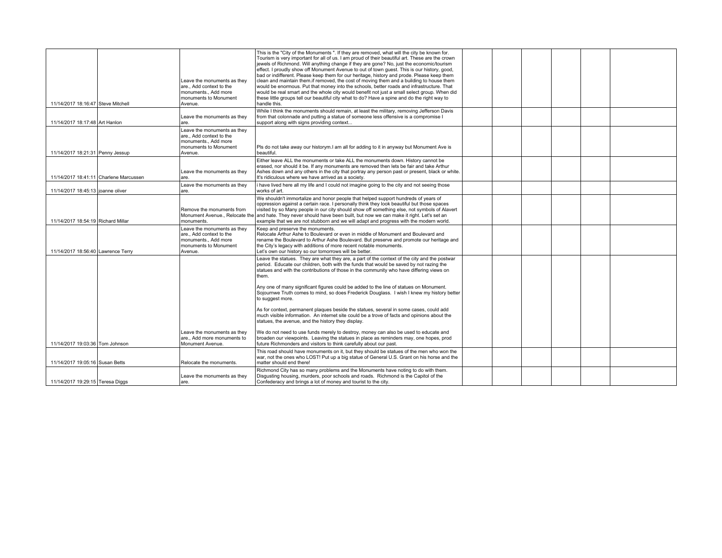| 11/14/2017 18:16:47 Steve Mitchell     | Leave the monuments as they<br>are Add context to the<br>monuments., Add more<br>monuments to Monument<br>Avenue. | This is the "City of the Monuments". If they are removed, what will the city be known for.<br>Tourism is very important for all of us. I am proud of their beautiful art. These are the crown<br>jewels of Richmond. Will anything change if they are gone? No, just the economic/tourism<br>effect. I proudly show off Monument Avenue to out of town quest. This is our history, good,<br>bad or indifferent. Please keep them for our heritage, history and prode. Please keep them<br>clean and maintain them. if removed, the cost of moving them and a building to house them<br>would be enormous. Put that money into the schools, better roads and infrastructure. That<br>would be real smart and the whole city would benefit not just a small select group. When did<br>these little groups tell our beautiful city what to do? Have a spine and do the right way to<br>handle this. |  |  |  |  |
|----------------------------------------|-------------------------------------------------------------------------------------------------------------------|--------------------------------------------------------------------------------------------------------------------------------------------------------------------------------------------------------------------------------------------------------------------------------------------------------------------------------------------------------------------------------------------------------------------------------------------------------------------------------------------------------------------------------------------------------------------------------------------------------------------------------------------------------------------------------------------------------------------------------------------------------------------------------------------------------------------------------------------------------------------------------------------------|--|--|--|--|
| 11/14/2017 18:17:48 Art Hanlon         | Leave the monuments as they<br>are.                                                                               | While I think the monuments should remain, at least the military, removing Jefferson Davis<br>from that colonnade and putting a statue of someone less offensive is a compromise I<br>support along with signs providing context                                                                                                                                                                                                                                                                                                                                                                                                                                                                                                                                                                                                                                                                 |  |  |  |  |
| 11/14/2017 18:21:31 Penny Jessup       | Leave the monuments as they<br>are Add context to the<br>monuments Add more<br>monuments to Monument<br>Avenue.   | Pls do not take away our historym. I am all for adding to it in anyway but Monument Ave is<br>beautiful.                                                                                                                                                                                                                                                                                                                                                                                                                                                                                                                                                                                                                                                                                                                                                                                         |  |  |  |  |
| 11/14/2017 18:41:11 Charlene Marcussen | Leave the monuments as they<br>are.                                                                               | Either leave ALL the monuments or take ALL the monuments down. History cannot be<br>erased, nor should it be. If any monuments are removed then lets be fair and take Arthur<br>Ashes down and any others in the city that portray any person past or present, black or white.<br>It's ridiculous where we have arrived as a society.                                                                                                                                                                                                                                                                                                                                                                                                                                                                                                                                                            |  |  |  |  |
| 11/14/2017 18:45:13 ioanne oliver      | Leave the monuments as they<br>are.                                                                               | i have lived here all my life and I could not imagine going to the city and not seeing those<br>works of art.                                                                                                                                                                                                                                                                                                                                                                                                                                                                                                                                                                                                                                                                                                                                                                                    |  |  |  |  |
| 11/14/2017 18:54:19 Richard Millar     | Remove the monuments from<br>monuments.                                                                           | We shouldn't immortalize and honor people that helped support hundreds of years of<br>oppression against a certain race. I personally think they look beautiful but those spaces<br>visited by so Many people in our city should show off something else, not symbols of Alavert<br>Monument Avenue Relocate the and hate. They never should have been built, but now we can make it right. Let's set an<br>example that we are not stubborn and we will adapt and progress with the modern world.                                                                                                                                                                                                                                                                                                                                                                                               |  |  |  |  |
| 11/14/2017 18:56:40 Lawrence Terry     | Leave the monuments as they<br>are Add context to the<br>monuments Add more<br>monuments to Monument<br>Avenue.   | Keep and preserve the monuments.<br>Relocate Arthur Ashe to Boulevard or even in middle of Monument and Boulevard and<br>rename the Boulevard to Arthur Ashe Boulevard. But preserve and promote our heritage and<br>the City's legacy with additions of more recent notable monuments.<br>Let's own our history so our tomorrows will be better.                                                                                                                                                                                                                                                                                                                                                                                                                                                                                                                                                |  |  |  |  |
|                                        |                                                                                                                   | Leave the statues. They are what they are, a part of the context of the city and the postwar<br>period. Educate our children, both with the funds that would be saved by not razing the<br>statues and with the contributions of those in the community who have differing views on<br>them.                                                                                                                                                                                                                                                                                                                                                                                                                                                                                                                                                                                                     |  |  |  |  |
|                                        |                                                                                                                   | Any one of many significant figures could be added to the line of statues on Monument.<br>Sojournwe Truth comes to mind, so does Frederick Douglass. I wish I knew my history better<br>to suggest more.                                                                                                                                                                                                                                                                                                                                                                                                                                                                                                                                                                                                                                                                                         |  |  |  |  |
|                                        |                                                                                                                   | As for context, permanent plaques beside the statues, several in some cases, could add<br>much visible information. An internet site could be a trove of facts and opinions about the<br>statues, the avenue, and the history they display.                                                                                                                                                                                                                                                                                                                                                                                                                                                                                                                                                                                                                                                      |  |  |  |  |
| 11/14/2017 19:03:36 Tom Johnson        | Leave the monuments as they<br>are Add more monuments to<br>Monument Avenue.                                      | We do not need to use funds merely to destroy, money can also be used to educate and<br>broaden our viewpoints. Leaving the statues in place as reminders may, one hopes, prod<br>future Richmonders and visitors to think carefully about our past.                                                                                                                                                                                                                                                                                                                                                                                                                                                                                                                                                                                                                                             |  |  |  |  |
| 11/14/2017 19:05:16 Susan Betts        | Relocate the monuments.                                                                                           | This road should have monuments on it, but they should be statues of the men who won the<br>war, not the ones who LOST! Put up a big statue of General U.S. Grant on his horse and the<br>matter should end there!                                                                                                                                                                                                                                                                                                                                                                                                                                                                                                                                                                                                                                                                               |  |  |  |  |
| 11/14/2017 19:29:15 Teresa Diggs       | Leave the monuments as they<br>are.                                                                               | Richmond City has so many problems and the Monuments have noting to do with them.<br>Disgusting housing, murders, poor schools and roads. Richmond is the Capitol of the<br>Confederacy and brings a lot of money and tourist to the city.                                                                                                                                                                                                                                                                                                                                                                                                                                                                                                                                                                                                                                                       |  |  |  |  |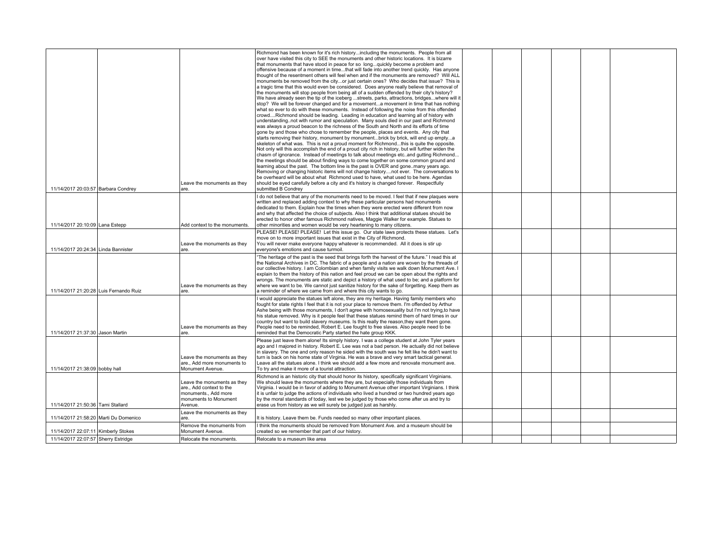|                                        | Leave the monuments as they                                                                                         | Richmond has been known for it's rich historyincluding the monuments. People from all<br>over have visited this city to SEE the monuments and other historic locations. It is bizarre<br>that monuments that have stood in peace for so longquickly become a problem and<br>offensive because of a moment in timethat will fade into another trend quickly. Has anyone<br>thought of the resentment others will feel when and if the monuments are removed? Will ALL<br>monuments be removed from the cityor just certain ones? Who decides that issue? This is<br>a tragic time that this would even be considered. Does anyone really believe that removal of<br>the monuments will stop people from being all of a sudden offended by their city's history?<br>We have already seen the tip of the iceberg streets, parks, attractions, bridgeswhere will it<br>stop? We will be forever changed and for a movementa movement in time that has nothing<br>what so ever to do with these monuments. Instead of following the noise from this offended<br>crowdRichmond should be leading. Leading in education and learning all of history with<br>understandingnot with rumor and speculation. Many souls died in our past and Richmond<br>was always a proud beacon to the richness of the South and North and its efforts of time<br>gone by and those who chose to remember the people, places and events. Any city that<br>starts removing their history, monument by monumentbrick by brick, will end up emptya<br>skeleton of what was. This is not a proud moment for Richmondthis is quite the opposite.<br>Not only will this accomplish the end of a proud city rich in history, but will further widen the<br>chasm of ignorance. Instead of meetings to talk about meetings etc. and gutting Richmond<br>the meetings should be about finding ways to come together on some common ground and<br>learning about the past. The bottom line is the past is OVER and gone. many years ago.<br>Removing or changing historic items will not change historynot ever. The conversations to<br>be overheard will be about what Richmond used to have, what used to be here. Agendas<br>should be eyed carefully before a city and it's history is changed forever. Respectfully |  |  |  |
|----------------------------------------|---------------------------------------------------------------------------------------------------------------------|-----------------------------------------------------------------------------------------------------------------------------------------------------------------------------------------------------------------------------------------------------------------------------------------------------------------------------------------------------------------------------------------------------------------------------------------------------------------------------------------------------------------------------------------------------------------------------------------------------------------------------------------------------------------------------------------------------------------------------------------------------------------------------------------------------------------------------------------------------------------------------------------------------------------------------------------------------------------------------------------------------------------------------------------------------------------------------------------------------------------------------------------------------------------------------------------------------------------------------------------------------------------------------------------------------------------------------------------------------------------------------------------------------------------------------------------------------------------------------------------------------------------------------------------------------------------------------------------------------------------------------------------------------------------------------------------------------------------------------------------------------------------------------------------------------------------------------------------------------------------------------------------------------------------------------------------------------------------------------------------------------------------------------------------------------------------------------------------------------------------------------------------------------------------------------------------------------------------------------------------------------------------------------------------|--|--|--|
| 11/14/2017 20:03:57 Barbara Condrey    | are.                                                                                                                | submitted B Condrey                                                                                                                                                                                                                                                                                                                                                                                                                                                                                                                                                                                                                                                                                                                                                                                                                                                                                                                                                                                                                                                                                                                                                                                                                                                                                                                                                                                                                                                                                                                                                                                                                                                                                                                                                                                                                                                                                                                                                                                                                                                                                                                                                                                                                                                                     |  |  |  |
| 11/14/2017 20:10:09 Lana Estepp        | Add context to the monuments.                                                                                       | I do not believe that any of the monuments need to be moved. I feel that if new plagues were<br>written and replaced adding context to why these particular persons had monuments<br>dedicated to them. Explain how the times when they were erected were different from now<br>and why that affected the choice of subjects. Also I think that additional statues should be<br>erected to honor other famous Richmond natives, Maggie Walker for example. Statues to<br>other minorities and women would be very heartening to many citizens.                                                                                                                                                                                                                                                                                                                                                                                                                                                                                                                                                                                                                                                                                                                                                                                                                                                                                                                                                                                                                                                                                                                                                                                                                                                                                                                                                                                                                                                                                                                                                                                                                                                                                                                                          |  |  |  |
|                                        |                                                                                                                     | PLEASE! PLEASE! PLEASE! Let this issue go. Our state laws protects these statues. Let's                                                                                                                                                                                                                                                                                                                                                                                                                                                                                                                                                                                                                                                                                                                                                                                                                                                                                                                                                                                                                                                                                                                                                                                                                                                                                                                                                                                                                                                                                                                                                                                                                                                                                                                                                                                                                                                                                                                                                                                                                                                                                                                                                                                                 |  |  |  |
| 11/14/2017 20:24:34 Linda Bannister    | Leave the monuments as they<br>are.                                                                                 | move on to more important issues that exist in the City of Richmond.<br>You will never make everyone happy whatever is recommended. All it does is stir up<br>evervone's emotions and cause turmoil.                                                                                                                                                                                                                                                                                                                                                                                                                                                                                                                                                                                                                                                                                                                                                                                                                                                                                                                                                                                                                                                                                                                                                                                                                                                                                                                                                                                                                                                                                                                                                                                                                                                                                                                                                                                                                                                                                                                                                                                                                                                                                    |  |  |  |
| 11/14/2017 21:20:28 Luis Fernando Ruiz | Leave the monuments as they<br>are.                                                                                 | "The heritage of the past is the seed that brings forth the harvest of the future." I read this at<br>the National Archives in DC. The fabric of a people and a nation are woven by the threads of<br>our collective history. I am Colombian and when family visits we walk down Monument Ave. I<br>explain to them the history of this nation and feel proud we can be open about the rights and<br>wrongs. The monuments are static and depict a history of what used to be; and a platform for<br>where we want to be. We cannot just sanitize history for the sake of forgetting. Keep them as<br>a reminder of where we came from and where this city wants to go.                                                                                                                                                                                                                                                                                                                                                                                                                                                                                                                                                                                                                                                                                                                                                                                                                                                                                                                                                                                                                                                                                                                                                                                                                                                                                                                                                                                                                                                                                                                                                                                                                 |  |  |  |
| 11/14/2017 21:37:30 Jason Martin       | Leave the monuments as they<br>are.                                                                                 | I would appreciate the statues left alone, they are my heritage. Having family members who<br>fought for state rights I feel that it is not your place to remove them. I'm offended by Arthur<br>Ashe being with those monuments, I don't agree with homosexuality but I'm not trying, to have<br>his statue removed. Why is it people feel that these statues remind them of hard times in our<br>country but want to build slavery museums. Is this really the reason, they want them gone.<br>People need to be reminded, Robert E. Lee fought to free slaves. Also people need to be<br>reminded that the Democratic Party started the hate group KKK.                                                                                                                                                                                                                                                                                                                                                                                                                                                                                                                                                                                                                                                                                                                                                                                                                                                                                                                                                                                                                                                                                                                                                                                                                                                                                                                                                                                                                                                                                                                                                                                                                              |  |  |  |
| 11/14/2017 21:38:09 bobby hall         | Leave the monuments as they<br>are., Add more monuments to<br>Monument Avenue.                                      | Please just leave them alone! Its simply history. I was a college student at John Tyler years<br>ago and I majored in history. Robert E. Lee was not a bad person. He actually did not believe<br>in slavery. The one and only reason he sided with the south was he felt like he didn't want to<br>turn is back on his home state of Virginia. He was a brave and very smart tactical general.<br>Leave all the statues alone. I think we should add a few more and renovate monument ave.<br>To try and make it more of a tourist attraction.                                                                                                                                                                                                                                                                                                                                                                                                                                                                                                                                                                                                                                                                                                                                                                                                                                                                                                                                                                                                                                                                                                                                                                                                                                                                                                                                                                                                                                                                                                                                                                                                                                                                                                                                         |  |  |  |
| 11/14/2017 21:50:36 Tami Stallard      | Leave the monuments as they<br>are., Add context to the<br>monuments., Add more<br>monuments to Monument<br>Avenue. | Richmond is an historic city that should honor its history, specifically significant Virginians.<br>We should leave the monuments where they are, but especially those individuals from<br>Virginia. I would be in favor of adding to Monument Avenue other important Virginians. I think<br>it is unfair to judge the actions of individuals who lived a hundred or two hundred years ago<br>by the moral standards of today, lest we be judged by those who come after us and try to<br>erase us from history as we will surely be judged just as harshly.                                                                                                                                                                                                                                                                                                                                                                                                                                                                                                                                                                                                                                                                                                                                                                                                                                                                                                                                                                                                                                                                                                                                                                                                                                                                                                                                                                                                                                                                                                                                                                                                                                                                                                                            |  |  |  |
|                                        | Leave the monuments as they                                                                                         |                                                                                                                                                                                                                                                                                                                                                                                                                                                                                                                                                                                                                                                                                                                                                                                                                                                                                                                                                                                                                                                                                                                                                                                                                                                                                                                                                                                                                                                                                                                                                                                                                                                                                                                                                                                                                                                                                                                                                                                                                                                                                                                                                                                                                                                                                         |  |  |  |
| 11/14/2017 21:58:20 Marti Du Domenico  | are.                                                                                                                | It is history. Leave them be. Funds needed so many other important places.                                                                                                                                                                                                                                                                                                                                                                                                                                                                                                                                                                                                                                                                                                                                                                                                                                                                                                                                                                                                                                                                                                                                                                                                                                                                                                                                                                                                                                                                                                                                                                                                                                                                                                                                                                                                                                                                                                                                                                                                                                                                                                                                                                                                              |  |  |  |
| 11/14/2017 22:07:11 Kimberly Stokes    | Remove the monuments from<br>Monument Avenue.                                                                       | I think the monuments should be removed from Monument Ave. and a museum should be<br>created so we remember that part of our history.                                                                                                                                                                                                                                                                                                                                                                                                                                                                                                                                                                                                                                                                                                                                                                                                                                                                                                                                                                                                                                                                                                                                                                                                                                                                                                                                                                                                                                                                                                                                                                                                                                                                                                                                                                                                                                                                                                                                                                                                                                                                                                                                                   |  |  |  |
| 11/14/2017 22:07:57 Sherry Estridge    | Relocate the monuments.                                                                                             | Relocate to a museum like area                                                                                                                                                                                                                                                                                                                                                                                                                                                                                                                                                                                                                                                                                                                                                                                                                                                                                                                                                                                                                                                                                                                                                                                                                                                                                                                                                                                                                                                                                                                                                                                                                                                                                                                                                                                                                                                                                                                                                                                                                                                                                                                                                                                                                                                          |  |  |  |
|                                        |                                                                                                                     |                                                                                                                                                                                                                                                                                                                                                                                                                                                                                                                                                                                                                                                                                                                                                                                                                                                                                                                                                                                                                                                                                                                                                                                                                                                                                                                                                                                                                                                                                                                                                                                                                                                                                                                                                                                                                                                                                                                                                                                                                                                                                                                                                                                                                                                                                         |  |  |  |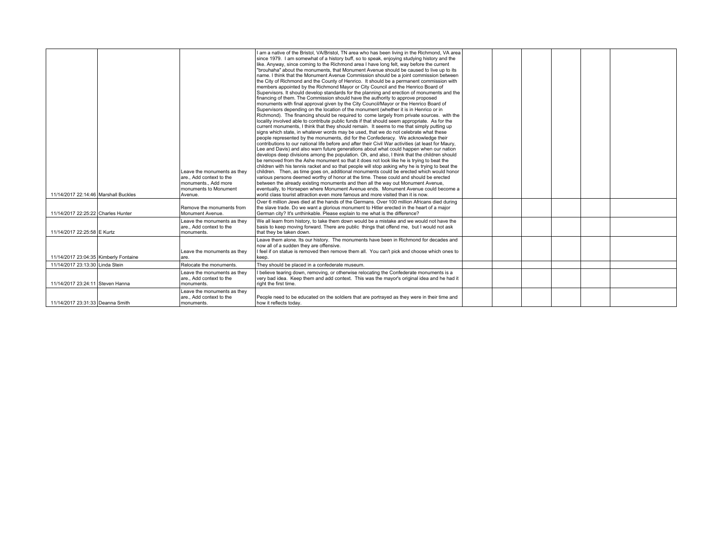| 11/14/2017 22:14:46 Marshall Buckles  | Leave the monuments as they<br>are Add context to the<br>monuments Add more<br>monuments to Monument<br>Avenue. | I am a native of the Bristol, VA/Bristol, TN area who has been living in the Richmond, VA area<br>since 1979. I am somewhat of a history buff, so to speak, enjoying studying history and the<br>like. Anyway, since coming to the Richmond area I have long felt, way before the current<br>"brouhaha" about the monuments, that Monument Avenue should be caused to live up to its<br>name. I think that the Monument Avenue Commission should be a joint commission between<br>the City of Richmond and the County of Henrico. It should be a permanent commission with<br>members appointed by the Richmond Mayor or City Council and the Henrico Board of<br>Supervisors. It should develop standards for the planning and erection of monuments and the<br>financing of them. The Commission should have the authority to approve proposed<br>monuments with final approval given by the City Council/Mayor or the Henrico Board of<br>Supervisors depending on the location of the monument (whether it is in Henrico or in<br>Richmond). The financing should be required to come largely from private sources. with the<br>locality involved able to contribute public funds if that should seem appropriate. As for the<br>current monuments, I think that they should remain. It seems to me that simply putting up<br>signs which state, in whatever words may be used, that we do not celebrate what these<br>people represented by the monuments, did for the Confederacy. We acknowledge their<br>contributions to our national life before and after their Civil War activities (at least for Maury,<br>Lee and Davis) and also warn future generations about what could happen when our nation<br>develops deep divisions among the population. Oh, and also, I think that the children should<br>be removed from the Ashe monument so that it does not look like he is trying to beat the<br>children with his tennis racket and so that people will stop asking why he is trying to beat the<br>children. Then, as time goes on, additional monuments could be erected which would honor<br>various persons deemed worthy of honor at the time. These could and should be erected<br>between the already existing monuments and then all the way out Monument Avenue,<br>eventually, to Horsepen where Monument Avenue ends. Monument Avenue could become a<br>world class tourist attraction even more famous and more visited than it is now. |
|---------------------------------------|-----------------------------------------------------------------------------------------------------------------|--------------------------------------------------------------------------------------------------------------------------------------------------------------------------------------------------------------------------------------------------------------------------------------------------------------------------------------------------------------------------------------------------------------------------------------------------------------------------------------------------------------------------------------------------------------------------------------------------------------------------------------------------------------------------------------------------------------------------------------------------------------------------------------------------------------------------------------------------------------------------------------------------------------------------------------------------------------------------------------------------------------------------------------------------------------------------------------------------------------------------------------------------------------------------------------------------------------------------------------------------------------------------------------------------------------------------------------------------------------------------------------------------------------------------------------------------------------------------------------------------------------------------------------------------------------------------------------------------------------------------------------------------------------------------------------------------------------------------------------------------------------------------------------------------------------------------------------------------------------------------------------------------------------------------------------------------------------------------------------------------------------------------------------------------------------------------------------------------------------------------------------------------------------------------------------------------------------------------------------------------------------------------------------------------------------------------------------------------------------------------------------------------------------------------------------------------------------------|
| 11/14/2017 22:25:22 Charles Hunter    | Remove the monuments from<br>Monument Avenue.                                                                   | Over 6 million Jews died at the hands of the Germans. Over 100 million Africans died during<br>the slave trade. Do we want a glorious monument to Hitler erected in the heart of a major<br>German city? It's unthinkable. Please explain to me what is the difference?                                                                                                                                                                                                                                                                                                                                                                                                                                                                                                                                                                                                                                                                                                                                                                                                                                                                                                                                                                                                                                                                                                                                                                                                                                                                                                                                                                                                                                                                                                                                                                                                                                                                                                                                                                                                                                                                                                                                                                                                                                                                                                                                                                                            |
| 11/14/2017 22:25:58 E Kurtz           | Leave the monuments as they<br>are Add context to the<br>monuments.                                             | We all learn from history, to take them down would be a mistake and we would not have the<br>basis to keep moving forward. There are public things that offend me, but I would not ask<br>that they be taken down.                                                                                                                                                                                                                                                                                                                                                                                                                                                                                                                                                                                                                                                                                                                                                                                                                                                                                                                                                                                                                                                                                                                                                                                                                                                                                                                                                                                                                                                                                                                                                                                                                                                                                                                                                                                                                                                                                                                                                                                                                                                                                                                                                                                                                                                 |
| 11/14/2017 23:04:35 Kimberly Fontaine | Leave the monuments as they<br>lare.                                                                            | Leave them alone. Its our history. The monuments have been in Richmond for decades and<br>now all of a sudden they are offensive.<br>I feel if on statue is removed then remove them all. You can't pick and choose which ones to<br>keep.                                                                                                                                                                                                                                                                                                                                                                                                                                                                                                                                                                                                                                                                                                                                                                                                                                                                                                                                                                                                                                                                                                                                                                                                                                                                                                                                                                                                                                                                                                                                                                                                                                                                                                                                                                                                                                                                                                                                                                                                                                                                                                                                                                                                                         |
| 11/14/2017 23:13:30 Linda Stein       | Relocate the monuments.                                                                                         | They should be placed in a confederate museum.                                                                                                                                                                                                                                                                                                                                                                                                                                                                                                                                                                                                                                                                                                                                                                                                                                                                                                                                                                                                                                                                                                                                                                                                                                                                                                                                                                                                                                                                                                                                                                                                                                                                                                                                                                                                                                                                                                                                                                                                                                                                                                                                                                                                                                                                                                                                                                                                                     |
| 11/14/2017 23:24:11 Steven Hanna      | Leave the monuments as they<br>are Add context to the<br>monuments.                                             | I believe tearing down, removing, or otherwise relocating the Confederate monuments is a<br>very bad idea. Keep them and add context. This was the mayor's original idea and he had it<br>right the first time.                                                                                                                                                                                                                                                                                                                                                                                                                                                                                                                                                                                                                                                                                                                                                                                                                                                                                                                                                                                                                                                                                                                                                                                                                                                                                                                                                                                                                                                                                                                                                                                                                                                                                                                                                                                                                                                                                                                                                                                                                                                                                                                                                                                                                                                    |
| 11/14/2017 23:31:33 Deanna Smith      | Leave the monuments as they<br>are Add context to the<br>monuments.                                             | People need to be educated on the soldiers that are portrayed as they were in their time and<br>how it reflects today.                                                                                                                                                                                                                                                                                                                                                                                                                                                                                                                                                                                                                                                                                                                                                                                                                                                                                                                                                                                                                                                                                                                                                                                                                                                                                                                                                                                                                                                                                                                                                                                                                                                                                                                                                                                                                                                                                                                                                                                                                                                                                                                                                                                                                                                                                                                                             |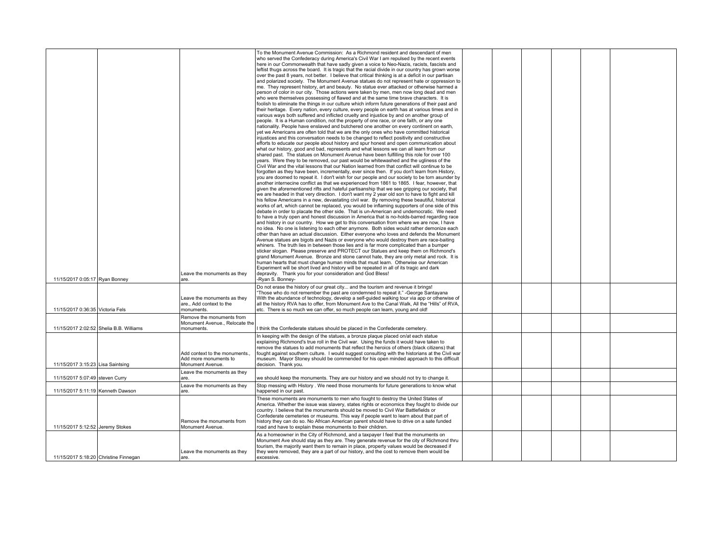| To the Monument Avenue Commission: As a Richmond resident and descendant of men<br>who served the Confederacy during America's Civil War I am repulsed by the recent events<br>here in our Commonwealth that have sadly given a voice to Neo-Nazis, racists, fascists and<br>leftist thugs across the board. It is tragic that the racial divide in our country has grown worse<br>over the past 8 years, not better. I believe that critical thinking is at a deficit in our partisan<br>and polarized society. The Monument Avenue statues do not represent hate or oppression to<br>me. They represent history, art and beauty. No statue ever attacked or otherwise harmed a<br>person of color in our city. Those actions were taken by men, men now long dead and men<br>who were themselves possessing of flawed and at the same time brave characters. It is<br>foolish to eliminate the things in our culture which inform future generations of their past and<br>their heritage. Every nation, every culture, every people on earth has at various times and in<br>various ways both suffered and inflicted cruelty and injustice by and on another group of<br>people. It is a Human condition, not the property of one race, or one faith, or any one<br>nationality. People have enslaved and butchered one another on every continent on earth,<br>vet we Americans are often told that we are the only ones who have committed historical<br>injustices and this conversation needs to be changed to reflect positivity and constructive<br>efforts to educate our people about history and spur honest and open communication about<br>what our history, good and bad, represents and what lessons we can all learn from our<br>shared past. The statues on Monument Avenue have been fulfilling this role for over 100<br>years. Were they to be removed, our past would be whitewashed and the ugliness of the<br>Civil War and the vital lessons that our Nation learned from that conflict will continue to be<br>forgotten as they have been, incrementally, ever since then. If you don't learn from History,<br>you are doomed to repeat it. I don't wish for our people and our society to be torn asunder by<br>another internecine conflict as that we experienced from 1861 to 1865. I fear, however, that<br>qiven the aforementioned rifts and hateful partisanship that we see gripping our society, that<br>we are headed in that very direction. I don't want my 2 year old son to have to fight and kill<br>his fellow Americans in a new, devastating civil war. By removing these beautiful, historical<br>works of art, which cannot be replaced, you would be inflaming supporters of one side of this<br>debate in order to placate the other side. That is un-American and undemocratic. We need<br>to have a truly open and honest discussion in America that is no-holds-barred regarding race<br>and history in our country. How we get to this conversation from where we are now, I have<br>no idea. No one is listening to each other anymore. Both sides would rather demonize each<br>other than have an actual discussion. Either everyone who loves and defends the Monument<br>Avenue statues are bigots and Nazis or everyone who would destroy them are race-baiting<br>whiners. The truth lies in between those lies and is far more complicated than a bumper<br>sticker slogan. Please preserve and PROTECT our Statues and keep them on Richmond's<br>grand Monument Avenue. Bronze and stone cannot hate, they are only metal and rock. It is<br>human hearts that must change human minds that must learn. Otherwise our American<br>Experiment will be short lived and history will be repeated in all of its tragic and dark<br>Leave the monuments as they<br>depravity. Thank you for your consideration and God Bless!<br>11/15/2017 0:05:17 Ryan Bonney<br>-Ryan S. Bonney-<br>are.<br>Do not erase the history of our great city and the tourism and revenue it brings!<br>"Those who do not remember the past are condemned to repeat it." -George Santayana<br>With the abundance of technology, develop a self-guided walking tour via app or otherwise of<br>Leave the monuments as they<br>all the history RVA has to offer, from Monument Ave to the Canal Walk, All the "Hills" of RVA,<br>are Add context to the<br>11/15/2017 0:36:35 Victoria Fels<br>monuments.<br>etc. There is so much we can offer, so much people can learn, young and old!<br>Remove the monuments from<br>Monument Avenue Relocate the<br>11/15/2017 2:02:52 Shelia B.B. Williams<br>I think the Confederate statues should be placed in the Confederate cemetery.<br>monuments.<br>In keeping with the design of the statues, a bronze plaque placed on/at each statue<br>explaining Richmond's true roll in the Civil war. Using the funds it would have taken to<br>remove the statues to add monuments that reflect the heroics of others (black citizens) that<br>Add context to the monuments.<br>fought against southern culture. I would suggest consulting with the historians at the Civil war<br>Add more monuments to<br>museum. Mayor Stoney should be commended for his open minded approach to this difficult<br>11/15/2017 3:15:23 Lisa Saintsing<br>decision. Thank you.<br>Monument Avenue.<br>Leave the monuments as they<br>11/15/2017 5:07:49 steven Curry<br>we should keep the monuments. They are our history and we should not try to change it.<br>are.<br>Leave the monuments as they<br>Stop messing with History. We need those monuments for future generations to know what<br>11/15/2017 5:11:19 Kenneth Dawson<br>happened in our past.<br>are.<br>These monuments are monuments to men who fought to destroy the United States of<br>America. Whether the issue was slavery, states rights or economics they fought to divide our<br>country. I believe that the monuments should be moved to Civil War Battlefields or<br>Confederate cemeteries or museums. This way if people want to learn about that part of<br>history they can do so. No African American parent should have to drive on a sate funded<br>Remove the monuments from<br>11/15/2017 5:12:52 Jeremy Stokes<br>road and have to explain these monuments to their children.<br>Monument Avenue.<br>As a homeowner in the City of Richmond, and a taxpayer I feel that the monuments on<br>Monument Ave should stay as they are. They generate revenue for the city of Richmond thru<br>tourism, the majority want them to remain in place, property values would be decreased if<br>Leave the monuments as they<br>they were removed, they are a part of our history, and the cost to remove them would be<br>11/15/2017 5:18:20 Christine Finnegan<br>excessive.<br>are. |  |  |  |  |  |  |
|----------------------------------------------------------------------------------------------------------------------------------------------------------------------------------------------------------------------------------------------------------------------------------------------------------------------------------------------------------------------------------------------------------------------------------------------------------------------------------------------------------------------------------------------------------------------------------------------------------------------------------------------------------------------------------------------------------------------------------------------------------------------------------------------------------------------------------------------------------------------------------------------------------------------------------------------------------------------------------------------------------------------------------------------------------------------------------------------------------------------------------------------------------------------------------------------------------------------------------------------------------------------------------------------------------------------------------------------------------------------------------------------------------------------------------------------------------------------------------------------------------------------------------------------------------------------------------------------------------------------------------------------------------------------------------------------------------------------------------------------------------------------------------------------------------------------------------------------------------------------------------------------------------------------------------------------------------------------------------------------------------------------------------------------------------------------------------------------------------------------------------------------------------------------------------------------------------------------------------------------------------------------------------------------------------------------------------------------------------------------------------------------------------------------------------------------------------------------------------------------------------------------------------------------------------------------------------------------------------------------------------------------------------------------------------------------------------------------------------------------------------------------------------------------------------------------------------------------------------------------------------------------------------------------------------------------------------------------------------------------------------------------------------------------------------------------------------------------------------------------------------------------------------------------------------------------------------------------------------------------------------------------------------------------------------------------------------------------------------------------------------------------------------------------------------------------------------------------------------------------------------------------------------------------------------------------------------------------------------------------------------------------------------------------------------------------------------------------------------------------------------------------------------------------------------------------------------------------------------------------------------------------------------------------------------------------------------------------------------------------------------------------------------------------------------------------------------------------------------------------------------------------------------------------------------------------------------------------------------------------------------------------------------------------------------------------------------------------------------------------------------------------------------------------------------------------------------------------------------------------------------------------------------------------------------------------------------------------------------------------------------------------------------------------------------------------------------------------------------------------------------------------------------------------------------------------------------------------------------------------------------------------------------------------------------------------------------------------------------------------------------------------------------------------------------------------------------------------------------------------------------------------------------------------------------------------------------------------------------------------------------------------------------------------------------------------------------------------------------------------------------------------------------------------------------------------------------------------------------------------------------------------------------------------------------------------------------------------------------------------------------------------------------------------------------------------------------------------------------------------------------------------------------------------------------------------------------------------------------------------------------------------------------------------------------------------------------------------------------------------------------------------------------------------------------------------------------------------------------------------------------------------------------------------------------------------------------------------------------------------------------------------------------------------------------------------------------------------------------------------------------------------------------------------------------------------------------------------------------------------------------------------------------------------------------------------------------------------------------------------------------------------------------------------------------------------------------------------------------------------------------------------------------------------------------------------------------|--|--|--|--|--|--|
|                                                                                                                                                                                                                                                                                                                                                                                                                                                                                                                                                                                                                                                                                                                                                                                                                                                                                                                                                                                                                                                                                                                                                                                                                                                                                                                                                                                                                                                                                                                                                                                                                                                                                                                                                                                                                                                                                                                                                                                                                                                                                                                                                                                                                                                                                                                                                                                                                                                                                                                                                                                                                                                                                                                                                                                                                                                                                                                                                                                                                                                                                                                                                                                                                                                                                                                                                                                                                                                                                                                                                                                                                                                                                                                                                                                                                                                                                                                                                                                                                                                                                                                                                                                                                                                                                                                                                                                                                                                                                                                                                                                                                                                                                                                                                                                                                                                                                                                                                                                                                                                                                                                                                                                                                                                                                                                                                                                                                                                                                                                                                                                                                                                                                                                                                                                                                                                                                                                                                                                                                                                                                                                                                                                                                                                                                                                                                                                                                                                                                                                                                                                                                                                                                                                                                                                                                                  |  |  |  |  |  |  |
|                                                                                                                                                                                                                                                                                                                                                                                                                                                                                                                                                                                                                                                                                                                                                                                                                                                                                                                                                                                                                                                                                                                                                                                                                                                                                                                                                                                                                                                                                                                                                                                                                                                                                                                                                                                                                                                                                                                                                                                                                                                                                                                                                                                                                                                                                                                                                                                                                                                                                                                                                                                                                                                                                                                                                                                                                                                                                                                                                                                                                                                                                                                                                                                                                                                                                                                                                                                                                                                                                                                                                                                                                                                                                                                                                                                                                                                                                                                                                                                                                                                                                                                                                                                                                                                                                                                                                                                                                                                                                                                                                                                                                                                                                                                                                                                                                                                                                                                                                                                                                                                                                                                                                                                                                                                                                                                                                                                                                                                                                                                                                                                                                                                                                                                                                                                                                                                                                                                                                                                                                                                                                                                                                                                                                                                                                                                                                                                                                                                                                                                                                                                                                                                                                                                                                                                                                                  |  |  |  |  |  |  |
|                                                                                                                                                                                                                                                                                                                                                                                                                                                                                                                                                                                                                                                                                                                                                                                                                                                                                                                                                                                                                                                                                                                                                                                                                                                                                                                                                                                                                                                                                                                                                                                                                                                                                                                                                                                                                                                                                                                                                                                                                                                                                                                                                                                                                                                                                                                                                                                                                                                                                                                                                                                                                                                                                                                                                                                                                                                                                                                                                                                                                                                                                                                                                                                                                                                                                                                                                                                                                                                                                                                                                                                                                                                                                                                                                                                                                                                                                                                                                                                                                                                                                                                                                                                                                                                                                                                                                                                                                                                                                                                                                                                                                                                                                                                                                                                                                                                                                                                                                                                                                                                                                                                                                                                                                                                                                                                                                                                                                                                                                                                                                                                                                                                                                                                                                                                                                                                                                                                                                                                                                                                                                                                                                                                                                                                                                                                                                                                                                                                                                                                                                                                                                                                                                                                                                                                                                                  |  |  |  |  |  |  |
|                                                                                                                                                                                                                                                                                                                                                                                                                                                                                                                                                                                                                                                                                                                                                                                                                                                                                                                                                                                                                                                                                                                                                                                                                                                                                                                                                                                                                                                                                                                                                                                                                                                                                                                                                                                                                                                                                                                                                                                                                                                                                                                                                                                                                                                                                                                                                                                                                                                                                                                                                                                                                                                                                                                                                                                                                                                                                                                                                                                                                                                                                                                                                                                                                                                                                                                                                                                                                                                                                                                                                                                                                                                                                                                                                                                                                                                                                                                                                                                                                                                                                                                                                                                                                                                                                                                                                                                                                                                                                                                                                                                                                                                                                                                                                                                                                                                                                                                                                                                                                                                                                                                                                                                                                                                                                                                                                                                                                                                                                                                                                                                                                                                                                                                                                                                                                                                                                                                                                                                                                                                                                                                                                                                                                                                                                                                                                                                                                                                                                                                                                                                                                                                                                                                                                                                                                                  |  |  |  |  |  |  |
|                                                                                                                                                                                                                                                                                                                                                                                                                                                                                                                                                                                                                                                                                                                                                                                                                                                                                                                                                                                                                                                                                                                                                                                                                                                                                                                                                                                                                                                                                                                                                                                                                                                                                                                                                                                                                                                                                                                                                                                                                                                                                                                                                                                                                                                                                                                                                                                                                                                                                                                                                                                                                                                                                                                                                                                                                                                                                                                                                                                                                                                                                                                                                                                                                                                                                                                                                                                                                                                                                                                                                                                                                                                                                                                                                                                                                                                                                                                                                                                                                                                                                                                                                                                                                                                                                                                                                                                                                                                                                                                                                                                                                                                                                                                                                                                                                                                                                                                                                                                                                                                                                                                                                                                                                                                                                                                                                                                                                                                                                                                                                                                                                                                                                                                                                                                                                                                                                                                                                                                                                                                                                                                                                                                                                                                                                                                                                                                                                                                                                                                                                                                                                                                                                                                                                                                                                                  |  |  |  |  |  |  |
|                                                                                                                                                                                                                                                                                                                                                                                                                                                                                                                                                                                                                                                                                                                                                                                                                                                                                                                                                                                                                                                                                                                                                                                                                                                                                                                                                                                                                                                                                                                                                                                                                                                                                                                                                                                                                                                                                                                                                                                                                                                                                                                                                                                                                                                                                                                                                                                                                                                                                                                                                                                                                                                                                                                                                                                                                                                                                                                                                                                                                                                                                                                                                                                                                                                                                                                                                                                                                                                                                                                                                                                                                                                                                                                                                                                                                                                                                                                                                                                                                                                                                                                                                                                                                                                                                                                                                                                                                                                                                                                                                                                                                                                                                                                                                                                                                                                                                                                                                                                                                                                                                                                                                                                                                                                                                                                                                                                                                                                                                                                                                                                                                                                                                                                                                                                                                                                                                                                                                                                                                                                                                                                                                                                                                                                                                                                                                                                                                                                                                                                                                                                                                                                                                                                                                                                                                                  |  |  |  |  |  |  |
|                                                                                                                                                                                                                                                                                                                                                                                                                                                                                                                                                                                                                                                                                                                                                                                                                                                                                                                                                                                                                                                                                                                                                                                                                                                                                                                                                                                                                                                                                                                                                                                                                                                                                                                                                                                                                                                                                                                                                                                                                                                                                                                                                                                                                                                                                                                                                                                                                                                                                                                                                                                                                                                                                                                                                                                                                                                                                                                                                                                                                                                                                                                                                                                                                                                                                                                                                                                                                                                                                                                                                                                                                                                                                                                                                                                                                                                                                                                                                                                                                                                                                                                                                                                                                                                                                                                                                                                                                                                                                                                                                                                                                                                                                                                                                                                                                                                                                                                                                                                                                                                                                                                                                                                                                                                                                                                                                                                                                                                                                                                                                                                                                                                                                                                                                                                                                                                                                                                                                                                                                                                                                                                                                                                                                                                                                                                                                                                                                                                                                                                                                                                                                                                                                                                                                                                                                                  |  |  |  |  |  |  |
|                                                                                                                                                                                                                                                                                                                                                                                                                                                                                                                                                                                                                                                                                                                                                                                                                                                                                                                                                                                                                                                                                                                                                                                                                                                                                                                                                                                                                                                                                                                                                                                                                                                                                                                                                                                                                                                                                                                                                                                                                                                                                                                                                                                                                                                                                                                                                                                                                                                                                                                                                                                                                                                                                                                                                                                                                                                                                                                                                                                                                                                                                                                                                                                                                                                                                                                                                                                                                                                                                                                                                                                                                                                                                                                                                                                                                                                                                                                                                                                                                                                                                                                                                                                                                                                                                                                                                                                                                                                                                                                                                                                                                                                                                                                                                                                                                                                                                                                                                                                                                                                                                                                                                                                                                                                                                                                                                                                                                                                                                                                                                                                                                                                                                                                                                                                                                                                                                                                                                                                                                                                                                                                                                                                                                                                                                                                                                                                                                                                                                                                                                                                                                                                                                                                                                                                                                                  |  |  |  |  |  |  |
|                                                                                                                                                                                                                                                                                                                                                                                                                                                                                                                                                                                                                                                                                                                                                                                                                                                                                                                                                                                                                                                                                                                                                                                                                                                                                                                                                                                                                                                                                                                                                                                                                                                                                                                                                                                                                                                                                                                                                                                                                                                                                                                                                                                                                                                                                                                                                                                                                                                                                                                                                                                                                                                                                                                                                                                                                                                                                                                                                                                                                                                                                                                                                                                                                                                                                                                                                                                                                                                                                                                                                                                                                                                                                                                                                                                                                                                                                                                                                                                                                                                                                                                                                                                                                                                                                                                                                                                                                                                                                                                                                                                                                                                                                                                                                                                                                                                                                                                                                                                                                                                                                                                                                                                                                                                                                                                                                                                                                                                                                                                                                                                                                                                                                                                                                                                                                                                                                                                                                                                                                                                                                                                                                                                                                                                                                                                                                                                                                                                                                                                                                                                                                                                                                                                                                                                                                                  |  |  |  |  |  |  |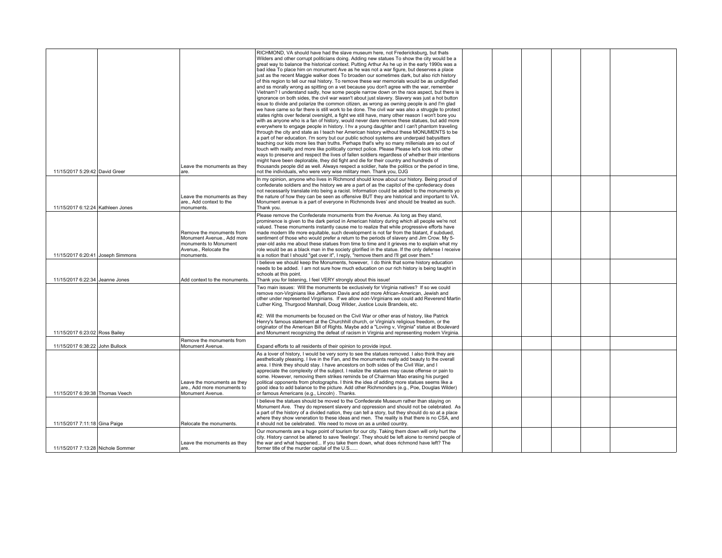| 11/15/2017 5:29:42 David Greer    | Leave the monuments as they<br>are.                                                                                   | RICHMOND, VA should have had the slave museum here, not Fredericksburg, but thats<br>Wilders and other corrupt politicians doing. Adding new statues To show the city would be a<br>great way to balance the historical context. Putting Arthur As he up in the early 1990s was a<br>bad idea To place him on monument Ave as he was not a war figure, but deserves a place<br>just as the recent Maggie walker does To broaden our sometimes dark, but also rich history<br>of this region to tell our real history. To remove these war memorials would be as undignified<br>and ss morally wrong as spitting on a vet because you don't agree with the war, remember<br>Vietnam? I understand sadly, how some people narrow down on the race aspect, but there is<br>ignorance on both sides, the civil war wasn't about just slavery. Slavery was just a hot button<br>issue to divide and polarize the common citizen, as wrong as owning people is and I'm glad<br>we have came so far there is still work to be done. The civil war was also a struggle to protect<br>states rights over federal oversight, a fight we still have, many other reason I won't bore you<br>with as anyone who is a fan of history, would never dare remove these statues, but add more<br>everywhere to engage people in history. I hv a young daughter and I can't phantom traveling<br>through the city and state as I teach her American history without these MONUMENTS to be<br>a part of her education. I'm sorry but our public school systems are underpaid babysitters<br>teaching our kids more lies than truths. Perhaps that's why so many millenials are so out of<br>touch with reality and more like politically correct police. Please Please let's look into other<br>ways to preserve and respect the lives of fallen soldiers regardless of whether their intentions<br>might have been deplorable, they did fight and die for their country and hundreds of<br>thousands people did as well. Always respect a soldier, hate the politics or the period in time,<br>not the individuals, who were very wise military men. Thank you, DJG |  |  |  |
|-----------------------------------|-----------------------------------------------------------------------------------------------------------------------|--------------------------------------------------------------------------------------------------------------------------------------------------------------------------------------------------------------------------------------------------------------------------------------------------------------------------------------------------------------------------------------------------------------------------------------------------------------------------------------------------------------------------------------------------------------------------------------------------------------------------------------------------------------------------------------------------------------------------------------------------------------------------------------------------------------------------------------------------------------------------------------------------------------------------------------------------------------------------------------------------------------------------------------------------------------------------------------------------------------------------------------------------------------------------------------------------------------------------------------------------------------------------------------------------------------------------------------------------------------------------------------------------------------------------------------------------------------------------------------------------------------------------------------------------------------------------------------------------------------------------------------------------------------------------------------------------------------------------------------------------------------------------------------------------------------------------------------------------------------------------------------------------------------------------------------------------------------------------------------------------------------------------------------------------------------------------------------------------------------------------------------------------|--|--|--|
| 11/15/2017 6:12:24 Kathleen Jones | Leave the monuments as they<br>are., Add context to the<br>monuments.                                                 | In my opinion, anyone who lives in Richmond should know about our history. Being proud of<br>confederate soldiers and the history we are a part of as the capitol of the cpnfederacy does<br>not necessarily translate into being a racist. Information could be added to the monuments yo<br>the nature of how they can be seen as offensive BUT they are historical and important to VA.<br>Monument avenue is a part of everyone in Richmonds lives' and should be treated as such.<br>Thank you.                                                                                                                                                                                                                                                                                                                                                                                                                                                                                                                                                                                                                                                                                                                                                                                                                                                                                                                                                                                                                                                                                                                                                                                                                                                                                                                                                                                                                                                                                                                                                                                                                                             |  |  |  |
| 11/15/2017 6:20:41 Joseph Simmons | Remove the monuments from<br>Monument Avenue., Add more<br>monuments to Monument<br>Avenue Relocate the<br>monuments. | Please remove the Confederate monuments from the Avenue. As long as they stand,<br>prominence is given to the dark period in American history during which all people we're not<br>valued. These monuments instantly cause me to realize that while progressive efforts have<br>made modern life more equitable, such development is not far from the blatant, if subdued,<br>sentiment of those who would prefer a return to the periods of slavery and Jim Crow. My 5-<br>year-old asks me about these statues from time to time and it grieves me to explain what my<br>role would be as a black man in the society glorified in the statue. If the only defense I receive<br>is a notion that I should "get over it", I reply, "remove them and I'll get over them."                                                                                                                                                                                                                                                                                                                                                                                                                                                                                                                                                                                                                                                                                                                                                                                                                                                                                                                                                                                                                                                                                                                                                                                                                                                                                                                                                                         |  |  |  |
| 11/15/2017 6:22:34 Jeanne Jones   | Add context to the monuments.                                                                                         | believe we should keep the Monuments, however, I do think that some history education<br>needs to be added. I am not sure how much education on our rich history is being taught in<br>schools at this point.<br>Thank you for listening, I feel VERY strongly about this issue!                                                                                                                                                                                                                                                                                                                                                                                                                                                                                                                                                                                                                                                                                                                                                                                                                                                                                                                                                                                                                                                                                                                                                                                                                                                                                                                                                                                                                                                                                                                                                                                                                                                                                                                                                                                                                                                                 |  |  |  |
| 11/15/2017 6:23:02 Ross Bailey    |                                                                                                                       | Two main issues: Will the monuments be exclusively for Virginia natives? If so we could<br>remove non-Virginians like Jefferson Davis and add more African-American, Jewish and<br>other under represented Virginians. If we allow non-Virginians we could add Reverend Martin<br>Luther King, Thurgood Marshall, Doug Wilder, Justice Louis Brandeis, etc.<br>#2: Will the monuments be focused on the Civil War or other eras of history, like Patrick<br>Henry's famous statement at the Churchhill church, or Virginia's religious freedom, or the<br>originator of the American Bill of Rights. Maybe add a "Loving v, Virginia" statue at Boulevard<br>and Monument recognizing the defeat of racism in Virginia and representing modern Virginia.                                                                                                                                                                                                                                                                                                                                                                                                                                                                                                                                                                                                                                                                                                                                                                                                                                                                                                                                                                                                                                                                                                                                                                                                                                                                                                                                                                                         |  |  |  |
| 11/15/2017 6:38:22 John Bullock   | Remove the monuments from<br>Monument Avenue.                                                                         | Expand efforts to all residents of their opinion to provide input.                                                                                                                                                                                                                                                                                                                                                                                                                                                                                                                                                                                                                                                                                                                                                                                                                                                                                                                                                                                                                                                                                                                                                                                                                                                                                                                                                                                                                                                                                                                                                                                                                                                                                                                                                                                                                                                                                                                                                                                                                                                                               |  |  |  |
| 11/15/2017 6:39:38 Thomas Veech   | Leave the monuments as they<br>are., Add more monuments to<br>Monument Avenue.                                        | As a lover of history, I would be very sorry to see the statues removed. I also think they are<br>aesthetically pleasing. I live in the Fan, and the monuments really add beauty to the overall<br>area. I think they should stay, I have ancestors on both sides of the Civil War, and I<br>appreciate the complexity of the subject. I realize the statues may cause offense or pain to<br>some. However, removing them strikes reminds be of Chairman Mao erasing his purged<br>political opponents from photographs. I think the idea of adding more statues seems like a<br>good idea to add balance to the picture. Add other Richmonders (e.g., Poe, Douglas Wilder)<br>or famous Americans (e.g., Lincoln). Thanks.                                                                                                                                                                                                                                                                                                                                                                                                                                                                                                                                                                                                                                                                                                                                                                                                                                                                                                                                                                                                                                                                                                                                                                                                                                                                                                                                                                                                                      |  |  |  |
| 11/15/2017 7:11:18 Gina Paige     | Relocate the monuments.                                                                                               | believe the statues should be moved to the Confederate Museum rather than staying on<br>Monument Ave. They do represent slavery and oppression and should not be celebrated. As<br>a part of the history of a divided nation, they can tell a story, but they should do so at a place<br>where they show veneration to these ideas and men. The reality is that there is no CSA, and<br>it should not be celebrated. We need to move on as a united country.                                                                                                                                                                                                                                                                                                                                                                                                                                                                                                                                                                                                                                                                                                                                                                                                                                                                                                                                                                                                                                                                                                                                                                                                                                                                                                                                                                                                                                                                                                                                                                                                                                                                                     |  |  |  |
| 11/15/2017 7:13:28 Nichole Sommer | Leave the monuments as they<br>are.                                                                                   | Our monuments are a huge point of tourism for our city. Taking them down will only hurt the<br>city. History cannot be altered to save 'feelings'. They should be left alone to remind people of<br>the war and what happened If you take them down, what does richmond have left? The<br>former title of the murder capital of the U.S                                                                                                                                                                                                                                                                                                                                                                                                                                                                                                                                                                                                                                                                                                                                                                                                                                                                                                                                                                                                                                                                                                                                                                                                                                                                                                                                                                                                                                                                                                                                                                                                                                                                                                                                                                                                          |  |  |  |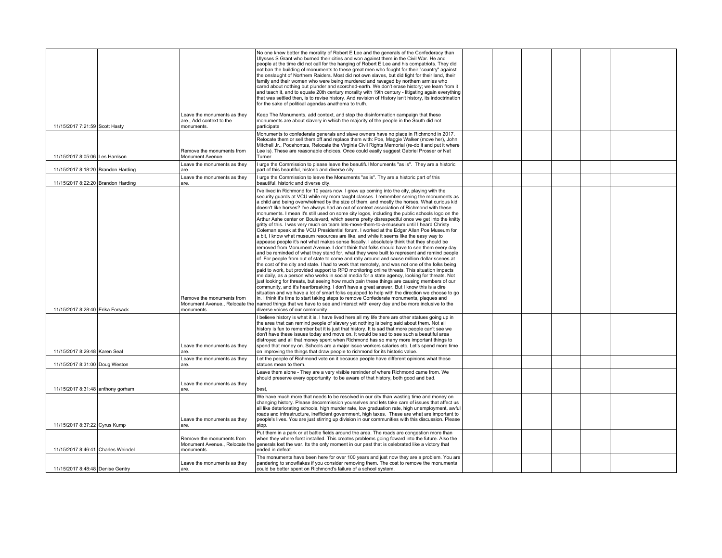|                                    |                                                                           | No one knew better the morality of Robert E Lee and the generals of the Confederacy than<br>Ulysses S Grant who burned their cities and won against them in the Civil War. He and<br>people at the time did not call for the hanging of Robert E Lee and his compatriots. They did<br>not ban the building of monuments to these great men who fought for their "country" against<br>the onslaught of Northern Raiders. Most did not own slaves, but did fight for their land, their<br>family and their women who were being murdered and ravaged by northern armies who<br>cared about nothing but plunder and scorched-earth. We don't erase history; we learn from it<br>and teach it, and to equate 20th century morality with 19th century - litigating again everything<br>that was settled then, is to revise history. And revision of History isn't history, its indoctrination<br>for the sake of political agendas anathema to truth.                                                                                                                                                                                                                                                                                                                                                                                                                                                                                                                                                                                                                                                                                                                                                                                                                                                                                                                                                                                                                                                                                                                                                                                                                                                                                                                                                                       |  |  |  |
|------------------------------------|---------------------------------------------------------------------------|------------------------------------------------------------------------------------------------------------------------------------------------------------------------------------------------------------------------------------------------------------------------------------------------------------------------------------------------------------------------------------------------------------------------------------------------------------------------------------------------------------------------------------------------------------------------------------------------------------------------------------------------------------------------------------------------------------------------------------------------------------------------------------------------------------------------------------------------------------------------------------------------------------------------------------------------------------------------------------------------------------------------------------------------------------------------------------------------------------------------------------------------------------------------------------------------------------------------------------------------------------------------------------------------------------------------------------------------------------------------------------------------------------------------------------------------------------------------------------------------------------------------------------------------------------------------------------------------------------------------------------------------------------------------------------------------------------------------------------------------------------------------------------------------------------------------------------------------------------------------------------------------------------------------------------------------------------------------------------------------------------------------------------------------------------------------------------------------------------------------------------------------------------------------------------------------------------------------------------------------------------------------------------------------------------------------|--|--|--|
| 11/15/2017 7:21:59 Scott Hasty     | Leave the monuments as they<br>are., Add context to the<br>monuments.     | Keep The Monuments, add context, and stop the disinformation campaign that these<br>monuments are about slavery in which the majority of the people in the South did not<br>participate                                                                                                                                                                                                                                                                                                                                                                                                                                                                                                                                                                                                                                                                                                                                                                                                                                                                                                                                                                                                                                                                                                                                                                                                                                                                                                                                                                                                                                                                                                                                                                                                                                                                                                                                                                                                                                                                                                                                                                                                                                                                                                                                |  |  |  |
| 11/15/2017 8:05:06 Les Harrison    | Remove the monuments from<br>Monument Avenue.                             | Monuments to confederate generals and slave owners have no place in Richmond in 2017.<br>Relocate them or sell them off and replace them with: Poe, Maggie Walker (move her), John<br>Mitchell Jr., Pocahontas, Relocate the Virginia Civil Rights Memorial (re-do it and put it where<br>Lee is). These are reasonable choices. Once could easily suggest Gabriel Prosser or Nat<br>Turner.                                                                                                                                                                                                                                                                                                                                                                                                                                                                                                                                                                                                                                                                                                                                                                                                                                                                                                                                                                                                                                                                                                                                                                                                                                                                                                                                                                                                                                                                                                                                                                                                                                                                                                                                                                                                                                                                                                                           |  |  |  |
| 11/15/2017 8:18:20 Brandon Harding | Leave the monuments as they<br>are.                                       | I urge the Commission to please leave the beautiful Monuments "as is". They are a historic<br>part of this beautiful, historic and diverse city.                                                                                                                                                                                                                                                                                                                                                                                                                                                                                                                                                                                                                                                                                                                                                                                                                                                                                                                                                                                                                                                                                                                                                                                                                                                                                                                                                                                                                                                                                                                                                                                                                                                                                                                                                                                                                                                                                                                                                                                                                                                                                                                                                                       |  |  |  |
| 11/15/2017 8:22:20 Brandon Harding | Leave the monuments as they<br>are.                                       | I urge the Commission to leave the Monuments "as is". Thy are a historic part of this<br>beautiful, historic and diverse city.                                                                                                                                                                                                                                                                                                                                                                                                                                                                                                                                                                                                                                                                                                                                                                                                                                                                                                                                                                                                                                                                                                                                                                                                                                                                                                                                                                                                                                                                                                                                                                                                                                                                                                                                                                                                                                                                                                                                                                                                                                                                                                                                                                                         |  |  |  |
| 11/15/2017 8:28:40 Erika Forsack   | Remove the monuments from<br>monuments.                                   | I've lived in Richmond for 10 years now. I grew up coming into the city, playing with the<br>security guards at VCU while my mom taught classes. I remember seeing the monuments as<br>a child and being overwhelmed by the size of them, and mostly the horses. What curious kid<br>doesn't like horses? I've always had an out of context association of Richmond with these<br>monuments. I mean it's still used on some city logos, including the public schools logo on the<br>Arthur Ashe center on Boulevard, which seems pretty disrespectful once we get into the knitty<br>gritty of this. I was very much on team lets-move-them-to-a-museum until I heard Christy<br>Coleman speak at the VCU Presidential forum. I worked at the Edgar Allan Poe Museum for<br>a bit, I know what museum resources are like, and while it seems like the easy way to<br>appease people it's not what makes sense fiscally. I absolutely think that they should be<br>removed from Monument Avenue. I don't think that folks should have to see them every day<br>and be reminded of what they stand for, what they were built to represent and remind people<br>of. For people from out of state to come and rally around and cause million dollar scenes at<br>the cost of the city and state. I had to work that remotely, and was not one of the folks being<br>paid to work, but provided support to RPD monitoring online threats. This situation impacts<br>me daily, as a person who works in social media for a state agency, looking for threats. Not<br>just looking for threats, but seeing how much pain these things are causing members of our<br>community, and it's heartbreaking. I don't have a great answer. But I know this is a dire<br>situation and we have a lot of smart folks equipped to help with the direction we choose to go<br>in. I think it's time to start taking steps to remove Confederate monuments, plaques and<br>Monument Avenue., Relocate the named things that we have to see and interact with every day and be more inclusive to the<br>diverse voices of our community.<br>I believe history is what it is. I have lived here all my life there are other statues going up in<br>the area that can remind people of slavery yet nothing is being said about them. Not all |  |  |  |
|                                    | Leave the monuments as they                                               | history is fun to remember but it is just that history. It is sad that more people can't see we<br>don't have these issues today and move on. It would be sad to see such a beautiful area<br>distroyed and all that money spent when Richmond has so many more important things to<br>spend that money on. Schools are a major issue workers salaries etc. Let's spend more time                                                                                                                                                                                                                                                                                                                                                                                                                                                                                                                                                                                                                                                                                                                                                                                                                                                                                                                                                                                                                                                                                                                                                                                                                                                                                                                                                                                                                                                                                                                                                                                                                                                                                                                                                                                                                                                                                                                                      |  |  |  |
| 11/15/2017 8:29:48 Karen Seal      | are.<br>Leave the monuments as they                                       | on improving the things that draw people to richmond for its historic value.<br>Let the people of Richmond vote on it because people have different opinions what these                                                                                                                                                                                                                                                                                                                                                                                                                                                                                                                                                                                                                                                                                                                                                                                                                                                                                                                                                                                                                                                                                                                                                                                                                                                                                                                                                                                                                                                                                                                                                                                                                                                                                                                                                                                                                                                                                                                                                                                                                                                                                                                                                |  |  |  |
| 11/15/2017 8:31:00 Doug Weston     | are.<br>Leave the monuments as they                                       | statues mean to them.<br>Leave them alone - They are a very visible reminder of where Richmond came from. We<br>should preserve every opportunity to be aware of that history, both good and bad.                                                                                                                                                                                                                                                                                                                                                                                                                                                                                                                                                                                                                                                                                                                                                                                                                                                                                                                                                                                                                                                                                                                                                                                                                                                                                                                                                                                                                                                                                                                                                                                                                                                                                                                                                                                                                                                                                                                                                                                                                                                                                                                      |  |  |  |
| 11/15/2017 8:31:48 anthony gorham  | are.                                                                      | best,<br>We have much more that needs to be resolved in our city than wasting time and money on                                                                                                                                                                                                                                                                                                                                                                                                                                                                                                                                                                                                                                                                                                                                                                                                                                                                                                                                                                                                                                                                                                                                                                                                                                                                                                                                                                                                                                                                                                                                                                                                                                                                                                                                                                                                                                                                                                                                                                                                                                                                                                                                                                                                                        |  |  |  |
| 11/15/2017 8:37:22 Cyrus Kump      | Leave the monuments as they<br>are.                                       | changing history. Please decommission yourselves and lets take care of issues that affect us<br>all like deteriorating schools, high murder rate, low graduation rate, high unemployment, awful<br>roads and infrastructure, inefficient government, high taxes. These are what are important to<br>people's lives. You are just stirring up division in our communities with this discussion. Please<br>stop.                                                                                                                                                                                                                                                                                                                                                                                                                                                                                                                                                                                                                                                                                                                                                                                                                                                                                                                                                                                                                                                                                                                                                                                                                                                                                                                                                                                                                                                                                                                                                                                                                                                                                                                                                                                                                                                                                                         |  |  |  |
| 11/15/2017 8:46:41 Charles Weindel | Remove the monuments from<br>Monument Avenue., Relocate the<br>monuments. | Put them in a park or at battle fields around the area. The roads are congestion more than<br>when they where forst installed. This creates problems going foward into the future. Also the<br>generals lost the war. Its the only moment in our past that is celebrated like a victory that<br>ended in defeat.                                                                                                                                                                                                                                                                                                                                                                                                                                                                                                                                                                                                                                                                                                                                                                                                                                                                                                                                                                                                                                                                                                                                                                                                                                                                                                                                                                                                                                                                                                                                                                                                                                                                                                                                                                                                                                                                                                                                                                                                       |  |  |  |
|                                    | Leave the monuments as they                                               | The monuments have been here for over 100 years and just now they are a problem. You are<br>pandering to snowflakes if you consider removing them. The cost to remove the monuments                                                                                                                                                                                                                                                                                                                                                                                                                                                                                                                                                                                                                                                                                                                                                                                                                                                                                                                                                                                                                                                                                                                                                                                                                                                                                                                                                                                                                                                                                                                                                                                                                                                                                                                                                                                                                                                                                                                                                                                                                                                                                                                                    |  |  |  |
| 11/15/2017 8:48:48 Denise Gentry   | are.                                                                      | could be better spent on Richmond's failure of a school system.                                                                                                                                                                                                                                                                                                                                                                                                                                                                                                                                                                                                                                                                                                                                                                                                                                                                                                                                                                                                                                                                                                                                                                                                                                                                                                                                                                                                                                                                                                                                                                                                                                                                                                                                                                                                                                                                                                                                                                                                                                                                                                                                                                                                                                                        |  |  |  |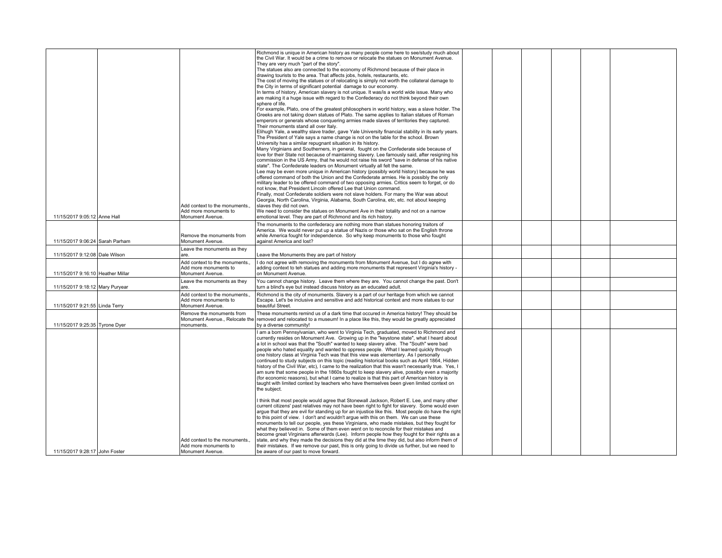| 11/15/2017 9:05:12 Anne Hall      | Add context to the monuments.<br>Add more monuments to<br>Monument Avenue.<br>Remove the monuments from | Richmond is unique in American history as many people come here to see/study much about<br>the Civil War, It would be a crime to remove or relocate the statues on Monument Avenue.<br>They are very much "part of the story".<br>The statues also are connected to the economy of Richmond because of their place in<br>drawing tourists to the area. That affects jobs, hotels, restaurants, etc.<br>The cost of moving the statues or of relocating is simply not worth the collateral damage to<br>the City in terms of significant potential damage to our economy.<br>In terms of history, American slavery is not unique. It was/is a world wide issue. Many who<br>are making it a huge issue with regard to the Confederacy do not think beyond their own<br>sphere of life.<br>For example, Plato, one of the greatest philosophers in world history, was a slave holder. The<br>Greeks are not taking down statues of Plato. The same applies to Italian statues of Roman<br>emperors or generals whose conquering armies made slaves of territories they captured.<br>Their monuments stand all over Italy.<br>Elihugh Yale, a wealthy slave trader, gave Yale University financial stability in its early years.<br>The President of Yale says a name change is not on the table for the school. Brown<br>University has a similar repugnant situation in its history.<br>Many Virginians and Southerners, in general, fought on the Confederate side because of<br>love for their State not because of maintaining slavery. Lee famously said, after resigning his<br>commission in the US Army, that he would not raise his sword "save in defense of his native<br>state". The Confederate leaders on Monument virtually all felt the same.<br>Lee may be even more unique in American history (possibly world history) because he was<br>offered command of both the Union and the Confederate armies. He is possibly the only<br>military leader to be offered command of two opposing armies. Critics seem to forget, or do<br>not know, that President Lincoln offered Lee that Union command.<br>Finally, most Confederate soldiers were not slave holders. For many the War was about<br>Georgia, North Carolina, Virginia, Alabama, South Carolina, etc, etc. not about keeping<br>slaves they did not own.<br>We need to consider the statues on Monument Ave in their totality and not on a narrow<br>emotional level. They are part of Richmond and its rich history.<br>The monuments to the confederacy are nothing more than statues honoring traitors of<br>America. We would never put up a statue of Nazis or those who sat on the English throne<br>while America fought for independence. So why keep monuments to those who fought |  |  |  |
|-----------------------------------|---------------------------------------------------------------------------------------------------------|-----------------------------------------------------------------------------------------------------------------------------------------------------------------------------------------------------------------------------------------------------------------------------------------------------------------------------------------------------------------------------------------------------------------------------------------------------------------------------------------------------------------------------------------------------------------------------------------------------------------------------------------------------------------------------------------------------------------------------------------------------------------------------------------------------------------------------------------------------------------------------------------------------------------------------------------------------------------------------------------------------------------------------------------------------------------------------------------------------------------------------------------------------------------------------------------------------------------------------------------------------------------------------------------------------------------------------------------------------------------------------------------------------------------------------------------------------------------------------------------------------------------------------------------------------------------------------------------------------------------------------------------------------------------------------------------------------------------------------------------------------------------------------------------------------------------------------------------------------------------------------------------------------------------------------------------------------------------------------------------------------------------------------------------------------------------------------------------------------------------------------------------------------------------------------------------------------------------------------------------------------------------------------------------------------------------------------------------------------------------------------------------------------------------------------------------------------------------------------------------------------------------------------------------------------------------------------------------------------------------------------------------------------------------------------------------------------------------------------------------------------------------------|--|--|--|
| 11/15/2017 9:06:24 Sarah Parham   | Monument Avenue.<br>Leave the monuments as they                                                         | against America and lost?                                                                                                                                                                                                                                                                                                                                                                                                                                                                                                                                                                                                                                                                                                                                                                                                                                                                                                                                                                                                                                                                                                                                                                                                                                                                                                                                                                                                                                                                                                                                                                                                                                                                                                                                                                                                                                                                                                                                                                                                                                                                                                                                                                                                                                                                                                                                                                                                                                                                                                                                                                                                                                                                                                                                             |  |  |  |
| 11/15/2017 9:12:08 Dale Wilson    | are.                                                                                                    | Leave the Monuments they are part of history                                                                                                                                                                                                                                                                                                                                                                                                                                                                                                                                                                                                                                                                                                                                                                                                                                                                                                                                                                                                                                                                                                                                                                                                                                                                                                                                                                                                                                                                                                                                                                                                                                                                                                                                                                                                                                                                                                                                                                                                                                                                                                                                                                                                                                                                                                                                                                                                                                                                                                                                                                                                                                                                                                                          |  |  |  |
| 11/15/2017 9:16:10 Heather Millar | Add context to the monuments.,<br>Add more monuments to<br>Monument Avenue.                             | I do not agree with removing the monuments from Monument Avenue, but I do agree with<br>adding context to teh statues and adding more monuments that represent Virginia's history -<br>on Monument Avenue.                                                                                                                                                                                                                                                                                                                                                                                                                                                                                                                                                                                                                                                                                                                                                                                                                                                                                                                                                                                                                                                                                                                                                                                                                                                                                                                                                                                                                                                                                                                                                                                                                                                                                                                                                                                                                                                                                                                                                                                                                                                                                                                                                                                                                                                                                                                                                                                                                                                                                                                                                            |  |  |  |
| 11/15/2017 9:18:12 Mary Puryear   | Leave the monuments as they<br>are.                                                                     | You cannot change history. Leave them where they are. You cannot change the past. Don't<br>turn a blind's eye but instead discuss history as an educated adult.                                                                                                                                                                                                                                                                                                                                                                                                                                                                                                                                                                                                                                                                                                                                                                                                                                                                                                                                                                                                                                                                                                                                                                                                                                                                                                                                                                                                                                                                                                                                                                                                                                                                                                                                                                                                                                                                                                                                                                                                                                                                                                                                                                                                                                                                                                                                                                                                                                                                                                                                                                                                       |  |  |  |
| 11/15/2017 9:21:55 Linda Terry    | Add context to the monuments.<br>Add more monuments to<br>Monument Avenue.                              | Richmond is the city of monuments. Slavery is a part of our heritage from which we cannot<br>Escape. Let's be inclusive and sensitive and add historical context and more statues to our<br>beautiful Street.                                                                                                                                                                                                                                                                                                                                                                                                                                                                                                                                                                                                                                                                                                                                                                                                                                                                                                                                                                                                                                                                                                                                                                                                                                                                                                                                                                                                                                                                                                                                                                                                                                                                                                                                                                                                                                                                                                                                                                                                                                                                                                                                                                                                                                                                                                                                                                                                                                                                                                                                                         |  |  |  |
| 11/15/2017 9:25:35 Tyrone Dyer    | Remove the monuments from<br>monuments.                                                                 | These monuments remind us of a dark time that occured in America history! They should be<br>Monument Avenue., Relocate the removed and relocated to a museum! In a place like this, they would be greatly appreciated<br>by a diverse community!                                                                                                                                                                                                                                                                                                                                                                                                                                                                                                                                                                                                                                                                                                                                                                                                                                                                                                                                                                                                                                                                                                                                                                                                                                                                                                                                                                                                                                                                                                                                                                                                                                                                                                                                                                                                                                                                                                                                                                                                                                                                                                                                                                                                                                                                                                                                                                                                                                                                                                                      |  |  |  |
|                                   | Add context to the monuments.,                                                                          | I am a born Pennsylvanian, who went to Virginia Tech, graduated, moved to Richmond and<br>currently resides on Monument Ave. Growing up in the "keystone state", what I heard about<br>a lot in school was that the "South" wanted to keep slavery alive. The "South" were bad<br>people who hated equality and wanted to oppress people. What I learned quickly through<br>one history class at Virginia Tech was that this view was elementary. As I personally<br>continued to study subjects on this topic (reading historical books such as April 1864, Hidden<br>history of the Civil War, etc), I came to the realization that this wasn't necessarily true. Yes, I<br>am sure that some people in the 1860s fought to keep slavery alive, possibly even a majority<br>(for economic reasons), but what I came to realize is that this part of American history is<br>taught with limited context by teachers who have themselves been given limited context on<br>the subject.<br>I think that most people would agree that Stonewall Jackson, Robert E. Lee, and many other<br>current citizens' past relatives may not have been right to fight for slavery. Some would even<br>argue that they are evil for standing up for an injustice like this. Most people do have the right<br>to this point of view. I don't and wouldn't arque with this on them. We can use these<br>monuments to tell our people, yes these Virginians, who made mistakes, but they fought for<br>what they believed in. Some of them even went on to reconcile for their mistakes and<br>become great Virginians afterwards (Lee). Inform people how they fought for their rights as a<br>state, and why they made the decisions they did at the time they did, but also inform them of                                                                                                                                                                                                                                                                                                                                                                                                                                                                                                                                                                                                                                                                                                                                                                                                                                                                                                                                                                                         |  |  |  |
| 11/15/2017 9:28:17 John Foster    | Add more monuments to<br>Monument Avenue.                                                               | their mistakes. If we remove our past, this is only going to divide us further, but we need to<br>be aware of our past to move forward.                                                                                                                                                                                                                                                                                                                                                                                                                                                                                                                                                                                                                                                                                                                                                                                                                                                                                                                                                                                                                                                                                                                                                                                                                                                                                                                                                                                                                                                                                                                                                                                                                                                                                                                                                                                                                                                                                                                                                                                                                                                                                                                                                                                                                                                                                                                                                                                                                                                                                                                                                                                                                               |  |  |  |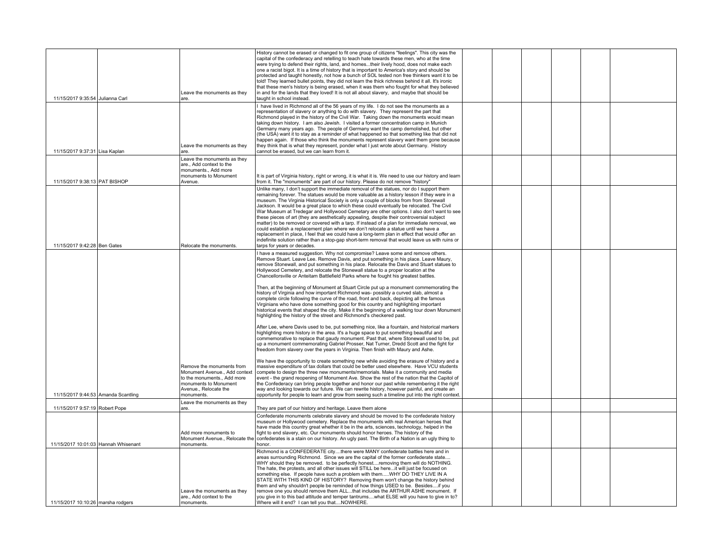| 11/15/2017 9:35:54 Julianna Carl     | Leave the monuments as they<br>are.                                                                                                                   | History cannot be erased or changed to fit one group of citizens "feelings". This city was the<br>capital of the confederacy and retelling to teach hate towards these men, who at the time<br>were trying to defend their rights, land, and homestheir lively hood, does not make each<br>one a racist bigot. It is a time of history that is important to America's story and should be<br>protected and taught honestly, not how a bunch of SOL tested non free thinkers want it to be<br>told! They learned bullet points, they did not learn the thick richness behind it all. It's ironic<br>that these men's history is being erased, when it was them who fought for what they believed<br>in and for the lands that they loved! It is not all about slavery, and maybe that should be<br>taught in school instead.                                                                                                                                                                           |  |  |  |
|--------------------------------------|-------------------------------------------------------------------------------------------------------------------------------------------------------|-------------------------------------------------------------------------------------------------------------------------------------------------------------------------------------------------------------------------------------------------------------------------------------------------------------------------------------------------------------------------------------------------------------------------------------------------------------------------------------------------------------------------------------------------------------------------------------------------------------------------------------------------------------------------------------------------------------------------------------------------------------------------------------------------------------------------------------------------------------------------------------------------------------------------------------------------------------------------------------------------------|--|--|--|
| 11/15/2017 9:37:31 Lisa Kaplan       | Leave the monuments as they<br>are.                                                                                                                   | I have lived in Richmond all of the 56 years of my life. I do not see the monuments as a<br>representation of slavery or anything to do with slavery. They represent the part that<br>Richmond played in the history of the Civil War. Taking down the monuments would mean<br>taking down history. I am also Jewish. I visited a former concentration camp in Munich<br>Germany many years ago. The people of Germany want the camp demolished, but other<br>(the USA) want it to stay as a reminder of what happened so that something like that did not<br>happen again. If those who think the monuments represent slavery want them gone because<br>they think that is what they represent, ponder what I just wrote about Germany. History<br>cannot be erased, but we can learn from it.                                                                                                                                                                                                       |  |  |  |
| 11/15/2017 9:38:13 PAT BISHOP        | Leave the monuments as they<br>are., Add context to the<br>monuments., Add more<br>monuments to Monument<br>Avenue.                                   | It is part of Virginia history, right or wrong, it is what it is. We need to use our history and learn<br>from it. The "monuments" are part of our history. Please do not remove "history"                                                                                                                                                                                                                                                                                                                                                                                                                                                                                                                                                                                                                                                                                                                                                                                                            |  |  |  |
| 11/15/2017 9:42:28 Ben Gates         | Relocate the monuments                                                                                                                                | Unlike many, I don't support the immediate removal of the statues, nor do I support them<br>remaining forever. The statues would be more valuable as a history lesson if they were in a<br>museum. The Virginia Historical Society is only a couple of blocks from from Stonewall<br>Jackson. It would be a great place to which these could eventually be relocated. The Civil<br>War Museum at Tredegar and Hollywood Cemetary are other options. I also don't want to see<br>these pieces of art (they are aesthetically appealing, despite their controversial subject<br>matter) to be removed or covered with a tarp. If instead of a plan for immediate removal, we<br>could establish a replacement plan where we don't relocate a statue until we have a<br>replacement in place, I feel that we could have a long-term plan in effect that would offer an<br>indefinite solution rather than a stop-gap short-term removal that would leave us with ruins or<br>tarps for years or decades. |  |  |  |
|                                      |                                                                                                                                                       | I have a measured suggestion. Why not compromise? Leave some and remove others.<br>Remove Stuart. Leave Lee. Remove Davis, and put something in his place. Leave Maury,<br>remove Stonewall, and put something in his place. Relocate the Davis and Stuart statues to<br>Hollywood Cemetery, and relocate the Stonewall statue to a proper location at the<br>Chancellorsville or Anteitam Battlefield Parks where he fought his greatest battles.<br>Then, at the beginning of Monument at Stuart Circle put up a monument commemorating the<br>history of Virginia and how important Richmond was- possibly a curved slab, almost a<br>complete circle following the curve of the road, front and back, depicting all the famous                                                                                                                                                                                                                                                                    |  |  |  |
|                                      |                                                                                                                                                       | Virginians who have done something good for this country and highlighting important<br>historical events that shaped the city. Make it the beginning of a walking tour down Monument<br>highlighting the history of the street and Richmond's checkered past.<br>After Lee, where Davis used to be, put something nice, like a fountain, and historical markers<br>highlighting more history in the area. It's a huge space to put something beautiful and<br>commemorative to replace that gaudy monument. Past that, where Stonewall used to be, put<br>up a monument commemorating Gabriel Prosser, Nat Turner, Dredd Scott and the fight for                                                                                                                                                                                                                                                                                                                                                      |  |  |  |
| 11/15/2017 9:44:53 Amanda Scantling  | Remove the monuments from<br>Monument Avenue Add context<br>to the monuments Add more<br>monuments to Monument<br>Avenue., Relocate the<br>monuments. | freedom from slavery over the years in Virginia. Then finish with Maury and Ashe.<br>We have the opportunity to create something new while avoiding the erasure of history and a<br>massive expenditure of tax dollars that could be better used elsewhere. Have VCU students<br>compete to design the three new monuments/memorials. Make it a community and media<br>event - the grand reopening of Monument Ave. Show the rest of the nation that the Capitol of<br>the Confederacy can bring people together and honor our past while remembering it the right<br>way and looking towards our future. We can rewrite history, however painful, and create an<br>opportunity for people to learn and grow from seeing such a timeline put into the right context.                                                                                                                                                                                                                                  |  |  |  |
| 11/15/2017 9:57:19 Robert Pope       | Leave the monuments as they<br>are.                                                                                                                   | They are part of our history and heritage. Leave them alone                                                                                                                                                                                                                                                                                                                                                                                                                                                                                                                                                                                                                                                                                                                                                                                                                                                                                                                                           |  |  |  |
| 11/15/2017 10:01:03 Hannah Whisenant | Add more monuments to<br>Monument Avenue., Relocate the<br>monuments.                                                                                 | Confederate monuments celebrate slavery and should be moved to the confederate history<br>museum or Hollywood cemetery. Replace the monuments with real American heroes that<br>have made this country great whether it be in the arts, sciences, technology, helped in the<br>fight to end slavery, etc. Our monuments should honor heroes. The history of the<br>confederates is a stain on our history. An ugly past. The Birth of a Nation is an ugly thing to<br>honor.                                                                                                                                                                                                                                                                                                                                                                                                                                                                                                                          |  |  |  |
|                                      | Leave the monuments as they<br>are., Add context to the                                                                                               | Richmond is a CONFEDERATE citythere were MANY confederate battles here and in<br>areas surrounding Richmond. Since we are the capital of the former confederate state<br>WHY should they be removed. to be perfectly honestremoving them will do NOTHING.<br>The hate, the protests, and all other issues will STILL be hereit will just be focused on<br>something else. If people have such a problem with themWHY DO THEY LIVE IN A<br>STATE WITH THIS KIND OF HISTORY? Removing them won't change the history behind<br>them and why shouldn't people be reminded of how things USED to be. Besidesif you<br>remove one you should remove them ALLthat includes the ARTHUR ASHE monument. If<br>you give in to this bad attitude and temper tantrumswhat ELSE will you have to give in to?                                                                                                                                                                                                        |  |  |  |
| 11/15/2017 10:10:26 marsha rodgers   | monuments.                                                                                                                                            | Where will it end? I can tell you that NOWHERE.                                                                                                                                                                                                                                                                                                                                                                                                                                                                                                                                                                                                                                                                                                                                                                                                                                                                                                                                                       |  |  |  |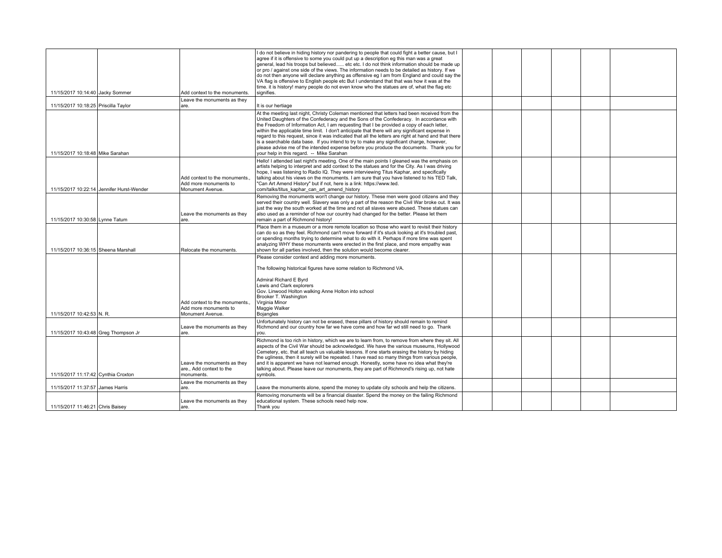| 11/15/2017 10:14:40 Jacky Sommer     |                                           | Add context to the monuments.                                              | I do not believe in hiding history nor pandering to people that could fight a better cause, but I<br>agree if it is offensive to some you could put up a description eg this man was a great<br>general, lead his troops but believed etc etc. I do not think information should be made up<br>or pro / against one side of the views. The information needs to be detailed as history. If we<br>do not then anyone will declare anything as offensive eg I am from England and could say the<br>VA flag is offensive to English people etc But I understand that that was how it was at the<br>time. it is history! many people do not even know who the statues are of, what the flag etc<br>signifies.                            |  |  |  |
|--------------------------------------|-------------------------------------------|----------------------------------------------------------------------------|--------------------------------------------------------------------------------------------------------------------------------------------------------------------------------------------------------------------------------------------------------------------------------------------------------------------------------------------------------------------------------------------------------------------------------------------------------------------------------------------------------------------------------------------------------------------------------------------------------------------------------------------------------------------------------------------------------------------------------------|--|--|--|
| 11/15/2017 10:18:25 Priscilla Taylor |                                           | Leave the monuments as they<br>are.                                        | It is our hertiage                                                                                                                                                                                                                                                                                                                                                                                                                                                                                                                                                                                                                                                                                                                   |  |  |  |
| 11/15/2017 10:18:48 Mike Sarahan     |                                           |                                                                            | At the meeting last night, Christy Coleman mentioned that letters had been received from the<br>United Daughters of the Confederacy and the Sons of the Confederacy. In accordance with<br>the Freedom of Information Act, I am requesting that I be provided a copy of each letter,<br>within the applicable time limit. I don't anticipate that there will any significant expense in<br>regard to this request, since it was indicated that all the letters are right at hand and that there<br>is a searchable data base. If you intend to try to make any significant charge, however,<br>please advise me of the intended expense before you produce the documents. Thank you for<br>your help in this regard. -- Mike Sarahan |  |  |  |
|                                      | 11/15/2017 10:22:14 Jennifer Hurst-Wender | Add context to the monuments.<br>Add more monuments to<br>Monument Avenue. | Hello! I attended last night's meeting. One of the main points I gleaned was the emphasis on<br>artists helping to interpret and add context to the statues and for the City. As I was driving<br>hope, I was listening to Radio IQ. They were interviewing Titus Kaphar, and specifically<br>talking about his views on the monuments. I am sure that you have listened to his TED Talk,<br>"Can Art Amend History" but if not, here is a link: https://www.ted.<br>com/talks/titus kaphar can art amend history                                                                                                                                                                                                                    |  |  |  |
| 11/15/2017 10:30:58 Lynne Tatum      |                                           | Leave the monuments as they<br>are.                                        | Removing the monuments won't change our history. These men were good citizens and they<br>served their country well. Slavery was only a part of the reason the Civil War broke out. It was<br>just the way the south worked at the time and not all slaves were abused. These statues can<br>also used as a reminder of how our country had changed for the better. Please let them<br>remain a part of Richmond history!                                                                                                                                                                                                                                                                                                            |  |  |  |
| 11/15/2017 10:36:15 Sheena Marshall  |                                           | Relocate the monuments.                                                    | Place them in a museum or a more remote location so those who want to revisit their history<br>can do so as they feel. Richmond can't move forward if it's stuck looking at it's troubled past,<br>or spending months trying to determine what to do with it. Perhaps if more time was spent<br>analyzing WHY these monuments were erected in the first place, and more empathy was<br>shown for all parties involved, then the solution would become clearer.                                                                                                                                                                                                                                                                       |  |  |  |
|                                      |                                           | Add context to the monuments.                                              | Please consider context and adding more monuments.<br>The following historical figures have some relation to Richmond VA.<br>Admiral Richard E Byrd<br>Lewis and Clark explorers<br>Gov. Linwood Holton walking Anne Holton into school<br>Brooker T. Washington<br>Virginia Minor                                                                                                                                                                                                                                                                                                                                                                                                                                                   |  |  |  |
| 11/15/2017 10:42:53 N. R.            |                                           | Add more monuments to<br>Monument Avenue.                                  | Maggie Walker<br><b>Bojangles</b>                                                                                                                                                                                                                                                                                                                                                                                                                                                                                                                                                                                                                                                                                                    |  |  |  |
| 11/15/2017 10:43:48 Greg Thompson Jr |                                           | Leave the monuments as they<br>lare.                                       | Unfortunately history can not be erased, these pillars of history should remain to remind<br>Richmond and our country how far we have come and how far wd still need to go. Thank<br>vou.                                                                                                                                                                                                                                                                                                                                                                                                                                                                                                                                            |  |  |  |
| 11/15/2017 11:17:42 Cynthia Croxton  |                                           | Leave the monuments as they<br>are., Add context to the<br>monuments.      | Richmond is too rich in history, which we are to learn from, to remove from where they sit. All<br>aspects of the Civil War should be acknowledged. We have the various museums, Hollywood<br>Cemetery, etc. that all teach us valuable lessons. If one starts erasing the history by hiding<br>the ugliness, then it surely will be repeated. I have read so many things from various people,<br>and it is apparent we have not learned enough. Honestly, some have no idea what they're<br>talking about. Please leave our monuments, they are part of Richmond's rising up, not hate<br>symbols.                                                                                                                                  |  |  |  |
| 11/15/2017 11:37:57 James Harris     |                                           | Leave the monuments as they<br>are.                                        | Leave the monuments alone, spend the money to update city schools and help the citizens.                                                                                                                                                                                                                                                                                                                                                                                                                                                                                                                                                                                                                                             |  |  |  |
| 11/15/2017 11:46:21 Chris Baisey     |                                           | Leave the monuments as they<br>lare.                                       | Removing monuments will be a financial disaster. Spend the money on the failing Richmond<br>educational system. These schools need help now.<br>Thank you                                                                                                                                                                                                                                                                                                                                                                                                                                                                                                                                                                            |  |  |  |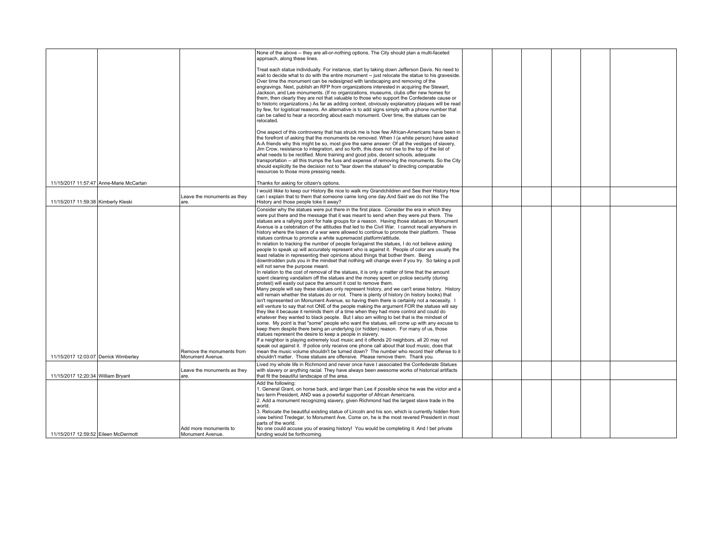|                                       |                                         |                                               | None of the above -- they are all-or-nothing options. The City should plan a multi-faceted<br>approach, along these lines.                                                                                                                                                                                                                                                                                                                                                                                                                                                                                                                                                                                                                                                                                                                                                                                                                                                                                                                                                                                                                                                                                                                                                                                                                                                                                                                                                                                                                                                                                                                                                                                                                                                                                                                                                                                                                                                                                                                                                                                                                                                                                                                                                                                                                                                                                                                                                          |  |  |  |
|---------------------------------------|-----------------------------------------|-----------------------------------------------|-------------------------------------------------------------------------------------------------------------------------------------------------------------------------------------------------------------------------------------------------------------------------------------------------------------------------------------------------------------------------------------------------------------------------------------------------------------------------------------------------------------------------------------------------------------------------------------------------------------------------------------------------------------------------------------------------------------------------------------------------------------------------------------------------------------------------------------------------------------------------------------------------------------------------------------------------------------------------------------------------------------------------------------------------------------------------------------------------------------------------------------------------------------------------------------------------------------------------------------------------------------------------------------------------------------------------------------------------------------------------------------------------------------------------------------------------------------------------------------------------------------------------------------------------------------------------------------------------------------------------------------------------------------------------------------------------------------------------------------------------------------------------------------------------------------------------------------------------------------------------------------------------------------------------------------------------------------------------------------------------------------------------------------------------------------------------------------------------------------------------------------------------------------------------------------------------------------------------------------------------------------------------------------------------------------------------------------------------------------------------------------------------------------------------------------------------------------------------------------|--|--|--|
|                                       |                                         |                                               | Treat each statue individually. For instance, start by taking down Jefferson Davis. No need to<br>wait to decide what to do with the entire monument -- just relocate the statue to his graveside.<br>Over time the monument can be redesigned with landscaping and removing of the<br>engravings. Next, publish an RFP from organizations interested in acquiring the Stewart,<br>Jackson, and Lee monuments. (If no organizations, museums, clubs offer new homes for<br>them, then clearly they are not that valuable to those who support the Confederate cause or<br>to historic organizations.) As far as adding context, obviously explanatory plaques will be read<br>by few, for logistical reasons. An alternative is to add signs simply with a phone number that<br>can be called to hear a recording about each monument. Over time, the statues can be<br>relocated.                                                                                                                                                                                                                                                                                                                                                                                                                                                                                                                                                                                                                                                                                                                                                                                                                                                                                                                                                                                                                                                                                                                                                                                                                                                                                                                                                                                                                                                                                                                                                                                                  |  |  |  |
|                                       |                                         |                                               | One aspect of this controversy that has struck me is how few African-Americans have been in<br>the forefront of asking that the monuments be removed. When I (a white person) have asked<br>A-A friends why this might be so, most give the same answer: Of all the vestiges of slavery,<br>Jim Crow, resistance to integration, and so forth, this does not rise to the top of the list of<br>what needs to be rectified. More training and good jobs, decent schools, adequate<br>transportation -- all this trumps the fuss and expense of removing the monuments. So the City<br>should explicitly tie the decision not to "tear down the statues" to directing comparable<br>resources to those more pressing needs.                                                                                                                                                                                                                                                                                                                                                                                                                                                                                                                                                                                                                                                                                                                                                                                                                                                                                                                                                                                                                                                                                                                                                                                                                                                                                                                                                                                                                                                                                                                                                                                                                                                                                                                                                           |  |  |  |
|                                       | 11/15/2017 11:57:47 Anne-Marie McCartan |                                               | Thanks for asking for citizen's options.                                                                                                                                                                                                                                                                                                                                                                                                                                                                                                                                                                                                                                                                                                                                                                                                                                                                                                                                                                                                                                                                                                                                                                                                                                                                                                                                                                                                                                                                                                                                                                                                                                                                                                                                                                                                                                                                                                                                                                                                                                                                                                                                                                                                                                                                                                                                                                                                                                            |  |  |  |
| 11/15/2017 11:59:38 Kimberly Kleski   |                                         | Leave the monuments as they<br>lare.          | I would likke to keep our History Be nice to walk my Grandchildren and See their History How<br>can I explain that to them that someone came long one day. And Said we do not like The<br>History and those people toke it away?                                                                                                                                                                                                                                                                                                                                                                                                                                                                                                                                                                                                                                                                                                                                                                                                                                                                                                                                                                                                                                                                                                                                                                                                                                                                                                                                                                                                                                                                                                                                                                                                                                                                                                                                                                                                                                                                                                                                                                                                                                                                                                                                                                                                                                                    |  |  |  |
| 11/15/2017 12:03:07 Derrick Wimberley |                                         | Remove the monuments from<br>Monument Avenue. | Consider why the statues were put there in the first place. Consider the era in which they<br>were put there and the message that it was meant to send when they were put there. The<br>statues are a rallying point for hate groups for a reason. Having those statues on Monument<br>Avenue is a celebration of the attitudes that led to the Civil War. I cannot recall anywhere in<br>history where the losers of a war were allowed to continue to promote their platform. These<br>statues continue to promote a white supremacist platform/attitude.<br>In relation to tracking the number of people for/against the statues, I do not believe asking<br>people to speak up will accurately represent who is against it. People of color are usually the<br>least reliable in representing their opinions about things that bother them. Being<br>downtrodden puts you in the mindset that nothing will change even if you try. So taking a poll<br>will not serve the purpose meant.<br>In relation to the cost of removal of the statues, it is only a matter of time that the amount<br>spent cleaning vandalism off the statues and the money spent on police security (during<br>protest) will easily out pace the amount it cost to remove them.<br>Many people will say these statues only represent history, and we can't erase history. History<br>will remain whether the statues do or not. There is plenty of history (in history books) that<br>isn't represented on Monument Avenue, so having them there is certainly not a necessity. I<br>will venture to say that not ONE of the people making the argument FOR the statues will say<br>they like it because it reminds them of a time when they had more control and could do<br>whatever they wanted to black people. But I also am willing to bet that is the mindset of<br>some. My point is that "some" people who want the statues, will come up with any excuse to<br>keep them despite there being an underlying (or hidden) reason. For many of us, those<br>statues represent the desire to keep a people in slavery.<br>If a neighbor is playing extremely loud music and it offends 20 neighbors, all 20 may not<br>speak out against it. If police only receive one phone call about that loud music, does that<br>mean the music volume shouldn't be turned down? The number who record their offense to it<br>shouldn't matter. Those statues are offensive. Please remove them. Thank you. |  |  |  |
| 11/15/2017 12:20:34 William Bryant    |                                         | Leave the monuments as they<br>l are.         | Lived my whole life in Richmond and never once have I associated the Confederate Statues<br>with slavery or anything racial. They have always been awesome works of historical artifacts<br>that fit the beautiful landscape of the area.                                                                                                                                                                                                                                                                                                                                                                                                                                                                                                                                                                                                                                                                                                                                                                                                                                                                                                                                                                                                                                                                                                                                                                                                                                                                                                                                                                                                                                                                                                                                                                                                                                                                                                                                                                                                                                                                                                                                                                                                                                                                                                                                                                                                                                           |  |  |  |
| 11/15/2017 12:59:52 Eileen McDermott  |                                         | Add more monuments to<br>Monument Avenue.     | Add the following:<br>1. General Grant, on horse back, and larger than Lee if possible since he was the victor and a<br>two term President. AND was a powerful supporter of African Americans.<br>2. Add a monument recognizing slavery, given Richmond had the largest slave trade in the<br>world.<br>3. Relocate the beautiful existing statue of Lincoln and his son, which is currently hidden from<br>view behind Tredegar, to Monument Ave. Come on, he is the most revered President in most<br>parts of the world.<br>No one could accuse you of erasing history! You would be completing it. And I bet private<br>funding would be forthcoming.                                                                                                                                                                                                                                                                                                                                                                                                                                                                                                                                                                                                                                                                                                                                                                                                                                                                                                                                                                                                                                                                                                                                                                                                                                                                                                                                                                                                                                                                                                                                                                                                                                                                                                                                                                                                                           |  |  |  |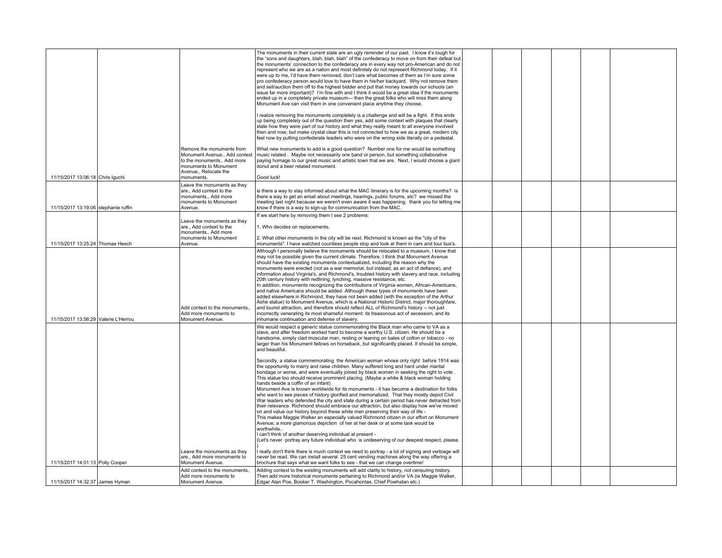|                                      |                                                                                                                          | The monuments in their current state are an ugly reminder of our past. I know it's tough for<br>the "sons and daughters, blah, blah, blah" of the confederacy to move on from their defeat but<br>the monuments' connection to the confederacy are in every way not pro-American and do not<br>represent who we are as a nation and most definitely do not represent Richmond today. If it<br>were up to me, I'd have them removed; don't care what becomes of them as I'm sure some<br>pro confederacy person would love to have them in his/her backvard. Why not remove them<br>and sell/auction them off to the highest bidder and put that money towards our schools (an<br>issue far more important)? I'm fine with and I think it would be a great idea if the monuments<br>ended up in a completely private museum-- then the great folks who will miss them along<br>Monument Ave can visit them in one convenient place anytime they choose.<br>I realize removing the monuments completely is a challenge and will be a fight. If this ends<br>up being completely out of the question then yes, add some context with plaques that clearly<br>state how they were part of our history and what they really meant to all everyone involved                                                                                                  |  |  |  |
|--------------------------------------|--------------------------------------------------------------------------------------------------------------------------|--------------------------------------------------------------------------------------------------------------------------------------------------------------------------------------------------------------------------------------------------------------------------------------------------------------------------------------------------------------------------------------------------------------------------------------------------------------------------------------------------------------------------------------------------------------------------------------------------------------------------------------------------------------------------------------------------------------------------------------------------------------------------------------------------------------------------------------------------------------------------------------------------------------------------------------------------------------------------------------------------------------------------------------------------------------------------------------------------------------------------------------------------------------------------------------------------------------------------------------------------------------------------------------------------------------------------------------------------------|--|--|--|
|                                      |                                                                                                                          | then and now, but make crystal clear this is not connected to how we as a great, modern city<br>feel now by putting confederate leaders who were on the wrong side literally on a pedestal.                                                                                                                                                                                                                                                                                                                                                                                                                                                                                                                                                                                                                                                                                                                                                                                                                                                                                                                                                                                                                                                                                                                                                            |  |  |  |
| 11/15/2017 13:06:18 Chris Iguchi     | Remove the monuments from<br>to the monuments., Add more<br>monuments to Monument<br>Avenue., Relocate the<br>monuments. | What new monuments to add is a good question? Number one for me would be something<br>Monument Avenue., Add context   music related . Maybe not necessarily one band or person, but something collaborative<br>paying homage to our great music and artistic town that we are. Next, I would choose a giant<br>donut and a beer related monument.<br>Good luck!                                                                                                                                                                                                                                                                                                                                                                                                                                                                                                                                                                                                                                                                                                                                                                                                                                                                                                                                                                                        |  |  |  |
|                                      | Leave the monuments as they                                                                                              |                                                                                                                                                                                                                                                                                                                                                                                                                                                                                                                                                                                                                                                                                                                                                                                                                                                                                                                                                                                                                                                                                                                                                                                                                                                                                                                                                        |  |  |  |
| 11/15/2017 13:19:06 stephanie ruffin | are., Add context to the<br>monuments., Add more<br>monuments to Monument<br>Avenue.                                     | is there a way to stay informed about what the MAC itinerary is for the upcoming months? is<br>there a way to get an email about meetings, hearings, public forums, etc? we missed the<br>meeting last night because we weren't even aware it was happening. thank you for letting me<br>know if there is a way to sign-up for communication from the MAC.                                                                                                                                                                                                                                                                                                                                                                                                                                                                                                                                                                                                                                                                                                                                                                                                                                                                                                                                                                                             |  |  |  |
|                                      | Leave the monuments as they<br>are Add context to the<br>monuments Add more<br>monuments to Monument                     | If we start here by removing them I see 2 problems:<br>1. Who decides on replacements.<br>2. What other monuments in the city will be next. Richmond is known as the "city of the                                                                                                                                                                                                                                                                                                                                                                                                                                                                                                                                                                                                                                                                                                                                                                                                                                                                                                                                                                                                                                                                                                                                                                      |  |  |  |
| 11/15/2017 13:25:24 Thomas Hesch     | Avenue.                                                                                                                  | monuments". I have watched countless people stop and look at them in cars and tour bus's.                                                                                                                                                                                                                                                                                                                                                                                                                                                                                                                                                                                                                                                                                                                                                                                                                                                                                                                                                                                                                                                                                                                                                                                                                                                              |  |  |  |
| 11/15/2017 13:56:29 Valerie L'Herrou | Add context to the monuments.<br>Add more monuments to<br>Monument Avenue.                                               | Although I personally believe the monuments should be relocated to a museum, I know that<br>may not be possible given the current climate. Therefore, I think that Monument Avenue<br>should have the existing monuments contextualized, including the reason why the<br>monuments were erected (not as a war memorial, but instead, as an act of defiance), and<br>information about Virginia's, and Richmond's, troubled history with slavery and race, including<br>20th century history with redlining, lynching, massive resistance, etc.<br>In addition, monuments recognizing the contributions of Virginia women, African-Americans,<br>and native Americans should be added. Although these types of monuments have been<br>added elsewhere in Richmond, they have not been added (with the exception of the Arthur<br>Ashe statue) to Monument Avenue, which is a National Historic District, major thoroughfare,<br>and tourist attraction, and therefore should reflect ALL of Richmond's history -- not just<br>incorrectly venerating its most shameful moment: its treasonous act of secession, and its<br>inhumane continuation and defense of slavery.                                                                                                                                                                                |  |  |  |
|                                      |                                                                                                                          | We would respect a generic statue commemorating the Black man who came to VA as a<br>slave, and after freedom worked hard to become a worthy U.S. citizen. He should be a<br>handsome, simply clad muscular man, resting or leaning on bales of cotton or tobacco - no<br>larger than his Monument fellows on horseback, but significantly placed. It should be simple,<br>and beautiful.                                                                                                                                                                                                                                                                                                                                                                                                                                                                                                                                                                                                                                                                                                                                                                                                                                                                                                                                                              |  |  |  |
|                                      | Leave the monuments as they                                                                                              | Secondly, a statue commemorating the American woman whose only right before 1914 was<br>the opportunity to marry and raise children. Many suffered long and hard under marital<br>bondage or worse, and were eventually joined by black women in seeking the right to vote.<br>This statue too should receive prominent placing. (Maybe a white & black woman holding<br>hands beside a coffin of an infant)<br>Monument Ave is known worldwide for its monuments - it has become a destination for folks<br>who want to see pieces of history glorified and memorialized. That they mostly depict Civil<br>War leaders who defended the city and state during a certain period has never detracted from<br>their relevance. Richmond should embrace our attraction, but also display how we've moved<br>on and value our history bevond these white men preserving their way of life -<br>This makes Maggie Walker an especially valued Richmond citizen in our effort on Monument<br>Avenue; a more glamorous depiction of her at her desk or at some task would be<br>worthwhile<br>I can't think of another deserving individual at present -<br>(Let's never portray any future individual who is undeserving of our deepest respect, please.<br>really don't think there is much context we need to portray - a lot of signing and verbiage will |  |  |  |
|                                      | are., Add more monuments to                                                                                              | never be read. We can install several 25 cent vending machines along the way offering a                                                                                                                                                                                                                                                                                                                                                                                                                                                                                                                                                                                                                                                                                                                                                                                                                                                                                                                                                                                                                                                                                                                                                                                                                                                                |  |  |  |
| 11/15/2017 14:01:13 Polly Cooper     | Monument Avenue.                                                                                                         | brochure that says what we want folks to see - that we can change overtime!                                                                                                                                                                                                                                                                                                                                                                                                                                                                                                                                                                                                                                                                                                                                                                                                                                                                                                                                                                                                                                                                                                                                                                                                                                                                            |  |  |  |
| 11/15/2017 14:32:37 James Hyman      | Add context to the monuments.,<br>Add more monuments to<br>Monument Avenue.                                              | Adding context to the existing monuments will add clarity to history, not censuring history.<br>Then add more historical monuments pertaining to Richmond and/or VA (ie Maggie Walker,<br>Edgar Alan Poe, Booker T. Washington, Pocahontas, Chief Powhatan etc.)                                                                                                                                                                                                                                                                                                                                                                                                                                                                                                                                                                                                                                                                                                                                                                                                                                                                                                                                                                                                                                                                                       |  |  |  |
|                                      |                                                                                                                          |                                                                                                                                                                                                                                                                                                                                                                                                                                                                                                                                                                                                                                                                                                                                                                                                                                                                                                                                                                                                                                                                                                                                                                                                                                                                                                                                                        |  |  |  |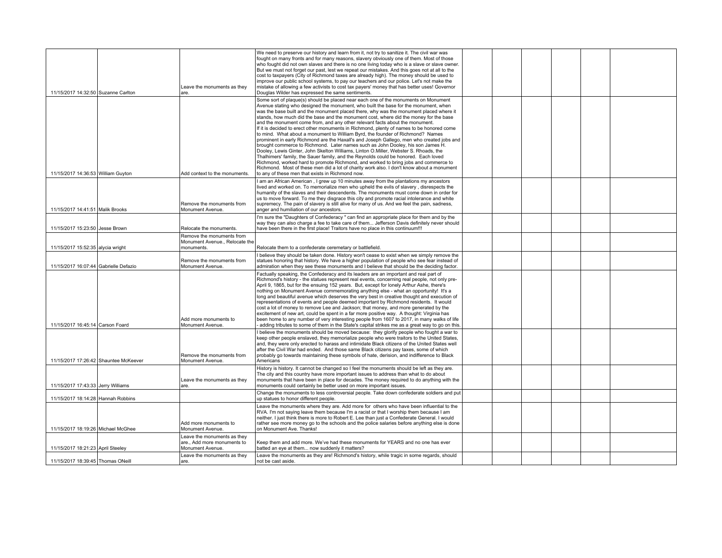| 11/15/2017 14:32:50 Suzanne Carlton   | Leave the monuments as they<br>are.                                            | We need to preserve our history and learn from it, not try to sanitize it. The civil war was<br>fought on many fronts and for many reasons, slavery obviously one of them. Most of those<br>who fought did not own slaves and there is no one living today who is a slave or slave owner.<br>But we must not forget our past, lest we repeat our mistakes. And this goes not at all to the<br>cost to taxpayers (City of Richmond taxes are already high). The money should be used to<br>improve our public school systems, to pay our teachers and our police. Let's not make the<br>mistake of allowing a few activists to cost tax payers' money that has better uses! Governor<br>Douglas Wilder has expressed the same sentiments.                                                                                                                                                                                                                                                                                                                                          |  |  |  |
|---------------------------------------|--------------------------------------------------------------------------------|-----------------------------------------------------------------------------------------------------------------------------------------------------------------------------------------------------------------------------------------------------------------------------------------------------------------------------------------------------------------------------------------------------------------------------------------------------------------------------------------------------------------------------------------------------------------------------------------------------------------------------------------------------------------------------------------------------------------------------------------------------------------------------------------------------------------------------------------------------------------------------------------------------------------------------------------------------------------------------------------------------------------------------------------------------------------------------------|--|--|--|
|                                       |                                                                                | Some sort of plaque(s) should be placed near each one of the monuments on Monument<br>Avenue stating who designed the monument, who built the base for the monument, when<br>was the base built and the monument placed there, why was the monument placed where it<br>stands, how much did the base and the monument cost, where did the money for the base<br>and the monument come from, and any other relevant facts about the monument.<br>If it is decided to erect other monuments in Richmond, plenty of names to be honored come<br>to mind. What about a monument to William Byrd, the founder of Richmond? Names<br>prominent in early Richmond are the Haxall's and Joseph Gallego, men who created jobs and<br>brought commerce to Richmond. Later names such as John Dooley, his son James H.<br>Dooley, Lewis Ginter, John Skelton Williams, Linton O.Miller, Webster S. Rhoads, the<br>Thalhimers' family, the Sauer family, and the Reynolds could be honored. Each loved<br>Richmond, worked hard to promote Richmond, and worked to bring jobs and commerce to |  |  |  |
| 11/15/2017 14:36:53 William Guyton    | Add context to the monuments.                                                  | Richmond. Most of these men did a lot of charity work also. I don't know about a monument<br>to any of these men that exists in Richmond now.                                                                                                                                                                                                                                                                                                                                                                                                                                                                                                                                                                                                                                                                                                                                                                                                                                                                                                                                     |  |  |  |
| 11/15/2017 14:41:51 Malik Brooks      | Remove the monuments from<br>Monument Avenue.                                  | I am an African American, I grew up 10 minutes away from the plantations my ancestors<br>lived and worked on. To memorialize men who upheld the evils of slavery, disrespects the<br>humanity of the slaves and their descendents. The monuments must come down in order for<br>us to move forward. To me they disgrace this city and promote racial intolerance and white<br>supremecy. The pain of slavery is still alive for many of us. And we feel the pain, sadness,<br>anger and humiliation of our ancestors.                                                                                                                                                                                                                                                                                                                                                                                                                                                                                                                                                             |  |  |  |
| 11/15/2017 15:23:50 Jesse Brown       | Relocate the monuments.                                                        | I'm sure the "Daughters of Confederacy" can find an appropriate place for them and by the<br>way they can also charge a fee to take care of them Jefferson Davis definitely never should<br>have been there in the first place! Traitors have no place in this continuum!!!                                                                                                                                                                                                                                                                                                                                                                                                                                                                                                                                                                                                                                                                                                                                                                                                       |  |  |  |
| 11/15/2017 15:52:35 alycia wright     | Remove the monuments from<br>Monument Avenue., Relocate the<br>monuments.      | Relocate them to a confederate ceremetary or battlefield.                                                                                                                                                                                                                                                                                                                                                                                                                                                                                                                                                                                                                                                                                                                                                                                                                                                                                                                                                                                                                         |  |  |  |
| 11/15/2017 16:07:44 Gabrielle Defazio | Remove the monuments from<br>Monument Avenue.                                  | I believe they should be taken done. History won't cease to exist when we simply remove the<br>statues honoring that history. We have a higher population of people who see fear instead of<br>admiration when they see these monuments and I believe that should be the deciding factor.                                                                                                                                                                                                                                                                                                                                                                                                                                                                                                                                                                                                                                                                                                                                                                                         |  |  |  |
| 11/15/2017 16:45:14 Carson Foard      | Add more monuments to<br>Monument Avenue.                                      | Factually speaking, the Confederacy and its leaders are an important and real part of<br>Richmond's history - the statues represent real events, concerning real people, not only pre-<br>April 9, 1865, but for the ensuing 152 years. But, except for lonely Arthur Ashe, there's<br>nothing on Monument Avenue commemorating anything else - what an opportunity! It's a<br>long and beautiful avenue which deserves the very best in creative thought and execution of<br>representations of events and people deemed important by Richmond residents. It would<br>cost a lot of money to remove Lee and Jackson; that money, and more generated by the<br>excitement of new art, could be spent in a far more positive way. A thought: Virginia has<br>been home to any number of very interesting people from 1607 to 2017, in many walks of life<br>adding tributes to some of them in the State's capital strikes me as a great way to go on this.                                                                                                                        |  |  |  |
| 11/15/2017 17:26:42 Shauntee McKeever | Remove the monuments from<br>Monument Avenue.                                  | believe the monuments should be moved because: they glorify people who fought a war to<br>keep other people enslaved, they memorialize people who were traitors to the United States,<br>and, they were only erected to harass and intimidate Black citizens of the United States well<br>after the Civil War had ended. And those same Black citizens pay taxes, some of which<br>probably go towards maintaining these symbols of hate, derision, and indifference to Black<br>Americans                                                                                                                                                                                                                                                                                                                                                                                                                                                                                                                                                                                        |  |  |  |
| 11/15/2017 17:43:33 Jerry Williams    | Leave the monuments as they<br>lare.                                           | History is history. It cannot be changed so I feel the monuments should be left as they are.<br>The city and this country have more important issues to address than what to do about<br>monuments that have been in place for decades. The money required to do anything with the<br>monuments could certainly be better used on more important issues.                                                                                                                                                                                                                                                                                                                                                                                                                                                                                                                                                                                                                                                                                                                          |  |  |  |
| 11/15/2017 18:14:28 Hannah Robbins    |                                                                                | Change the monuments to less controversial people. Take down confederate soldiers and put<br>up statues to honor different people.                                                                                                                                                                                                                                                                                                                                                                                                                                                                                                                                                                                                                                                                                                                                                                                                                                                                                                                                                |  |  |  |
| 11/15/2017 18:19:26 Michael McGhee    | Add more monuments to<br>Monument Avenue.                                      | Leave the monuments where they are. Add more for others who have been influential to the<br>RVA. I'm not saying leave them because I'm a racist or that I worship them because I am<br>neither. I just think there is more to Robert E. Lee than just a Confederate General. I would<br>rather see more money go to the schools and the police salaries before anything else is done<br>on Monument Ave. Thanks!                                                                                                                                                                                                                                                                                                                                                                                                                                                                                                                                                                                                                                                                  |  |  |  |
| 11/15/2017 18:21:23 April Steeley     | Leave the monuments as they<br>are., Add more monuments to<br>Monument Avenue. | Keep them and add more. We've had these monuments for YEARS and no one has ever<br>batted an eye at them now suddenly it matters?                                                                                                                                                                                                                                                                                                                                                                                                                                                                                                                                                                                                                                                                                                                                                                                                                                                                                                                                                 |  |  |  |
| 11/15/2017 18:39:45 Thomas ONeill     | Leave the monuments as they<br>lare.                                           | Leave the monuments as they are! Richmond's history, while tragic in some regards, should<br>not be cast aside.                                                                                                                                                                                                                                                                                                                                                                                                                                                                                                                                                                                                                                                                                                                                                                                                                                                                                                                                                                   |  |  |  |
|                                       |                                                                                |                                                                                                                                                                                                                                                                                                                                                                                                                                                                                                                                                                                                                                                                                                                                                                                                                                                                                                                                                                                                                                                                                   |  |  |  |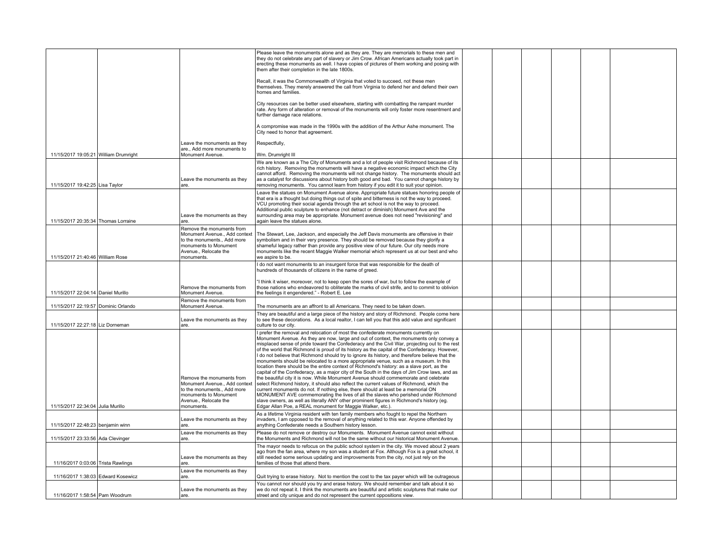|                                       |                                                                                                                            | Please leave the monuments alone and as they are. They are memorials to these men and<br>they do not celebrate any part of slavery or Jim Crow. African Americans actually took part in<br>erecting these monuments as well. I have copies of pictures of them working and posing with<br>them after their completion in the late 1800s.                                                                                                                                                                                                                                                                                                                                                                                                                                                                                                                           |  |  |  |
|---------------------------------------|----------------------------------------------------------------------------------------------------------------------------|--------------------------------------------------------------------------------------------------------------------------------------------------------------------------------------------------------------------------------------------------------------------------------------------------------------------------------------------------------------------------------------------------------------------------------------------------------------------------------------------------------------------------------------------------------------------------------------------------------------------------------------------------------------------------------------------------------------------------------------------------------------------------------------------------------------------------------------------------------------------|--|--|--|
|                                       |                                                                                                                            | Recall, it was the Commonwealth of Virginia that voted to succeed, not these men<br>themselves. They merely answered the call from Virginia to defend her and defend their own<br>homes and families.                                                                                                                                                                                                                                                                                                                                                                                                                                                                                                                                                                                                                                                              |  |  |  |
|                                       |                                                                                                                            | City resources can be better used elsewhere, starting with combatting the rampant murder<br>rate. Any form of alteration or removal of the monuments will only foster more resentment and<br>further damage race relations.                                                                                                                                                                                                                                                                                                                                                                                                                                                                                                                                                                                                                                        |  |  |  |
|                                       |                                                                                                                            | A compromise was made in the 1990s with the addition of the Arthur Ashe monument. The<br>City need to honor that agreement.                                                                                                                                                                                                                                                                                                                                                                                                                                                                                                                                                                                                                                                                                                                                        |  |  |  |
|                                       | Leave the monuments as they<br>are Add more monuments to                                                                   | Respectfully,                                                                                                                                                                                                                                                                                                                                                                                                                                                                                                                                                                                                                                                                                                                                                                                                                                                      |  |  |  |
| 11/15/2017 19:05:21 William Drumright | Monument Avenue.                                                                                                           | Wm. Drumright III                                                                                                                                                                                                                                                                                                                                                                                                                                                                                                                                                                                                                                                                                                                                                                                                                                                  |  |  |  |
| 11/15/2017 19:42:25 Lisa Taylor       | Leave the monuments as they<br>are.                                                                                        | We are known as a The City of Monuments and a lot of people visit Richmond because of its<br>rich history. Removing the monuments will have a negative economic impact which the City<br>cannot afford. Removing the monuments will not change history. The monuments should act<br>as a catalyst for discussions about history both good and bad. You cannot change history by<br>removing monuments. You cannot learn from history if you edit it to suit your opinion.                                                                                                                                                                                                                                                                                                                                                                                          |  |  |  |
|                                       | Leave the monuments as they                                                                                                | Leave the statues on Monument Avenue alone. Appropriate future statues honoring people of<br>that era is a thought but doing things out of spite and bitterness is not the way to proceed.<br>VCU promoting their social agenda through the art school is not the way to proceed.<br>Additional public sculpture to enhance (not detract or diminish) Monument Ave and the<br>surrounding area may be appropriate. Monument avenue does not need "revisioning" and                                                                                                                                                                                                                                                                                                                                                                                                 |  |  |  |
| 11/15/2017 20:35:34 Thomas Lorraine   | are.                                                                                                                       | again leave the statues alone.                                                                                                                                                                                                                                                                                                                                                                                                                                                                                                                                                                                                                                                                                                                                                                                                                                     |  |  |  |
| 11/15/2017 21:40:46 William Rose      | Remove the monuments from<br>to the monuments Add more<br>monuments to Monument<br>Avenue., Relocate the<br>monuments.     | Monument Avenue., Add context   The Stewart, Lee, Jackson, and especially the Jeff Davis monuments are offensive in their<br>symbolism and in their very presence. They should be removed because they glorify a<br>shameful legacy rather than provide any positive view of our future. Our city needs more<br>monuments like the recent Maggie Walker memorial which represent us at our best and who<br>we aspire to be.                                                                                                                                                                                                                                                                                                                                                                                                                                        |  |  |  |
|                                       |                                                                                                                            | I do not want monuments to an insurgent force that was responsible for the death of                                                                                                                                                                                                                                                                                                                                                                                                                                                                                                                                                                                                                                                                                                                                                                                |  |  |  |
|                                       |                                                                                                                            | hundreds of thousands of citizens in the name of greed.                                                                                                                                                                                                                                                                                                                                                                                                                                                                                                                                                                                                                                                                                                                                                                                                            |  |  |  |
| 11/15/2017 22:04:14 Daniel Murillo    | Remove the monuments from<br>Monument Avenue.                                                                              | "I think it wiser, moreover, not to keep open the sores of war, but to follow the example of<br>those nations who endeavored to obliterate the marks of civil strife, and to commit to oblivion<br>the feelings it engendered." - Robert E. Lee                                                                                                                                                                                                                                                                                                                                                                                                                                                                                                                                                                                                                    |  |  |  |
| 11/15/2017 22:19:57 Dominic Orlando   | Remove the monuments from<br>Monument Avenue.                                                                              | The monuments are an affront to all Americans. They need to be taken down.                                                                                                                                                                                                                                                                                                                                                                                                                                                                                                                                                                                                                                                                                                                                                                                         |  |  |  |
| 11/15/2017 22:27:18 Liz Dorneman      | Leave the monuments as they<br>are.                                                                                        | They are beautiful and a large piece of the history and story of Richmond. People come here<br>to see these decorations. As a local realtor, I can tell you that this add value and significant<br>culture to our city.                                                                                                                                                                                                                                                                                                                                                                                                                                                                                                                                                                                                                                            |  |  |  |
|                                       | Remove the monuments from                                                                                                  | I prefer the removal and relocation of most the confederate monuments currently on<br>Monument Avenue. As they are now, large and out of context, the monuments only convey a<br>misplaced sense of pride toward the Confederacy and the Civil War, projecting out to the rest<br>of the world that Richmond is proud of its history as the capital of the Confederacy. However,<br>I do not believe that Richmond should try to ignore its history, and therefore believe that the<br>monuments should be relocated to a more appropriate venue, such as a museum. In this<br>location there should be the entire context of Richmond's history: as a slave port, as the<br>capital of the Confederacy, as a major city of the South in the days of Jim Crow laws, and as<br>the beautiful city it is now. While Monument Avenue should commemorate and celebrate |  |  |  |
| 11/15/2017 22:34:04 Julia Murillo     | Monument Avenue Add context<br>to the monuments., Add more<br>monuments to Monument<br>Avenue., Relocate the<br>monuments. | select Richmond history, it should also reflect the current values of Richmond, which the<br>current monuments do not. If nothing else, there should at least be a memorial ON<br>MONUMENT AVE commemorating the lives of all the slaves who perished under Richmond<br>slave owners, as well as literally ANY other prominent figures in Richmond's history (eg.<br>Edgar Allan Poe, a REAL monument for Maggie Walker, etc.).                                                                                                                                                                                                                                                                                                                                                                                                                                    |  |  |  |
| 11/15/2017 22:48:23 benjamin winn     | Leave the monuments as they<br>are.                                                                                        | As a lifetime Virginia resident with ten family members who fought to repel the Northern<br>invaders, I am opposed to the removal of anything related to this war. Anyone offended by<br>anything Confederate needs a Southern history lesson.                                                                                                                                                                                                                                                                                                                                                                                                                                                                                                                                                                                                                     |  |  |  |
| 11/15/2017 23:33:56 Ada Clevinger     | Leave the monuments as they<br>are.                                                                                        | Please do not remove or destroy our Monuments. Monument Avenue cannot exist without<br>the Monuments and Richmond will not be the same without our historical Monument Avenue.                                                                                                                                                                                                                                                                                                                                                                                                                                                                                                                                                                                                                                                                                     |  |  |  |
|                                       | Leave the monuments as they                                                                                                | The mayor needs to refocus on the public school system in the city. We moved about 2 years<br>ago from the fan area, where my son was a student at Fox. Although Fox is a great school, it<br>still needed some serious updating and improvements from the city, not just rely on the                                                                                                                                                                                                                                                                                                                                                                                                                                                                                                                                                                              |  |  |  |
| 11/16/2017 0:03:06 Trista Rawlings    | are.<br>Leave the monuments as they                                                                                        | families of those that attend there.                                                                                                                                                                                                                                                                                                                                                                                                                                                                                                                                                                                                                                                                                                                                                                                                                               |  |  |  |
| 11/16/2017 1:38:03 Edward Kosewicz    | are.                                                                                                                       | Quit trying to erase history. Not to mention the cost to the tax payer which will be outrageous                                                                                                                                                                                                                                                                                                                                                                                                                                                                                                                                                                                                                                                                                                                                                                    |  |  |  |
|                                       | Leave the monuments as they                                                                                                | You cannot nor should you try and erase history. We should remember and talk about it so<br>we do not repeat it. I think the monuments are beautiful and artistic sculptures that make our                                                                                                                                                                                                                                                                                                                                                                                                                                                                                                                                                                                                                                                                         |  |  |  |
| 11/16/2017 1:58:54 Pam Woodrum        | lare.                                                                                                                      | street and city unique and do not represent the current oppositions view.                                                                                                                                                                                                                                                                                                                                                                                                                                                                                                                                                                                                                                                                                                                                                                                          |  |  |  |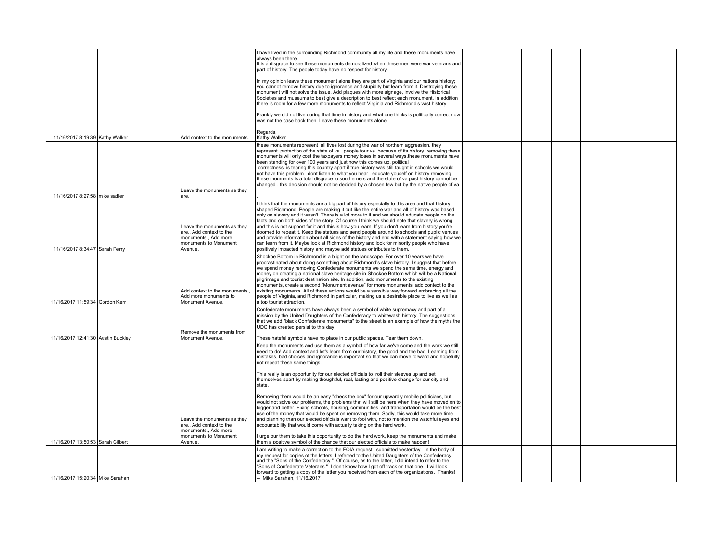|                                    |                                                                                                                 | I have lived in the surrounding Richmond community all my life and these monuments have<br>always been there.<br>It is a disgrace to see these monuments demoralized when these men were war veterans and<br>part of history. The people today have no respect for history.                                                                                                                                                                                                                                                                                                                                                                                                                                                                                       |  |  |  |
|------------------------------------|-----------------------------------------------------------------------------------------------------------------|-------------------------------------------------------------------------------------------------------------------------------------------------------------------------------------------------------------------------------------------------------------------------------------------------------------------------------------------------------------------------------------------------------------------------------------------------------------------------------------------------------------------------------------------------------------------------------------------------------------------------------------------------------------------------------------------------------------------------------------------------------------------|--|--|--|
|                                    |                                                                                                                 | In my opinion leave these monument alone they are part of Virginia and our nations history;<br>you cannot remove history due to ignorance and stupidity but learn from it. Destroying these<br>monument will not solve the issue. Add plaques with more signage, involve the Historical<br>Societies and museums to best give a description to best reflect each monument. In addition<br>there is room for a few more monuments to reflect Virginia and Richmond's vast history.                                                                                                                                                                                                                                                                                 |  |  |  |
|                                    |                                                                                                                 | Frankly we did not live during that time in history and what one thinks is politically correct now<br>was not the case back then. Leave these monuments alone!                                                                                                                                                                                                                                                                                                                                                                                                                                                                                                                                                                                                    |  |  |  |
| 11/16/2017 8:19:39 Kathy Walker    | Add context to the monuments.                                                                                   | Regards,<br>Kathy Walker                                                                                                                                                                                                                                                                                                                                                                                                                                                                                                                                                                                                                                                                                                                                          |  |  |  |
| 11/16/2017 8:27:58 mike sadler     | Leave the monuments as they<br>are.                                                                             | these monuments represent all lives lost during the war of northern aggression, they<br>represent protection of the state of va. people tour va because of its history, removing these<br>monuments will only cost the taxpayers money loses in several ways these monuments have<br>been standing for over 100 years and just now this comes up. political<br>correctness is tearing this country apart if true history was still taught in schools we would<br>not have this problem. dont listen to what you hear. educate youself on history.removing<br>these mouments is a total disgrace to southerners and the state of va.past history cannot be<br>changed . this decision should not be decided by a chosen few but by the native people of va.        |  |  |  |
|                                    |                                                                                                                 | I think that the monuments are a big part of history especially to this area and that history                                                                                                                                                                                                                                                                                                                                                                                                                                                                                                                                                                                                                                                                     |  |  |  |
| 11/16/2017 8:34:47 Sarah Perry     | Leave the monuments as they<br>are Add context to the<br>monuments Add more<br>monuments to Monument<br>Avenue. | shaped Richmond. People are making it out like the entire war and all of history was based<br>only on slavery and it wasn't. There is a lot more to it and we should educate people on the<br>facts and on both sides of the story. Of course I think we should note that slavery is wrong<br>and this is not support for it and this is how you learn. If you don't learn from history you're<br>doomed to repeat it. Keep the statues and send people around to schools and puplic venues<br>and provide information about all sides of the history and end with a statement saving how we<br>can learn from it. Maybe look at Richmond history and look for minority people who have<br>positively impacted history and maybe add statues or tributes to them. |  |  |  |
|                                    |                                                                                                                 | Shockoe Bottom in Richmond is a blight on the landscape. For over 10 years we have                                                                                                                                                                                                                                                                                                                                                                                                                                                                                                                                                                                                                                                                                |  |  |  |
| 11/16/2017 11:59:34 Gordon Kerr    | Add context to the monuments.<br>Add more monuments to<br>Monument Avenue.                                      | procrastinated about doing something about Richmond's slave history. I suggest that before<br>we spend money removing Confederate monuments we spend the same time, energy and<br>money on creating a national slave heritage site in Shockoe Bottom which will be a National<br>pilgrimage and tourist destination site. In addition, add monuments to the existing<br>monuments, create a second "Monument avenue" for more monuments, add context to the<br>existing monuments. All of these actions would be a sensible way forward embracing all the<br>people of Virginia, and Richmond in particular, making us a desirable place to live as well as<br>a top tourist attraction.                                                                          |  |  |  |
|                                    |                                                                                                                 | Confederate monuments have always been a symbol of white supremacy and part of a<br>mission by the United Daughters of the Confederacy to whitewash history. The suggestions<br>that we add "black Confederate monuments" to the street is an example of how the myths the<br>UDC has created persist to this day.                                                                                                                                                                                                                                                                                                                                                                                                                                                |  |  |  |
|                                    | Remove the monuments from<br>Monument Avenue.                                                                   |                                                                                                                                                                                                                                                                                                                                                                                                                                                                                                                                                                                                                                                                                                                                                                   |  |  |  |
| 11/16/2017 12:41:30 Austin Buckley |                                                                                                                 | These hateful symbols have no place in our public spaces. Tear them down.<br>Keep the monuments and use them as a symbol of how far we've come and the work we still                                                                                                                                                                                                                                                                                                                                                                                                                                                                                                                                                                                              |  |  |  |
|                                    |                                                                                                                 | need to do! Add context and let's learn from our history, the good and the bad. Learning from<br>mistakes, bad choices and ignorance is important so that we can move forward and hopefully<br>not repeat these same things.                                                                                                                                                                                                                                                                                                                                                                                                                                                                                                                                      |  |  |  |
|                                    |                                                                                                                 | This really is an opportunity for our elected officials to roll their sleeves up and set<br>themselves apart by making thoughtful, real, lasting and positive change for our city and<br>state                                                                                                                                                                                                                                                                                                                                                                                                                                                                                                                                                                    |  |  |  |
|                                    | Leave the monuments as they<br>are Add context to the<br>monuments Add more<br>monuments to Monument            | Removing them would be an easy "check the box" for our upwardly mobile politicians, but<br>would not solve our problems, the problems that will still be here when they have moved on to<br>bigger and better. Fixing schools, housing, communities and transportation would be the best<br>use of the money that would be spent on removing them. Sadly, this would take more time<br>and planning than our elected officials want to fool with, not to mention the watchful eyes and<br>accountability that would come with actually taking on the hard work.<br>I urge our them to take this opportunity to do the hard work, keep the monuments and make                                                                                                      |  |  |  |
| 11/16/2017 13:50:53 Sarah Gilbert  | Avenue.                                                                                                         | them a positive symbol of the change that our elected officials to make happen!<br>I am writing to make a correction to the FOIA request I submitted vesterday. In the body of                                                                                                                                                                                                                                                                                                                                                                                                                                                                                                                                                                                    |  |  |  |
|                                    |                                                                                                                 | my request for copies of the letters. I referred to the United Daughters of the Confederacy<br>and the "Sons of the Confederacy." Of course, as to the latter, I did intend to refer to the<br>"Sons of Confederate Veterans." I don't know how I got off track on that one. I will look<br>forward to getting a copy of the letter you received from each of the organizations. Thanks!                                                                                                                                                                                                                                                                                                                                                                          |  |  |  |
| 11/16/2017 15:20:34 Mike Sarahan   |                                                                                                                 | -- Mike Sarahan, 11/16/2017                                                                                                                                                                                                                                                                                                                                                                                                                                                                                                                                                                                                                                                                                                                                       |  |  |  |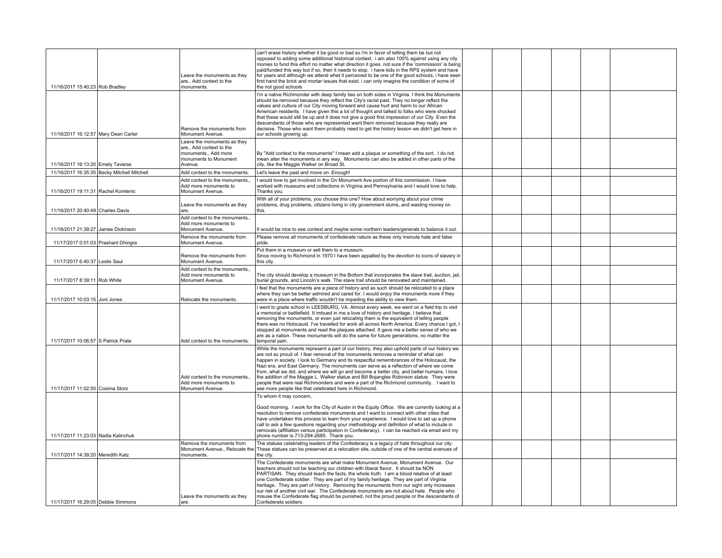| 11/16/2017 15:40:23 Rob Bradley      |                                             | Leave the monuments as they<br>are., Add context to the<br>monuments.                                               | can't erase history whether it be good or bad so i'm in favor of letting them be but not<br>opposed to adding some additional historical context. i am also 100% against using any city<br>monies to fund this effort no matter what direction it goes. not sure if the 'commission' is being<br>paid/funded this way but if so, then it needs to stop. i have kids in the RPS system and have<br>for years and although we attend whet it perceived to be one of the good schools, i have seen<br>first hand the brick and mortar issues that exist. i can only imagine the condition of some of<br>the not good schools                                                                                                  |  |  |  |
|--------------------------------------|---------------------------------------------|---------------------------------------------------------------------------------------------------------------------|----------------------------------------------------------------------------------------------------------------------------------------------------------------------------------------------------------------------------------------------------------------------------------------------------------------------------------------------------------------------------------------------------------------------------------------------------------------------------------------------------------------------------------------------------------------------------------------------------------------------------------------------------------------------------------------------------------------------------|--|--|--|
| 11/16/2017 16:12:57 Mary Dean Carter |                                             | Remove the monuments from<br>Monument Avenue.                                                                       | I'm a native Richmonder with deep family ties on both sides in Virginia. I think the Monuments<br>should be removed because they reflect the City's racist past. They no longer reflect the<br>values and culture of our City moving forward and cause hurt and harm to our African<br>American residents. I have given this a lot of thought and talked to folks who were shocked<br>that these would still be up and it does not give a good first impression of our City. Even the<br>descendants of those who are represented want them removed because they really are<br>decisive. Those who want them probably need to get the history lesson we didn't get here in<br>our schools growing up.                      |  |  |  |
| 11/16/2017 16:13:20 Emely Taveras    |                                             | Leave the monuments as they<br>are., Add context to the<br>monuments., Add more<br>monuments to Monument<br>Avenue. | By "Add context to the monuments" I mean add a plaque or something of the sort. I do not<br>mean alter the monuments in any way. Monuments can also be added in other parts of the<br>city, like the Maggie Walker on Broad St.                                                                                                                                                                                                                                                                                                                                                                                                                                                                                            |  |  |  |
|                                      | 11/16/2017 16:35:35 Becky Mitchell Mitchell | Add context to the monuments.                                                                                       | Let's leave the past and move on .Enough!                                                                                                                                                                                                                                                                                                                                                                                                                                                                                                                                                                                                                                                                                  |  |  |  |
| 11/16/2017 19:11:31 Rachel Komlenic  |                                             | Add context to the monuments.<br>Add more monuments to<br>Monument Avenue.                                          | I would love to get involved in the On Monument Ave portion of this commission. I have<br>worked with museums and collections in Virginia and Pennsylvania and I would love to help.<br>Thanks you.                                                                                                                                                                                                                                                                                                                                                                                                                                                                                                                        |  |  |  |
| 11/16/2017 20:40:49 Charles Davis    |                                             | Leave the monuments as they<br>are.                                                                                 | With all of your problems, you choose this one? How about worrying about your crime<br>problems, drug problems, citizens living in city government slums, and wasting money on                                                                                                                                                                                                                                                                                                                                                                                                                                                                                                                                             |  |  |  |
| 11/16/2017 21:39:27 James Dickinson  |                                             | Add context to the monuments.,<br>Add more monuments to<br>Monument Avenue.                                         | It would be nice to see context and maybe some northern leaders/generals to balance it out.                                                                                                                                                                                                                                                                                                                                                                                                                                                                                                                                                                                                                                |  |  |  |
| 11/17/2017 0:01:03 Prashant Dhingra  |                                             | Remove the monuments from<br>Monument Avenue.                                                                       | Please remove all monuments of confederate nature as these only insinute hate and false<br>pride.                                                                                                                                                                                                                                                                                                                                                                                                                                                                                                                                                                                                                          |  |  |  |
| 11/17/2017 6:40:37 Leslie Saul       |                                             | Remove the monuments from<br>Monument Avenue.                                                                       | Put them in a museum or sell them to a museum.<br>Since moving to Richmond in 1970 I have been appalled by the devotion to icons of slavery in<br>this city.                                                                                                                                                                                                                                                                                                                                                                                                                                                                                                                                                               |  |  |  |
| 11/17/2017 8:39:11 Rob White         |                                             | Add context to the monuments.<br>Add more monuments to<br>Monument Avenue.                                          | The city should develop a museum in the Bottom that incorporates the slave trail, auction, jail,<br>burial grounds, and Lincoln's walk. The slave trail should be renovated and maintained.                                                                                                                                                                                                                                                                                                                                                                                                                                                                                                                                |  |  |  |
| 11/17/2017 10:03:15 Joni Jones       |                                             | Relocate the monuments.                                                                                             | I feel that the monuments are a piece of history and as such should be relocated to a place<br>where they can be better admired and cared for. I would enjoy the monuments more if they<br>were in a place where traffic wouldn't be impeding the ability to view them.                                                                                                                                                                                                                                                                                                                                                                                                                                                    |  |  |  |
| 11/17/2017 10:06:57 S Patrick Prate  |                                             | Add context to the monuments.                                                                                       | I went to grade school in LEESBURG, VA. Almost every week, we went on a field trip to visit<br>a memorial or battlefield. It imbued in me a love of history and heritage. I believe that<br>removing the monuments, or even just relocating them is the equivalent of telling people<br>there was no Holocaust. I've travelled for work all across North America. Every chance I got, I<br>stopped at monuments and read the plaques attached. It gave me a better sense of who we<br>are as a nation. These monuments will do the same for future generations, no matter the<br>temporal pain.                                                                                                                            |  |  |  |
| 11/17/2017 11:02:50 Cosima Storz     |                                             | Add context to the monuments.<br>Add more monuments to<br>Monument Avenue.                                          | While the monuments represent a part of our history, they also uphold parts of our history we<br>are not so proud of. I fear removal of the monuments removes a reminder of what can<br>happen in society. I look to Germany and its respectful remembrances of the Holocaust, the<br>Nazi era, and East Germany. The monuments can serve as a reflection of where we come<br>from, what we did, and where we will go and become a better city, and better humans. I love<br>the addition of the Maggie L. Walker statue and Bill Bojangles Robinson statue. They were<br>people that were real Richmonders and were a part of the Richmond community. I want to<br>see more people like that celebrated here in Richmond. |  |  |  |
| 11/17/2017 11:23:03 Nadia Kalinchuk  |                                             |                                                                                                                     | To whom it may concern,<br>Good morning. I work for the City of Austin in the Equity Office. We are currently looking at a<br>resolution to remove confederate monuments and I want to connect with other cities that<br>have undertaken this process to learn from your experience. I would love to set up a phone<br>call to ask a few questions regarding your methodology and definition of what to include in<br>removals (affiliation versus participation in Confederacy). I can be reached via email and my<br>phone number is 713-294-2685. Thank you.                                                                                                                                                            |  |  |  |
|                                      |                                             | Remove the monuments from                                                                                           | The statues celebrating leaders of the Confederacy is a legacy of hate throughout our city.<br>Monument Avenue., Relocate the These statues can be preserved at a relocation site, outside of one of the central avenues of                                                                                                                                                                                                                                                                                                                                                                                                                                                                                                |  |  |  |
| 11/17/2017 14:39:20 Meredith Katz    |                                             | monuments.                                                                                                          | the city.                                                                                                                                                                                                                                                                                                                                                                                                                                                                                                                                                                                                                                                                                                                  |  |  |  |
| 11/17/2017 16:29:05 Debbie Simmons   |                                             | Leave the monuments as they<br>are.                                                                                 | The Confederate monuments are what make Monument Avenue. Monument Avenue. Our<br>teachers should not be teaching our children with liberal flavor. It should be NON<br>PARTISAN. They should teach the facts, the whole truth. I am a blood relative of at least<br>one Confederate soldier. They are part of my family heritage. They are part of Virginia<br>heritage. They are part of history. Removing the monuments from our sight only increases<br>our risk of another civil war. The Confederate monuments are not about hate. People who<br>misuse the Confederate flag should be punished, not the proud people or the descendants of<br>Confederate soldiers.                                                  |  |  |  |
|                                      |                                             |                                                                                                                     |                                                                                                                                                                                                                                                                                                                                                                                                                                                                                                                                                                                                                                                                                                                            |  |  |  |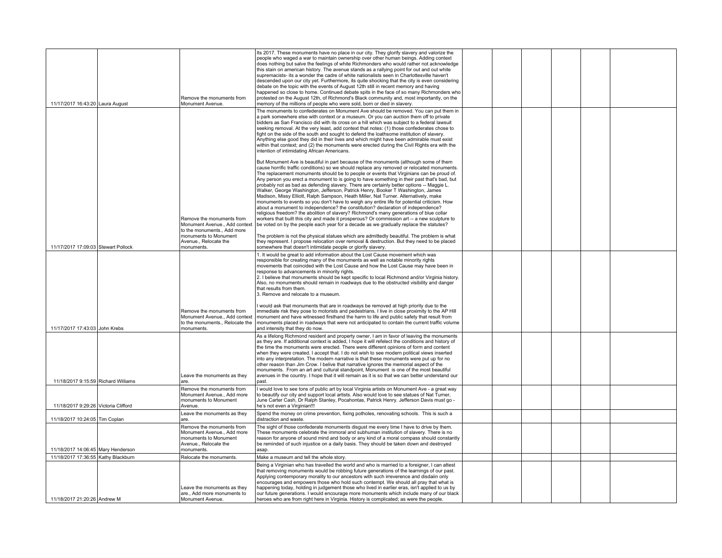| 11/17/2017 16:43:20 Laura August     |                                     | Remove the monuments from<br>Monument Avenue.                                                                         | Its 2017. These monuments have no place in our city. They glorify slavery and valorize the<br>people who waged a war to maintain ownership over other human beings. Adding context<br>does nothing but salve the feelings of white Richmonders who would rather not acknowledge<br>this stain on american history. The avenue stands as a rallying point for out and out white<br>supremacists- its a wonder the cadre of white nationalists seen in Charlottesville haven't<br>descended upon our city yet. Furthermore, its quite shocking that the city is even considering<br>debate on the topic with the events of August 12th still in recent memory and having<br>happened so close to home. Continued debate spits in the face of so many Richmonders who<br>protested on the August 12th, of Richmond's Black community and, most importantly, on the<br>memory of the millions of people who were sold, born or died in slavery.                                                                                                                                                                                     |  |  |  |
|--------------------------------------|-------------------------------------|-----------------------------------------------------------------------------------------------------------------------|---------------------------------------------------------------------------------------------------------------------------------------------------------------------------------------------------------------------------------------------------------------------------------------------------------------------------------------------------------------------------------------------------------------------------------------------------------------------------------------------------------------------------------------------------------------------------------------------------------------------------------------------------------------------------------------------------------------------------------------------------------------------------------------------------------------------------------------------------------------------------------------------------------------------------------------------------------------------------------------------------------------------------------------------------------------------------------------------------------------------------------|--|--|--|
|                                      |                                     |                                                                                                                       | The monuments to confederates on Monument Ave should be removed. You can put them in<br>a park somewhere else with context or a museum. Or you can auction them off to private<br>bidders as San Francisco did with its cross on a hill which was subject to a federal lawsuit<br>seeking removal. At the very least, add context that notes: (1) those confederates chose to<br>fight on the side of the south and sought to defend the loathsome institution of slavery.<br>Anything else good they did in their lives and which might have been admirable must exist<br>within that context; and (2) the monuments were erected during the Civil Rights era with the<br>intention of intimidating African Americans.                                                                                                                                                                                                                                                                                                                                                                                                         |  |  |  |
|                                      |                                     | Remove the monuments from<br>Monument Avenue., Add context                                                            | But Monument Ave is beautiful in part because of the monuments (although some of them<br>cause horrific traffic conditions) so we should replace any removed or relocated monuments.<br>The replacement monuments should be to people or events that Virginians can be proud of.<br>Any person you erect a monument to is going to have something in their past that's bad, but<br>probably not as bad as defending slavery. There are certainly better options -- Maggie L.<br>Walker, George Washington, Jefferson, Patrick Henry, Booker T Washington, James<br>Madison, Missy Elliott, Ralph Sampson, Heath Miller, Nat Turner. Alternatively, make<br>monuments to events so you don't have to weigh any entire life for potential criticism. How<br>about a monument to independence? the constitution? declaration of independence?<br>religious freedom? the abolition of slavery? Richmond's many generations of blue collar<br>workers that built this city and made it prosperous? Or commission art -- a new sculpture to<br>be voted on by the people each year for a decade as we gradually replace the statutes? |  |  |  |
| 11/17/2017 17:09:03 Stewart Pollock  |                                     | to the monuments., Add more<br>monuments to Monument<br>Avenue., Relocate the<br>monuments.                           | The problem is not the physical statues which are admittedly beautiful. The problem is what<br>they represent. I propose relocation over removal & destruction. But they need to be placed<br>somewhere that doesn't intimidate people or glorify slavery.                                                                                                                                                                                                                                                                                                                                                                                                                                                                                                                                                                                                                                                                                                                                                                                                                                                                      |  |  |  |
|                                      |                                     |                                                                                                                       | 1. It would be great to add information about the Lost Cause movement which was<br>responsible for creating many of the monuments as well as notable minority rights<br>movements that coincided with the Lost Cause and how the Lost Cause may have been in<br>response to advancements in minority rights.<br>2. I believe that monuments should be kept specific to local Richmond and/or Virginia history.<br>Also, no monuments should remain in roadways due to the obstructed visibility and danger<br>that results from them.<br>3. Remove and relocate to a museum.                                                                                                                                                                                                                                                                                                                                                                                                                                                                                                                                                    |  |  |  |
| 11/17/2017 17:43:03 John Krebs       |                                     | Remove the monuments from<br>to the monuments Relocate the<br>monuments.                                              | I would ask that monuments that are in roadways be removed at high priority due to the<br>immediate risk they pose to motorists and pedestrians. I live in close proximity to the AP Hill<br>Monument Avenue., Add context   monument and have witnessed firsthand the harm to life and public safety that result from<br>monuments placed in roadways that were not anticipated to contain the current traffic volume<br>and intensity that they do now.                                                                                                                                                                                                                                                                                                                                                                                                                                                                                                                                                                                                                                                                       |  |  |  |
|                                      | 11/18/2017 9:15:59 Richard Williams | Leave the monuments as they<br>are.                                                                                   | As a lifelong Richmond resident and property owner. I am in favor of leaving the monuments<br>as they are. If additional context is added, I hope it will refelect the conditions and history of<br>the time the monuments were erected. There were different opinions of form and content<br>when they were created. I accept that. I do not wish to see modern political views inserted<br>into any interpretation. The modern narrative is that these monuments were put up for no<br>other reason than Jim Crow. I belive that narrative ignores the memorial aspect of the<br>monuments. From an art and cultural standpoint, Monument is one of the most beautiful<br>avenues in the country. I hope that it will remain as it is so that we can better understand our<br>nast.                                                                                                                                                                                                                                                                                                                                           |  |  |  |
| 11/18/2017 9:29:26 Victoria Clifford |                                     | Remove the monuments from<br>Monument Avenue., Add more<br>monuments to Monument<br>Avenue.                           | I would love to see tons of public art by local Virginia artists on Monument Ave - a great way<br>to beautify our city and support local artists. Also would love to see statues of Nat Turner,<br>June Carter Cash, Dr Ralph Stanley, Pocahontas, Patrick Henry. Jefferson Davis must go -<br>he's not even a Virginian!!!                                                                                                                                                                                                                                                                                                                                                                                                                                                                                                                                                                                                                                                                                                                                                                                                     |  |  |  |
| 11/18/2017 10:24:05 Tim Coplan       |                                     | Leave the monuments as they<br>are.                                                                                   | Spend the money on crime prevention, fixing potholes, renovating schools. This is such a<br>distraction and waste.                                                                                                                                                                                                                                                                                                                                                                                                                                                                                                                                                                                                                                                                                                                                                                                                                                                                                                                                                                                                              |  |  |  |
| 11/18/2017 14:06:45 Mary Henderson   |                                     | Remove the monuments from<br>Monument Avenue Add more<br>monuments to Monument<br>Avenue., Relocate the<br>monuments. | The sight of those confederate monuments disgust me every time I have to drive by them.<br>These monuments celebrate the immoral and subhuman institution of slavery. There is no<br>reason for anyone of sound mind and body or any kind of a moral compass should constantly<br>be reminded of such injustice on a daily basis. They should be taken down and destroyed<br>asap.                                                                                                                                                                                                                                                                                                                                                                                                                                                                                                                                                                                                                                                                                                                                              |  |  |  |
| 11/18/2017 17:36:55 Kathy Blackburn  |                                     | Relocate the monuments.                                                                                               | Make a museum and tell the whole story.                                                                                                                                                                                                                                                                                                                                                                                                                                                                                                                                                                                                                                                                                                                                                                                                                                                                                                                                                                                                                                                                                         |  |  |  |
|                                      |                                     | Leave the monuments as they                                                                                           | Being a Virginian who has travelled the world and who is married to a foreigner, I can attest<br>that removing monuments would be robbing future generations of the learnings of our past.<br>Applying contemporary morality to our ancestors with such irreverence and disdaiin only<br>encourages and empowers those who hold such contempt. We should all pray that what is<br>happening today, holding in judgement those who lived in earlier eras, isn't applied to us by                                                                                                                                                                                                                                                                                                                                                                                                                                                                                                                                                                                                                                                 |  |  |  |
| 11/18/2017 21:20:26 Andrew M         |                                     | are., Add more monuments to<br>Monument Avenue.                                                                       | our future generations. I would encourage more monuments which include many of our black<br>heroes who are from right here in Virginia. History is complicated; as were the people.                                                                                                                                                                                                                                                                                                                                                                                                                                                                                                                                                                                                                                                                                                                                                                                                                                                                                                                                             |  |  |  |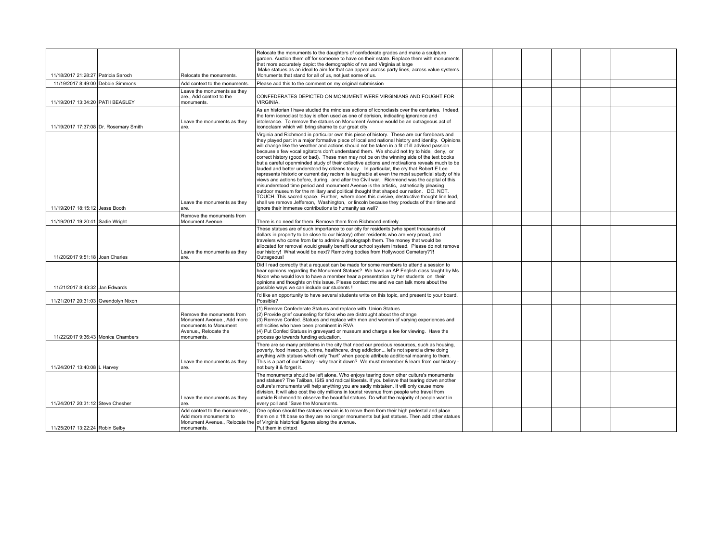|                                        |                                                                                                                       | Relocate the monuments to the daughters of confederate grades and make a sculpture<br>garden. Auction them off for someone to have on their estate. Replace them with monuments<br>that more accurately depict the demographic of rva and Virginia at large                                                                                                                                                                                                                                                                                                                                                                                                                                                                                                                                                                                                                                                                                                                                                                                                                                                                                                                                                                                                                                                                      |  |  |  |
|----------------------------------------|-----------------------------------------------------------------------------------------------------------------------|----------------------------------------------------------------------------------------------------------------------------------------------------------------------------------------------------------------------------------------------------------------------------------------------------------------------------------------------------------------------------------------------------------------------------------------------------------------------------------------------------------------------------------------------------------------------------------------------------------------------------------------------------------------------------------------------------------------------------------------------------------------------------------------------------------------------------------------------------------------------------------------------------------------------------------------------------------------------------------------------------------------------------------------------------------------------------------------------------------------------------------------------------------------------------------------------------------------------------------------------------------------------------------------------------------------------------------|--|--|--|
| 11/18/2017 21:28:27 Patricia Saroch    | Relocate the monuments.                                                                                               | Make statues as an ideal to aim for that can appeal across party lines, across value systems.<br>Monuments that stand for all of us, not just some of us.                                                                                                                                                                                                                                                                                                                                                                                                                                                                                                                                                                                                                                                                                                                                                                                                                                                                                                                                                                                                                                                                                                                                                                        |  |  |  |
| 11/19/2017 8:49:00 Debbie Simmons      | Add context to the monuments.                                                                                         | Please add this to the comment on my original submission                                                                                                                                                                                                                                                                                                                                                                                                                                                                                                                                                                                                                                                                                                                                                                                                                                                                                                                                                                                                                                                                                                                                                                                                                                                                         |  |  |  |
| 11/19/2017 13:34:20 PATII BEASLEY      | Leave the monuments as they<br>are., Add context to the<br>monuments.                                                 | CONFEDERATES DEPICTED ON MONUMENT WERE VIRGINIANS AND FOUGHT FOR<br>VIRGINIA.                                                                                                                                                                                                                                                                                                                                                                                                                                                                                                                                                                                                                                                                                                                                                                                                                                                                                                                                                                                                                                                                                                                                                                                                                                                    |  |  |  |
| 11/19/2017 17:37:08 Dr. Rosemary Smith | Leave the monuments as they<br>are.                                                                                   | As an historian I have studied the mindless actions of iconoclasts over the centuries. Indeed,<br>the term iconoclast today is often used as one of derision, indicating ignorance and<br>intolerance. To remove the statues on Monument Avenue would be an outrageous act of<br>iconoclasm which will bring shame to our great city.                                                                                                                                                                                                                                                                                                                                                                                                                                                                                                                                                                                                                                                                                                                                                                                                                                                                                                                                                                                            |  |  |  |
| 11/19/2017 18:15:12 Jesse Booth        | Leave the monuments as they<br>are.                                                                                   | Virginia and Richmond in particular own this piece of history. These are our forebears and<br>they played part in a major formative piece of local and national history and identity. Opinions<br>will change like the weather and actions should not be taken in a fit of ill advised passion<br>because a few vocal agitators don't understand them. We should not try to hide, deny, or<br>correct history (good or bad). These men may not be on the winning side of the text books<br>but a careful openminded study of their collective actions and motivations reveals much to be<br>lauded and better understood by citizens today. In particular, the cry that Robert E Lee<br>represents historic or current day racism is laughable at even the most superficial study of his<br>views and actions before, during, and after the Civil war. Richmond was the capital of this<br>misunderstood time period and monument Avenue is the artistic, asthetically pleasing<br>outdoor museum for the military and political thought that shaped our nation. DO. NOT.<br>TOUCH. This sacred space. Further, where does this divisive, destructive thought line lead,<br>shall we remove Jefferson, Washington, or lincoln because they products of their time and<br>ignore their immense contributions to humanity as well? |  |  |  |
| 11/19/2017 19:20:41 Sadie Wright       | Remove the monuments from<br>Monument Avenue.                                                                         | There is no need for them. Remove them from Richmond entirely.                                                                                                                                                                                                                                                                                                                                                                                                                                                                                                                                                                                                                                                                                                                                                                                                                                                                                                                                                                                                                                                                                                                                                                                                                                                                   |  |  |  |
| 11/20/2017 9:51:18 Joan Charles        | Leave the monuments as they<br>are.                                                                                   | These statues are of such importance to our city for residents (who spent thousands of<br>dollars in property to be close to our history) other residents who are very proud, and<br>travelers who come from far to admire & photograph them. The money that would be<br>allocated for removal would greatly benefit our school system instead. Please do not remove<br>our history! What would be next? Removing bodies from Hollywood Cemetery??!<br>Outrageous!                                                                                                                                                                                                                                                                                                                                                                                                                                                                                                                                                                                                                                                                                                                                                                                                                                                               |  |  |  |
| 11/21/2017 8:43:32 Jan Edwards         |                                                                                                                       | Did I read correctly that a request can be made for some members to attend a session to<br>hear opinions regarding the Monument Statues? We have an AP English class taught by Ms.<br>Nixon who would love to have a member hear a presentation by her students on their<br>opinions and thoughts on this issue. Please contact me and we can talk more about the<br>possible ways we can include our students !                                                                                                                                                                                                                                                                                                                                                                                                                                                                                                                                                                                                                                                                                                                                                                                                                                                                                                                 |  |  |  |
| 11/21/2017 20:31:03 Gwendolyn Nixon    |                                                                                                                       | I'd like an opportunity to have several students write on this topic, and present to your board.<br>Possible?                                                                                                                                                                                                                                                                                                                                                                                                                                                                                                                                                                                                                                                                                                                                                                                                                                                                                                                                                                                                                                                                                                                                                                                                                    |  |  |  |
| 11/22/2017 9:36:43 Monica Chambers     | Remove the monuments from<br>Monument Avenue Add more<br>monuments to Monument<br>Avenue., Relocate the<br>monuments. | (1) Remove Confederate Statues and replace with Union Statues<br>(2) Provide grief counseling for folks who are distraught about the change<br>(3) Remove Confed. Statues and replace with men and women of varying experiences and<br>ethnicities who have been prominent in RVA.<br>(4) Put Confed Statues in graveyard or museum and charge a fee for viewing. Have the<br>process go towards funding education.                                                                                                                                                                                                                                                                                                                                                                                                                                                                                                                                                                                                                                                                                                                                                                                                                                                                                                              |  |  |  |
| 11/24/2017 13:40:08 L Harvey           | Leave the monuments as they<br>are.                                                                                   | There are so many problems in the city that need our precious resources, such as housing,<br>poverty, food insecurity, crime, healthcare, drug addiction let's not spend a dime doing<br>anything with statues which only "hurt" when people attribute additional meaning to them.<br>This is a part of our history - why tear it down? We must remember & learn from our history -<br>not bury it & forget it.                                                                                                                                                                                                                                                                                                                                                                                                                                                                                                                                                                                                                                                                                                                                                                                                                                                                                                                  |  |  |  |
| 11/24/2017 20:31:12 Steve Chesher      | Leave the monuments as they<br>are.                                                                                   | The monuments should be left alone. Who enjoys tearing down other culture's monuments<br>and statues? The Taliban, ISIS and radical liberals. If you believe that tearing down another<br>culture's monuments will help anything you are sadly mistaken. It will only cause more<br>division. It will also cost the city millions in tourist revenue from people who travel from<br>outside Richmond to observe the beautiful statues. Do what the majority of people want in<br>every poll and "Save the Monuments.                                                                                                                                                                                                                                                                                                                                                                                                                                                                                                                                                                                                                                                                                                                                                                                                             |  |  |  |
|                                        | Add context to the monuments.<br>Add more monuments to                                                                | One option should the statues remain is to move them from their high pedestal and place<br>them on a 1ft base so they are no longer monuments but just statues. Then add other statues<br>Monument Avenue., Relocate the of Virginia historical figures along the avenue.                                                                                                                                                                                                                                                                                                                                                                                                                                                                                                                                                                                                                                                                                                                                                                                                                                                                                                                                                                                                                                                        |  |  |  |
| 11/25/2017 13:22:24 Robin Selby        | monuments.                                                                                                            | Put them in cintext                                                                                                                                                                                                                                                                                                                                                                                                                                                                                                                                                                                                                                                                                                                                                                                                                                                                                                                                                                                                                                                                                                                                                                                                                                                                                                              |  |  |  |